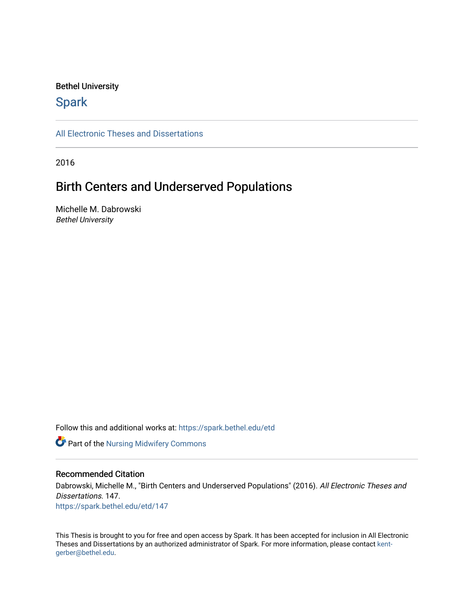#### Bethel University

# **Spark**

[All Electronic Theses and Dissertations](https://spark.bethel.edu/etd) 

2016

# Birth Centers and Underserved Populations

Michelle M. Dabrowski Bethel University

Follow this and additional works at: [https://spark.bethel.edu/etd](https://spark.bethel.edu/etd?utm_source=spark.bethel.edu%2Fetd%2F147&utm_medium=PDF&utm_campaign=PDFCoverPages)

Part of the [Nursing Midwifery Commons](http://network.bepress.com/hgg/discipline/722?utm_source=spark.bethel.edu%2Fetd%2F147&utm_medium=PDF&utm_campaign=PDFCoverPages) 

#### Recommended Citation

Dabrowski, Michelle M., "Birth Centers and Underserved Populations" (2016). All Electronic Theses and Dissertations. 147. [https://spark.bethel.edu/etd/147](https://spark.bethel.edu/etd/147?utm_source=spark.bethel.edu%2Fetd%2F147&utm_medium=PDF&utm_campaign=PDFCoverPages)

This Thesis is brought to you for free and open access by Spark. It has been accepted for inclusion in All Electronic Theses and Dissertations by an authorized administrator of Spark. For more information, please contact [kent](mailto:kent-gerber@bethel.edu)[gerber@bethel.edu.](mailto:kent-gerber@bethel.edu)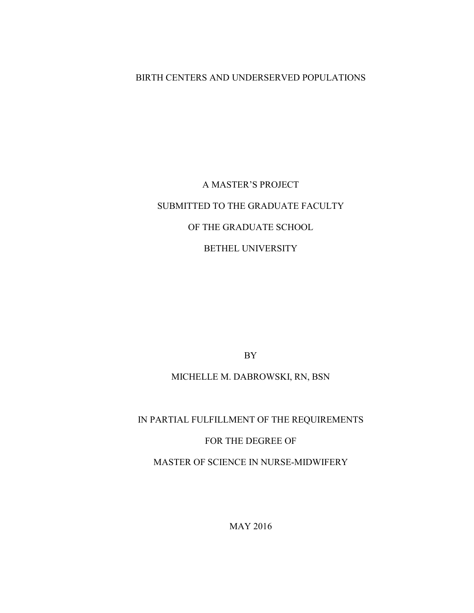## BIRTH CENTERS AND UNDERSERVED POPULATIONS

# A MASTER'S PROJECT SUBMITTED TO THE GRADUATE FACULTY OF THE GRADUATE SCHOOL BETHEL UNIVERSITY

BY

### MICHELLE M. DABROWSKI, RN, BSN

# IN PARTIAL FULFILLMENT OF THE REQUIREMENTS FOR THE DEGREE OF MASTER OF SCIENCE IN NURSE-MIDWIFERY

MAY 2016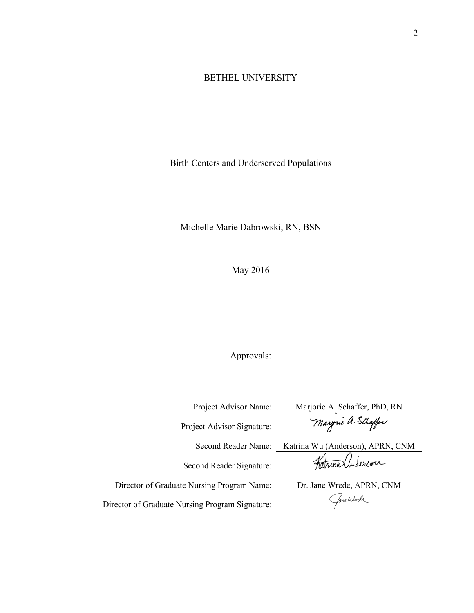## BETHEL UNIVERSITY

Birth Centers and Underserved Populations

Michelle Marie Dabrowski, RN, BSN

May 2016

# Approvals:

| Project Advisor Name:                           | Marjorie A. Schaffer, PhD, RN    |
|-------------------------------------------------|----------------------------------|
| Project Advisor Signature:                      | Maryrne a. Schaffer              |
| Second Reader Name:                             | Katrina Wu (Anderson), APRN, CNM |
| Second Reader Signature:                        | Fatrina Underson                 |
| Director of Graduate Nursing Program Name:      | Dr. Jane Wrede, APRN, CNM        |
| Director of Graduate Nursing Program Signature: | fame Wurde                       |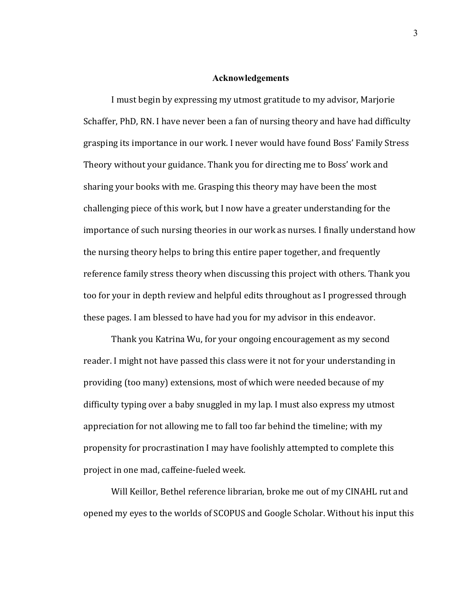#### **Acknowledgements**

I must begin by expressing my utmost gratitude to my advisor, Marjorie Schaffer, PhD, RN. I have never been a fan of nursing theory and have had difficulty grasping its importance in our work. I never would have found Boss' Family Stress Theory without your guidance. Thank you for directing me to Boss' work and sharing your books with me. Grasping this theory may have been the most challenging piece of this work, but I now have a greater understanding for the importance of such nursing theories in our work as nurses. I finally understand how the nursing theory helps to bring this entire paper together, and frequently reference family stress theory when discussing this project with others. Thank you too for your in depth review and helpful edits throughout as I progressed through these pages. I am blessed to have had you for my advisor in this endeavor.

Thank you Katrina Wu, for your ongoing encouragement as my second reader. I might not have passed this class were it not for your understanding in providing (too many) extensions, most of which were needed because of my difficulty typing over a baby snuggled in my lap. I must also express my utmost appreciation for not allowing me to fall too far behind the timeline; with my propensity for procrastination I may have foolishly attempted to complete this project in one mad, caffeine-fueled week.

Will Keillor, Bethel reference librarian, broke me out of my CINAHL rut and opened my eyes to the worlds of SCOPUS and Google Scholar. Without his input this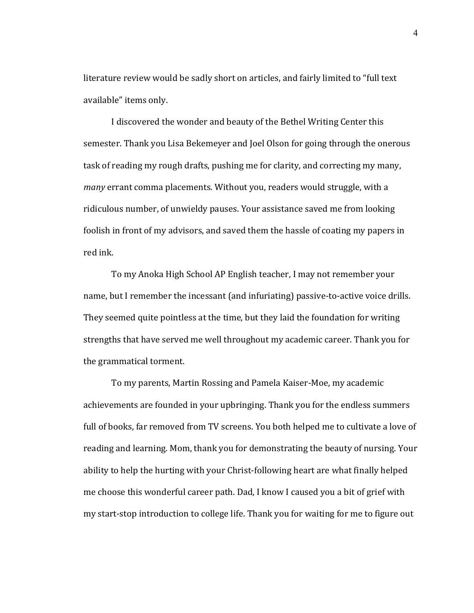literature review would be sadly short on articles, and fairly limited to "full text available" items only.

I discovered the wonder and beauty of the Bethel Writing Center this semester. Thank you Lisa Bekemeyer and Joel Olson for going through the onerous task of reading my rough drafts, pushing me for clarity, and correcting my many, *many* errant comma placements. Without you, readers would struggle, with a ridiculous number, of unwieldy pauses. Your assistance saved me from looking foolish in front of my advisors, and saved them the hassle of coating my papers in red ink.

To my Anoka High School AP English teacher, I may not remember your name, but I remember the incessant (and infuriating) passive-to-active voice drills. They seemed quite pointless at the time, but they laid the foundation for writing strengths that have served me well throughout my academic career. Thank you for the grammatical torment.

To my parents, Martin Rossing and Pamela Kaiser-Moe, my academic achievements are founded in your upbringing. Thank you for the endless summers full of books, far removed from TV screens. You both helped me to cultivate a love of reading and learning. Mom, thank you for demonstrating the beauty of nursing. Your ability to help the hurting with your Christ-following heart are what finally helped me choose this wonderful career path. Dad, I know I caused you a bit of grief with my start-stop introduction to college life. Thank you for waiting for me to figure out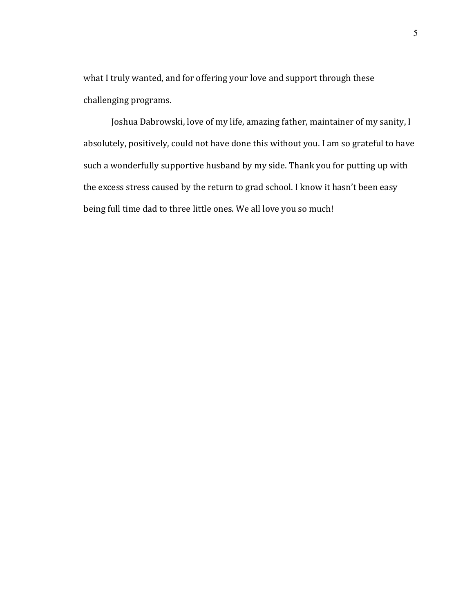what I truly wanted, and for offering your love and support through these challenging programs.

Joshua Dabrowski, love of my life, amazing father, maintainer of my sanity, I absolutely, positively, could not have done this without you. I am so grateful to have such a wonderfully supportive husband by my side. Thank you for putting up with the excess stress caused by the return to grad school. I know it hasn't been easy being full time dad to three little ones. We all love you so much!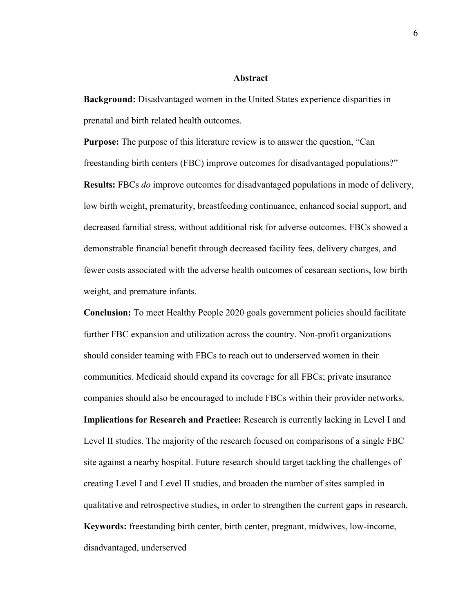#### **Abstract**

**Background:** Disadvantaged women in the United States experience disparities in prenatal and birth related health outcomes.

**Purpose:** The purpose of this literature review is to answer the question, "Can freestanding birth centers (FBC) improve outcomes for disadvantaged populations?" **Results:** FBCs *do* improve outcomes for disadvantaged populations in mode of delivery, low birth weight, prematurity, breastfeeding continuance, enhanced social support, and decreased familial stress, without additional risk for adverse outcomes. FBCs showed a demonstrable financial benefit through decreased facility fees, delivery charges, and fewer costs associated with the adverse health outcomes of cesarean sections, low birth weight, and premature infants.

**Conclusion:** To meet Healthy People 2020 goals government policies should facilitate further FBC expansion and utilization across the country. Non-profit organizations should consider teaming with FBCs to reach out to underserved women in their communities. Medicaid should expand its coverage for all FBCs; private insurance companies should also be encouraged to include FBCs within their provider networks. **Implications for Research and Practice:** Research is currently lacking in Level I and Level II studies. The majority of the research focused on comparisons of a single FBC site against a nearby hospital. Future research should target tackling the challenges of creating Level I and Level II studies, and broaden the number of sites sampled in qualitative and retrospective studies, in order to strengthen the current gaps in research. **Keywords:** freestanding birth center, birth center, pregnant, midwives, low-income, disadvantaged, underserved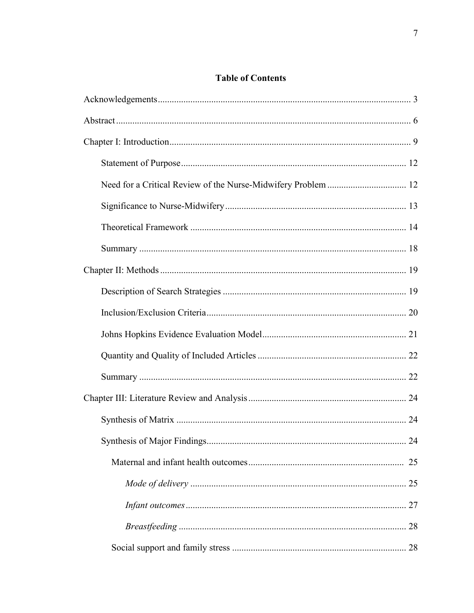# **Table of Contents**

| 24 |
|----|
|    |
|    |
|    |
|    |
|    |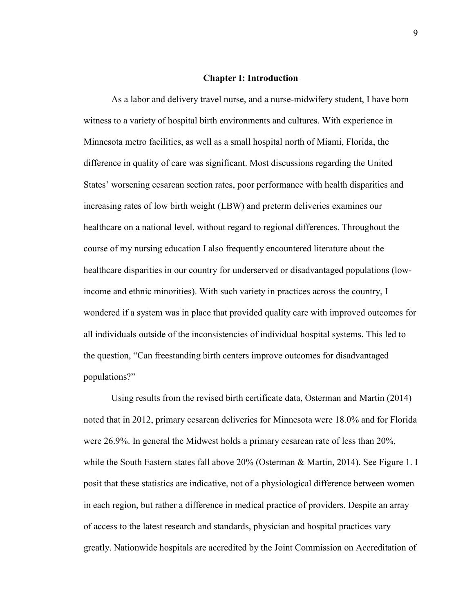#### **Chapter I: Introduction**

 As a labor and delivery travel nurse, and a nurse-midwifery student, I have born witness to a variety of hospital birth environments and cultures. With experience in Minnesota metro facilities, as well as a small hospital north of Miami, Florida, the difference in quality of care was significant. Most discussions regarding the United States' worsening cesarean section rates, poor performance with health disparities and increasing rates of low birth weight (LBW) and preterm deliveries examines our healthcare on a national level, without regard to regional differences. Throughout the course of my nursing education I also frequently encountered literature about the healthcare disparities in our country for underserved or disadvantaged populations (lowincome and ethnic minorities). With such variety in practices across the country, I wondered if a system was in place that provided quality care with improved outcomes for all individuals outside of the inconsistencies of individual hospital systems. This led to the question, "Can freestanding birth centers improve outcomes for disadvantaged populations?"

Using results from the revised birth certificate data, Osterman and Martin (2014) noted that in 2012, primary cesarean deliveries for Minnesota were 18.0% and for Florida were 26.9%. In general the Midwest holds a primary cesarean rate of less than 20%, while the South Eastern states fall above 20% (Osterman & Martin, 2014). See Figure 1. I posit that these statistics are indicative, not of a physiological difference between women in each region, but rather a difference in medical practice of providers. Despite an array of access to the latest research and standards, physician and hospital practices vary greatly. Nationwide hospitals are accredited by the Joint Commission on Accreditation of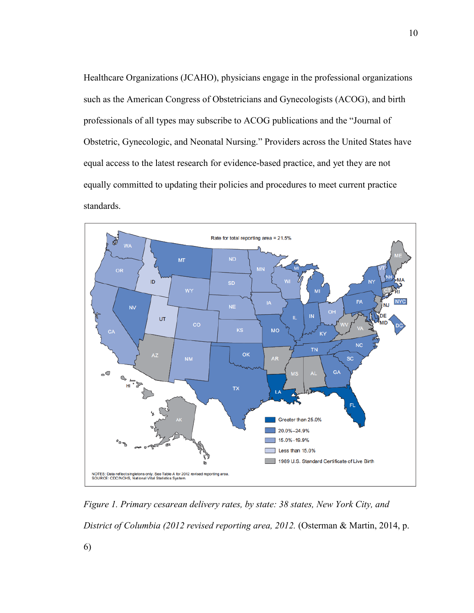Healthcare Organizations (JCAHO), physicians engage in the professional organizations such as the American Congress of Obstetricians and Gynecologists (ACOG), and birth professionals of all types may subscribe to ACOG publications and the "Journal of Obstetric, Gynecologic, and Neonatal Nursing." Providers across the United States have equal access to the latest research for evidence-based practice, and yet they are not equally committed to updating their policies and procedures to meet current practice standards.



*Figure 1. Primary cesarean delivery rates, by state: 38 states, New York City, and District of Columbia (2012 revised reporting area, 2012.* (Osterman & Martin, 2014, p.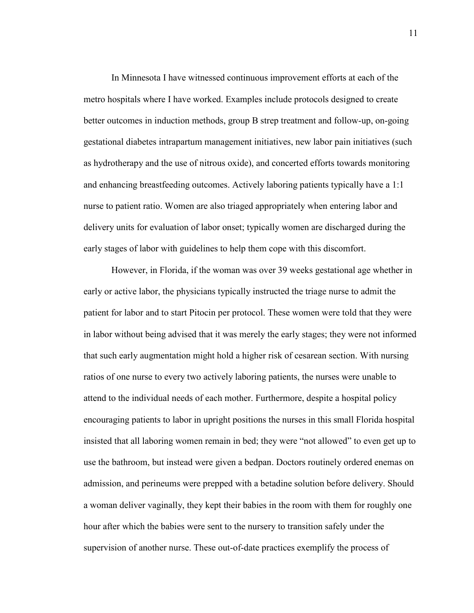In Minnesota I have witnessed continuous improvement efforts at each of the metro hospitals where I have worked. Examples include protocols designed to create better outcomes in induction methods, group B strep treatment and follow-up, on-going gestational diabetes intrapartum management initiatives, new labor pain initiatives (such as hydrotherapy and the use of nitrous oxide), and concerted efforts towards monitoring and enhancing breastfeeding outcomes. Actively laboring patients typically have a 1:1 nurse to patient ratio. Women are also triaged appropriately when entering labor and delivery units for evaluation of labor onset; typically women are discharged during the early stages of labor with guidelines to help them cope with this discomfort.

However, in Florida, if the woman was over 39 weeks gestational age whether in early or active labor, the physicians typically instructed the triage nurse to admit the patient for labor and to start Pitocin per protocol. These women were told that they were in labor without being advised that it was merely the early stages; they were not informed that such early augmentation might hold a higher risk of cesarean section. With nursing ratios of one nurse to every two actively laboring patients, the nurses were unable to attend to the individual needs of each mother. Furthermore, despite a hospital policy encouraging patients to labor in upright positions the nurses in this small Florida hospital insisted that all laboring women remain in bed; they were "not allowed" to even get up to use the bathroom, but instead were given a bedpan. Doctors routinely ordered enemas on admission, and perineums were prepped with a betadine solution before delivery. Should a woman deliver vaginally, they kept their babies in the room with them for roughly one hour after which the babies were sent to the nursery to transition safely under the supervision of another nurse. These out-of-date practices exemplify the process of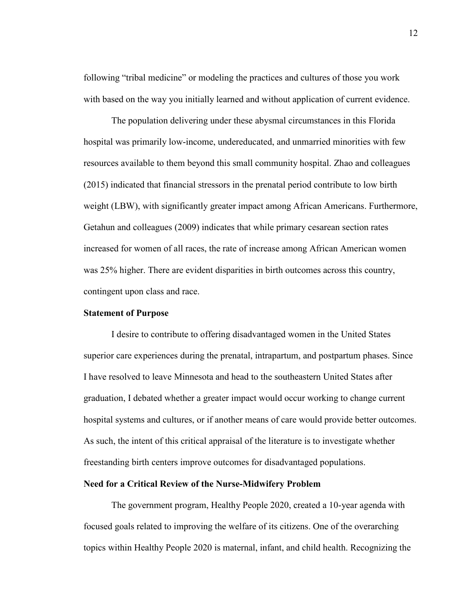following "tribal medicine" or modeling the practices and cultures of those you work with based on the way you initially learned and without application of current evidence.

The population delivering under these abysmal circumstances in this Florida hospital was primarily low-income, undereducated, and unmarried minorities with few resources available to them beyond this small community hospital. Zhao and colleagues (2015) indicated that financial stressors in the prenatal period contribute to low birth weight (LBW), with significantly greater impact among African Americans. Furthermore, Getahun and colleagues (2009) indicates that while primary cesarean section rates increased for women of all races, the rate of increase among African American women was 25% higher. There are evident disparities in birth outcomes across this country, contingent upon class and race.

#### **Statement of Purpose**

I desire to contribute to offering disadvantaged women in the United States superior care experiences during the prenatal, intrapartum, and postpartum phases. Since I have resolved to leave Minnesota and head to the southeastern United States after graduation, I debated whether a greater impact would occur working to change current hospital systems and cultures, or if another means of care would provide better outcomes. As such, the intent of this critical appraisal of the literature is to investigate whether freestanding birth centers improve outcomes for disadvantaged populations.

#### **Need for a Critical Review of the Nurse-Midwifery Problem**

 The government program, Healthy People 2020, created a 10-year agenda with focused goals related to improving the welfare of its citizens. One of the overarching topics within Healthy People 2020 is maternal, infant, and child health. Recognizing the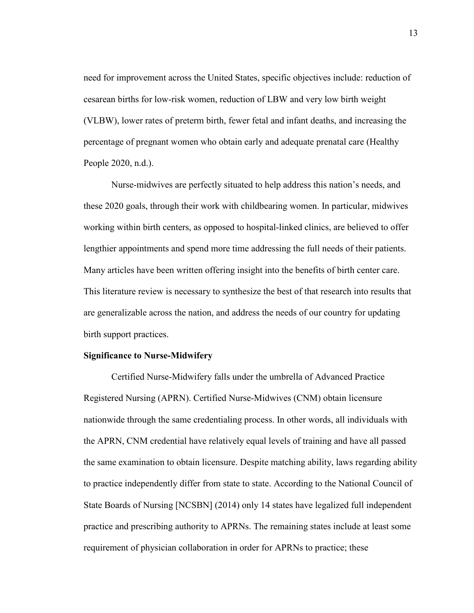need for improvement across the United States, specific objectives include: reduction of cesarean births for low-risk women, reduction of LBW and very low birth weight (VLBW), lower rates of preterm birth, fewer fetal and infant deaths, and increasing the percentage of pregnant women who obtain early and adequate prenatal care (Healthy People 2020, n.d.).

Nurse-midwives are perfectly situated to help address this nation's needs, and these 2020 goals, through their work with childbearing women. In particular, midwives working within birth centers, as opposed to hospital-linked clinics, are believed to offer lengthier appointments and spend more time addressing the full needs of their patients. Many articles have been written offering insight into the benefits of birth center care. This literature review is necessary to synthesize the best of that research into results that are generalizable across the nation, and address the needs of our country for updating birth support practices.

#### **Significance to Nurse-Midwifery**

Certified Nurse-Midwifery falls under the umbrella of Advanced Practice Registered Nursing (APRN). Certified Nurse-Midwives (CNM) obtain licensure nationwide through the same credentialing process. In other words, all individuals with the APRN, CNM credential have relatively equal levels of training and have all passed the same examination to obtain licensure. Despite matching ability, laws regarding ability to practice independently differ from state to state. According to the National Council of State Boards of Nursing [NCSBN] (2014) only 14 states have legalized full independent practice and prescribing authority to APRNs. The remaining states include at least some requirement of physician collaboration in order for APRNs to practice; these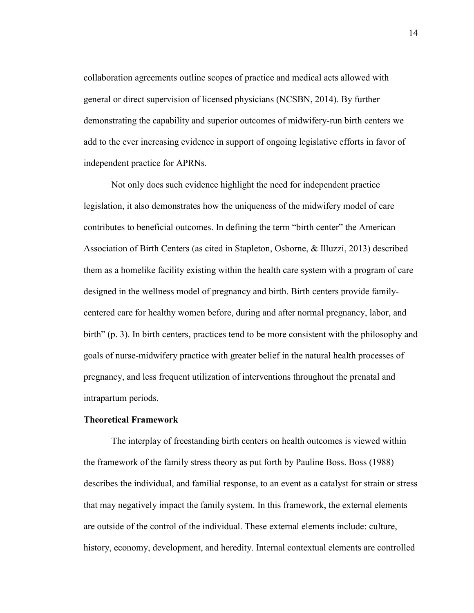collaboration agreements outline scopes of practice and medical acts allowed with general or direct supervision of licensed physicians (NCSBN, 2014). By further demonstrating the capability and superior outcomes of midwifery-run birth centers we add to the ever increasing evidence in support of ongoing legislative efforts in favor of independent practice for APRNs.

 Not only does such evidence highlight the need for independent practice legislation, it also demonstrates how the uniqueness of the midwifery model of care contributes to beneficial outcomes. In defining the term "birth center" the American Association of Birth Centers (as cited in Stapleton, Osborne, & Illuzzi, 2013) described them as a homelike facility existing within the health care system with a program of care designed in the wellness model of pregnancy and birth. Birth centers provide familycentered care for healthy women before, during and after normal pregnancy, labor, and birth" (p. 3). In birth centers, practices tend to be more consistent with the philosophy and goals of nurse-midwifery practice with greater belief in the natural health processes of pregnancy, and less frequent utilization of interventions throughout the prenatal and intrapartum periods.

#### **Theoretical Framework**

 The interplay of freestanding birth centers on health outcomes is viewed within the framework of the family stress theory as put forth by Pauline Boss. Boss (1988) describes the individual, and familial response, to an event as a catalyst for strain or stress that may negatively impact the family system. In this framework, the external elements are outside of the control of the individual. These external elements include: culture, history, economy, development, and heredity. Internal contextual elements are controlled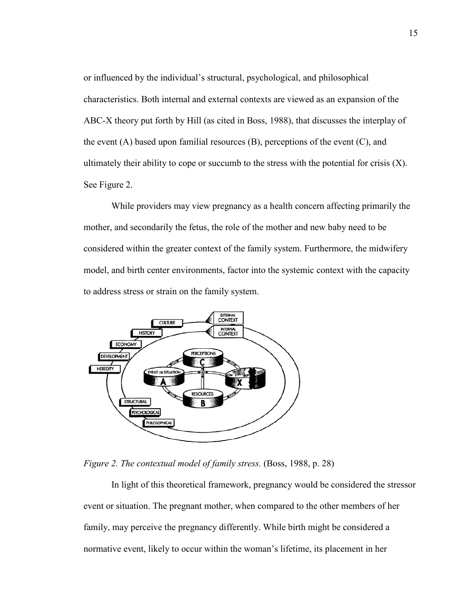or influenced by the individual's structural, psychological, and philosophical characteristics. Both internal and external contexts are viewed as an expansion of the ABC-X theory put forth by Hill (as cited in Boss, 1988), that discusses the interplay of the event  $(A)$  based upon familial resources  $(B)$ , perceptions of the event  $(C)$ , and ultimately their ability to cope or succumb to the stress with the potential for crisis  $(X)$ . See Figure 2.

While providers may view pregnancy as a health concern affecting primarily the mother, and secondarily the fetus, the role of the mother and new baby need to be considered within the greater context of the family system. Furthermore, the midwifery model, and birth center environments, factor into the systemic context with the capacity to address stress or strain on the family system.



*Figure 2. The contextual model of family stress.* (Boss, 1988, p. 28)

 In light of this theoretical framework, pregnancy would be considered the stressor event or situation. The pregnant mother, when compared to the other members of her family, may perceive the pregnancy differently. While birth might be considered a normative event, likely to occur within the woman's lifetime, its placement in her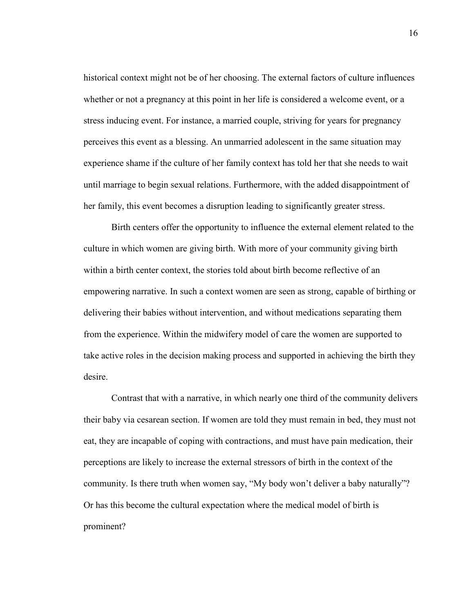historical context might not be of her choosing. The external factors of culture influences whether or not a pregnancy at this point in her life is considered a welcome event, or a stress inducing event. For instance, a married couple, striving for years for pregnancy perceives this event as a blessing. An unmarried adolescent in the same situation may experience shame if the culture of her family context has told her that she needs to wait until marriage to begin sexual relations. Furthermore, with the added disappointment of her family, this event becomes a disruption leading to significantly greater stress.

 Birth centers offer the opportunity to influence the external element related to the culture in which women are giving birth. With more of your community giving birth within a birth center context, the stories told about birth become reflective of an empowering narrative. In such a context women are seen as strong, capable of birthing or delivering their babies without intervention, and without medications separating them from the experience. Within the midwifery model of care the women are supported to take active roles in the decision making process and supported in achieving the birth they desire.

 Contrast that with a narrative, in which nearly one third of the community delivers their baby via cesarean section. If women are told they must remain in bed, they must not eat, they are incapable of coping with contractions, and must have pain medication, their perceptions are likely to increase the external stressors of birth in the context of the community. Is there truth when women say, "My body won't deliver a baby naturally"? Or has this become the cultural expectation where the medical model of birth is prominent?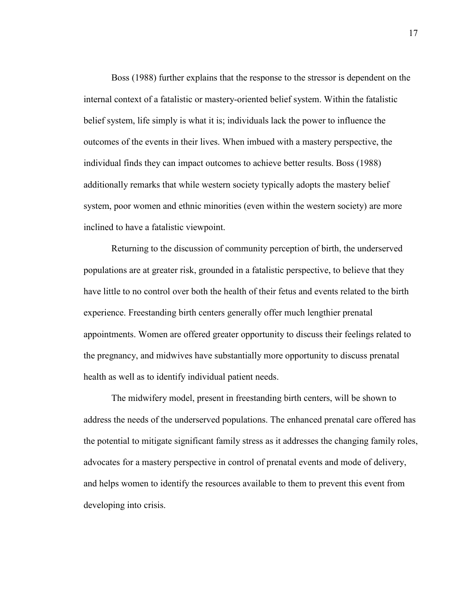Boss (1988) further explains that the response to the stressor is dependent on the internal context of a fatalistic or mastery-oriented belief system. Within the fatalistic belief system, life simply is what it is; individuals lack the power to influence the outcomes of the events in their lives. When imbued with a mastery perspective, the individual finds they can impact outcomes to achieve better results. Boss (1988) additionally remarks that while western society typically adopts the mastery belief system, poor women and ethnic minorities (even within the western society) are more inclined to have a fatalistic viewpoint.

Returning to the discussion of community perception of birth, the underserved populations are at greater risk, grounded in a fatalistic perspective, to believe that they have little to no control over both the health of their fetus and events related to the birth experience. Freestanding birth centers generally offer much lengthier prenatal appointments. Women are offered greater opportunity to discuss their feelings related to the pregnancy, and midwives have substantially more opportunity to discuss prenatal health as well as to identify individual patient needs.

The midwifery model, present in freestanding birth centers, will be shown to address the needs of the underserved populations. The enhanced prenatal care offered has the potential to mitigate significant family stress as it addresses the changing family roles, advocates for a mastery perspective in control of prenatal events and mode of delivery, and helps women to identify the resources available to them to prevent this event from developing into crisis.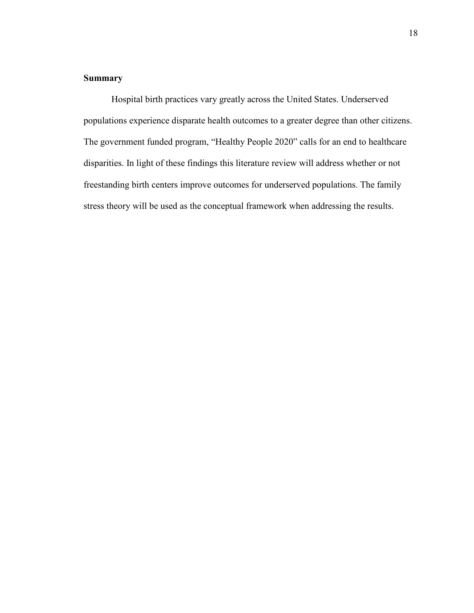## **Summary**

Hospital birth practices vary greatly across the United States. Underserved populations experience disparate health outcomes to a greater degree than other citizens. The government funded program, "Healthy People 2020" calls for an end to healthcare disparities. In light of these findings this literature review will address whether or not freestanding birth centers improve outcomes for underserved populations. The family stress theory will be used as the conceptual framework when addressing the results.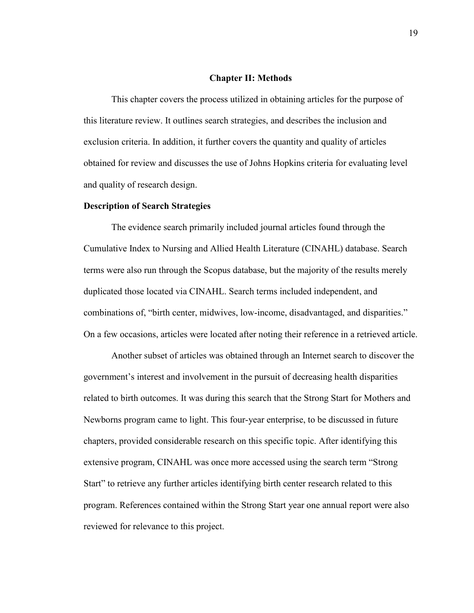#### **Chapter II: Methods**

 This chapter covers the process utilized in obtaining articles for the purpose of this literature review. It outlines search strategies, and describes the inclusion and exclusion criteria. In addition, it further covers the quantity and quality of articles obtained for review and discusses the use of Johns Hopkins criteria for evaluating level and quality of research design.

#### **Description of Search Strategies**

 The evidence search primarily included journal articles found through the Cumulative Index to Nursing and Allied Health Literature (CINAHL) database. Search terms were also run through the Scopus database, but the majority of the results merely duplicated those located via CINAHL. Search terms included independent, and combinations of, "birth center, midwives, low-income, disadvantaged, and disparities." On a few occasions, articles were located after noting their reference in a retrieved article.

 Another subset of articles was obtained through an Internet search to discover the government's interest and involvement in the pursuit of decreasing health disparities related to birth outcomes. It was during this search that the Strong Start for Mothers and Newborns program came to light. This four-year enterprise, to be discussed in future chapters, provided considerable research on this specific topic. After identifying this extensive program, CINAHL was once more accessed using the search term "Strong Start" to retrieve any further articles identifying birth center research related to this program. References contained within the Strong Start year one annual report were also reviewed for relevance to this project.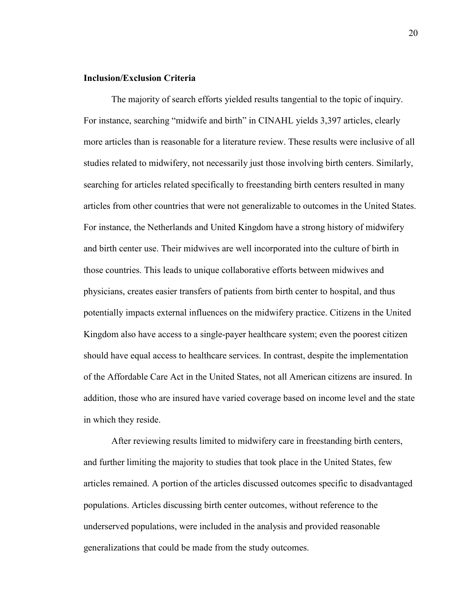#### **Inclusion/Exclusion Criteria**

The majority of search efforts yielded results tangential to the topic of inquiry. For instance, searching "midwife and birth" in CINAHL yields 3,397 articles, clearly more articles than is reasonable for a literature review. These results were inclusive of all studies related to midwifery, not necessarily just those involving birth centers. Similarly, searching for articles related specifically to freestanding birth centers resulted in many articles from other countries that were not generalizable to outcomes in the United States. For instance, the Netherlands and United Kingdom have a strong history of midwifery and birth center use. Their midwives are well incorporated into the culture of birth in those countries. This leads to unique collaborative efforts between midwives and physicians, creates easier transfers of patients from birth center to hospital, and thus potentially impacts external influences on the midwifery practice. Citizens in the United Kingdom also have access to a single-payer healthcare system; even the poorest citizen should have equal access to healthcare services. In contrast, despite the implementation of the Affordable Care Act in the United States, not all American citizens are insured. In addition, those who are insured have varied coverage based on income level and the state in which they reside.

After reviewing results limited to midwifery care in freestanding birth centers, and further limiting the majority to studies that took place in the United States, few articles remained. A portion of the articles discussed outcomes specific to disadvantaged populations. Articles discussing birth center outcomes, without reference to the underserved populations, were included in the analysis and provided reasonable generalizations that could be made from the study outcomes.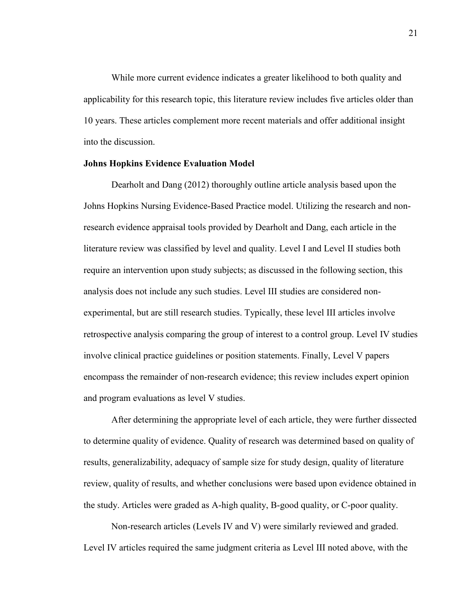While more current evidence indicates a greater likelihood to both quality and applicability for this research topic, this literature review includes five articles older than 10 years. These articles complement more recent materials and offer additional insight into the discussion.

#### **Johns Hopkins Evidence Evaluation Model**

 Dearholt and Dang (2012) thoroughly outline article analysis based upon the Johns Hopkins Nursing Evidence-Based Practice model. Utilizing the research and nonresearch evidence appraisal tools provided by Dearholt and Dang, each article in the literature review was classified by level and quality. Level I and Level II studies both require an intervention upon study subjects; as discussed in the following section, this analysis does not include any such studies. Level III studies are considered nonexperimental, but are still research studies. Typically, these level III articles involve retrospective analysis comparing the group of interest to a control group. Level IV studies involve clinical practice guidelines or position statements. Finally, Level V papers encompass the remainder of non-research evidence; this review includes expert opinion and program evaluations as level V studies.

After determining the appropriate level of each article, they were further dissected to determine quality of evidence. Quality of research was determined based on quality of results, generalizability, adequacy of sample size for study design, quality of literature review, quality of results, and whether conclusions were based upon evidence obtained in the study. Articles were graded as A-high quality, B-good quality, or C-poor quality.

Non-research articles (Levels IV and V) were similarly reviewed and graded. Level IV articles required the same judgment criteria as Level III noted above, with the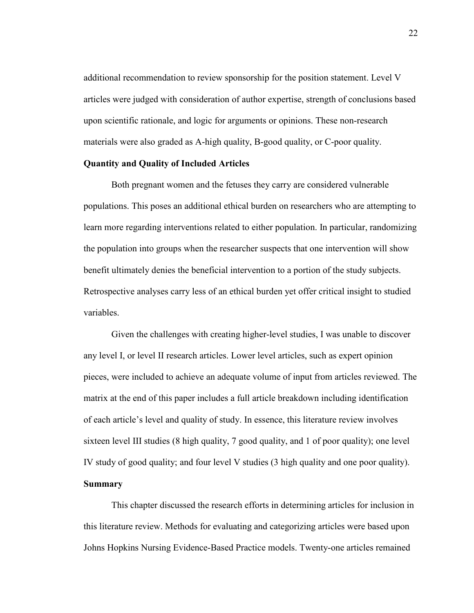additional recommendation to review sponsorship for the position statement. Level V articles were judged with consideration of author expertise, strength of conclusions based upon scientific rationale, and logic for arguments or opinions. These non-research materials were also graded as A-high quality, B-good quality, or C-poor quality.

#### **Quantity and Quality of Included Articles**

 Both pregnant women and the fetuses they carry are considered vulnerable populations. This poses an additional ethical burden on researchers who are attempting to learn more regarding interventions related to either population. In particular, randomizing the population into groups when the researcher suspects that one intervention will show benefit ultimately denies the beneficial intervention to a portion of the study subjects. Retrospective analyses carry less of an ethical burden yet offer critical insight to studied variables.

Given the challenges with creating higher-level studies, I was unable to discover any level I, or level II research articles. Lower level articles, such as expert opinion pieces, were included to achieve an adequate volume of input from articles reviewed. The matrix at the end of this paper includes a full article breakdown including identification of each article's level and quality of study. In essence, this literature review involves sixteen level III studies (8 high quality, 7 good quality, and 1 of poor quality); one level IV study of good quality; and four level V studies (3 high quality and one poor quality). **Summary**

This chapter discussed the research efforts in determining articles for inclusion in this literature review. Methods for evaluating and categorizing articles were based upon Johns Hopkins Nursing Evidence-Based Practice models. Twenty-one articles remained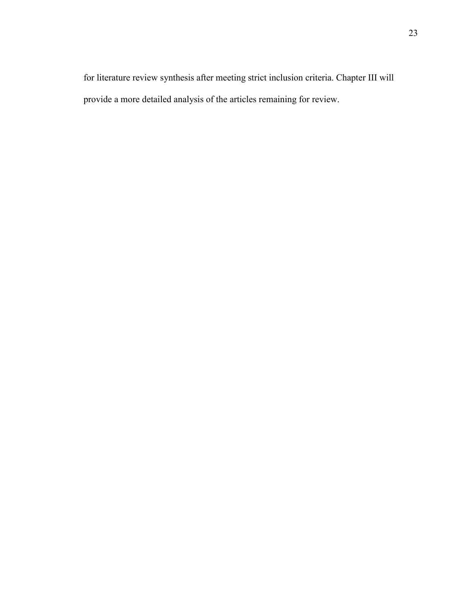for literature review synthesis after meeting strict inclusion criteria. Chapter III will provide a more detailed analysis of the articles remaining for review.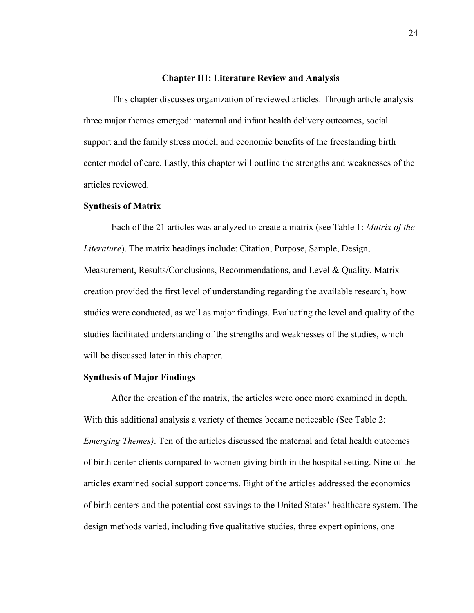#### **Chapter III: Literature Review and Analysis**

 This chapter discusses organization of reviewed articles. Through article analysis three major themes emerged: maternal and infant health delivery outcomes, social support and the family stress model, and economic benefits of the freestanding birth center model of care. Lastly, this chapter will outline the strengths and weaknesses of the articles reviewed.

#### **Synthesis of Matrix**

Each of the 21 articles was analyzed to create a matrix (see Table 1: *Matrix of the Literature*). The matrix headings include: Citation, Purpose, Sample, Design, Measurement, Results/Conclusions, Recommendations, and Level & Quality. Matrix creation provided the first level of understanding regarding the available research, how studies were conducted, as well as major findings. Evaluating the level and quality of the studies facilitated understanding of the strengths and weaknesses of the studies, which will be discussed later in this chapter.

#### **Synthesis of Major Findings**

After the creation of the matrix, the articles were once more examined in depth. With this additional analysis a variety of themes became noticeable (See Table 2: *Emerging Themes)*. Ten of the articles discussed the maternal and fetal health outcomes of birth center clients compared to women giving birth in the hospital setting. Nine of the articles examined social support concerns. Eight of the articles addressed the economics of birth centers and the potential cost savings to the United States' healthcare system. The design methods varied, including five qualitative studies, three expert opinions, one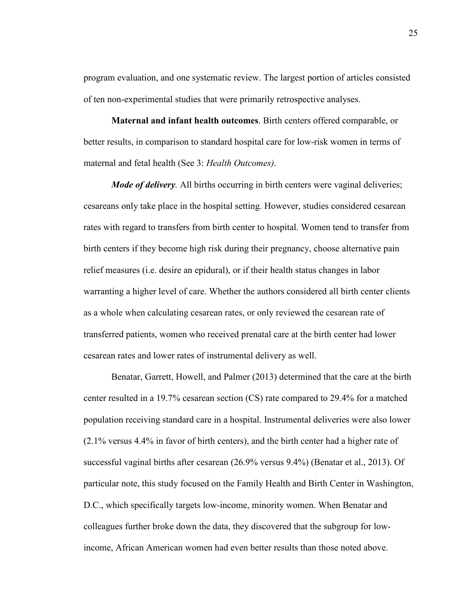program evaluation, and one systematic review. The largest portion of articles consisted of ten non-experimental studies that were primarily retrospective analyses.

**Maternal and infant health outcomes**. Birth centers offered comparable, or better results, in comparison to standard hospital care for low-risk women in terms of maternal and fetal health (See 3: *Health Outcomes)*.

*Mode of delivery*. All births occurring in birth centers were vaginal deliveries; cesareans only take place in the hospital setting. However, studies considered cesarean rates with regard to transfers from birth center to hospital. Women tend to transfer from birth centers if they become high risk during their pregnancy, choose alternative pain relief measures (i.e. desire an epidural), or if their health status changes in labor warranting a higher level of care. Whether the authors considered all birth center clients as a whole when calculating cesarean rates, or only reviewed the cesarean rate of transferred patients, women who received prenatal care at the birth center had lower cesarean rates and lower rates of instrumental delivery as well.

Benatar, Garrett, Howell, and Palmer (2013) determined that the care at the birth center resulted in a 19.7% cesarean section (CS) rate compared to 29.4% for a matched population receiving standard care in a hospital. Instrumental deliveries were also lower (2.1% versus 4.4% in favor of birth centers), and the birth center had a higher rate of successful vaginal births after cesarean (26.9% versus 9.4%) (Benatar et al., 2013). Of particular note, this study focused on the Family Health and Birth Center in Washington, D.C., which specifically targets low-income, minority women. When Benatar and colleagues further broke down the data, they discovered that the subgroup for lowincome, African American women had even better results than those noted above.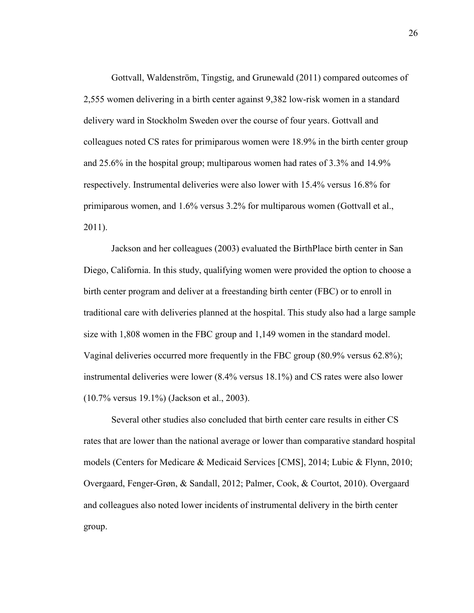Gottvall, Waldenström, Tingstig, and Grunewald (2011) compared outcomes of 2,555 women delivering in a birth center against 9,382 low-risk women in a standard delivery ward in Stockholm Sweden over the course of four years. Gottvall and colleagues noted CS rates for primiparous women were 18.9% in the birth center group and 25.6% in the hospital group; multiparous women had rates of 3.3% and 14.9% respectively. Instrumental deliveries were also lower with 15.4% versus 16.8% for primiparous women, and 1.6% versus 3.2% for multiparous women (Gottvall et al., 2011).

Jackson and her colleagues (2003) evaluated the BirthPlace birth center in San Diego, California. In this study, qualifying women were provided the option to choose a birth center program and deliver at a freestanding birth center (FBC) or to enroll in traditional care with deliveries planned at the hospital. This study also had a large sample size with 1,808 women in the FBC group and 1,149 women in the standard model. Vaginal deliveries occurred more frequently in the FBC group (80.9% versus 62.8%); instrumental deliveries were lower (8.4% versus 18.1%) and CS rates were also lower (10.7% versus 19.1%) (Jackson et al., 2003).

Several other studies also concluded that birth center care results in either CS rates that are lower than the national average or lower than comparative standard hospital models (Centers for Medicare & Medicaid Services [CMS], 2014; Lubic & Flynn, 2010; Overgaard, Fenger-Grøn, & Sandall, 2012; Palmer, Cook, & Courtot, 2010). Overgaard and colleagues also noted lower incidents of instrumental delivery in the birth center group.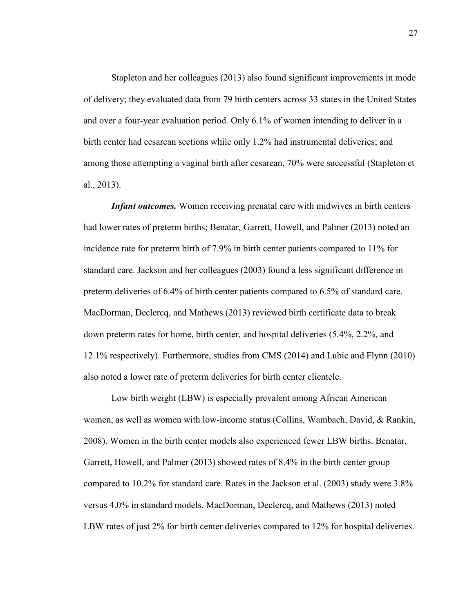Stapleton and her colleagues (2013) also found significant improvements in mode of delivery; they evaluated data from 79 birth centers across 33 states in the United States and over a four-year evaluation period. Only 6.1% of women intending to deliver in a birth center had cesarean sections while only 1.2% had instrumental deliveries; and among those attempting a vaginal birth after cesarean, 70% were successful (Stapleton et al., 2013).

*Infant outcomes.* Women receiving prenatal care with midwives in birth centers had lower rates of preterm births; Benatar, Garrett, Howell, and Palmer (2013) noted an incidence rate for preterm birth of 7.9% in birth center patients compared to 11% for standard care. Jackson and her colleagues (2003) found a less significant difference in preterm deliveries of 6.4% of birth center patients compared to 6.5% of standard care. MacDorman, Declercq, and Mathews (2013) reviewed birth certificate data to break down preterm rates for home, birth center, and hospital deliveries (5.4%, 2.2%, and 12.1% respectively). Furthermore, studies from CMS (2014) and Lubic and Flynn (2010) also noted a lower rate of preterm deliveries for birth center clientele.

Low birth weight (LBW) is especially prevalent among African American women, as well as women with low-income status (Collins, Wambach, David, & Rankin, 2008). Women in the birth center models also experienced fewer LBW births. Benatar, Garrett, Howell, and Palmer (2013) showed rates of 8.4% in the birth center group compared to 10.2% for standard care. Rates in the Jackson et al. (2003) study were 3.8% versus 4.0% in standard models. MacDorman, Declercq, and Mathews (2013) noted LBW rates of just 2% for birth center deliveries compared to 12% for hospital deliveries.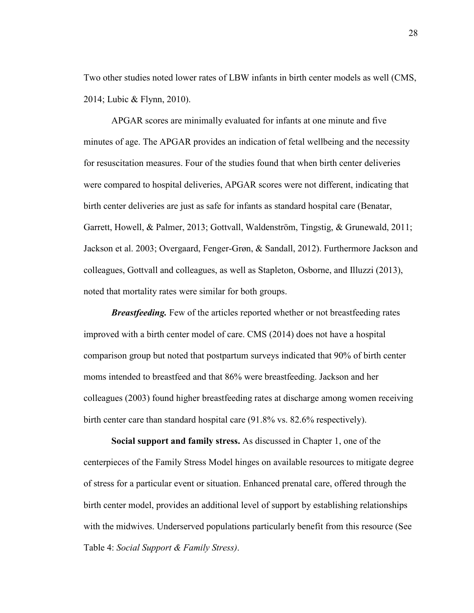Two other studies noted lower rates of LBW infants in birth center models as well (CMS, 2014; Lubic & Flynn, 2010).

APGAR scores are minimally evaluated for infants at one minute and five minutes of age. The APGAR provides an indication of fetal wellbeing and the necessity for resuscitation measures. Four of the studies found that when birth center deliveries were compared to hospital deliveries, APGAR scores were not different, indicating that birth center deliveries are just as safe for infants as standard hospital care (Benatar, Garrett, Howell, & Palmer, 2013; Gottvall, Waldenström, Tingstig, & Grunewald, 2011; Jackson et al. 2003; Overgaard, Fenger-Grøn, & Sandall, 2012). Furthermore Jackson and colleagues, Gottvall and colleagues, as well as Stapleton, Osborne, and Illuzzi (2013), noted that mortality rates were similar for both groups.

*Breastfeeding.* Few of the articles reported whether or not breastfeeding rates improved with a birth center model of care. CMS (2014) does not have a hospital comparison group but noted that postpartum surveys indicated that 90% of birth center moms intended to breastfeed and that 86% were breastfeeding. Jackson and her colleagues (2003) found higher breastfeeding rates at discharge among women receiving birth center care than standard hospital care (91.8% vs. 82.6% respectively).

**Social support and family stress.** As discussed in Chapter 1, one of the centerpieces of the Family Stress Model hinges on available resources to mitigate degree of stress for a particular event or situation. Enhanced prenatal care, offered through the birth center model, provides an additional level of support by establishing relationships with the midwives. Underserved populations particularly benefit from this resource (See Table 4: *Social Support & Family Stress)*.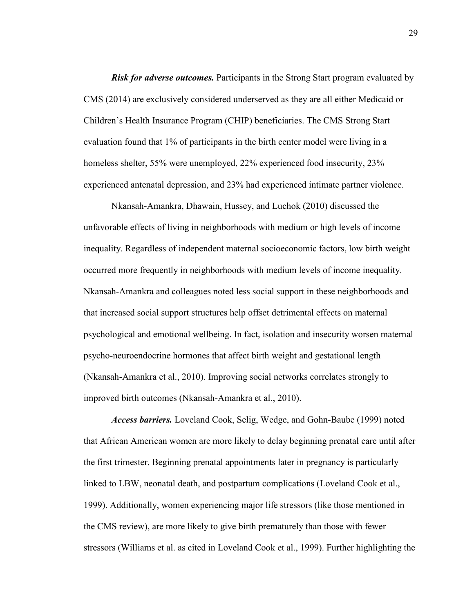*Risk for adverse outcomes.* Participants in the Strong Start program evaluated by CMS (2014) are exclusively considered underserved as they are all either Medicaid or Children's Health Insurance Program (CHIP) beneficiaries. The CMS Strong Start evaluation found that 1% of participants in the birth center model were living in a homeless shelter, 55% were unemployed, 22% experienced food insecurity, 23% experienced antenatal depression, and 23% had experienced intimate partner violence.

Nkansah-Amankra, Dhawain, Hussey, and Luchok (2010) discussed the unfavorable effects of living in neighborhoods with medium or high levels of income inequality. Regardless of independent maternal socioeconomic factors, low birth weight occurred more frequently in neighborhoods with medium levels of income inequality. Nkansah-Amankra and colleagues noted less social support in these neighborhoods and that increased social support structures help offset detrimental effects on maternal psychological and emotional wellbeing. In fact, isolation and insecurity worsen maternal psycho-neuroendocrine hormones that affect birth weight and gestational length (Nkansah-Amankra et al., 2010). Improving social networks correlates strongly to improved birth outcomes (Nkansah-Amankra et al., 2010).

*Access barriers.* Loveland Cook, Selig, Wedge, and Gohn-Baube (1999) noted that African American women are more likely to delay beginning prenatal care until after the first trimester. Beginning prenatal appointments later in pregnancy is particularly linked to LBW, neonatal death, and postpartum complications (Loveland Cook et al., 1999). Additionally, women experiencing major life stressors (like those mentioned in the CMS review), are more likely to give birth prematurely than those with fewer stressors (Williams et al. as cited in Loveland Cook et al., 1999). Further highlighting the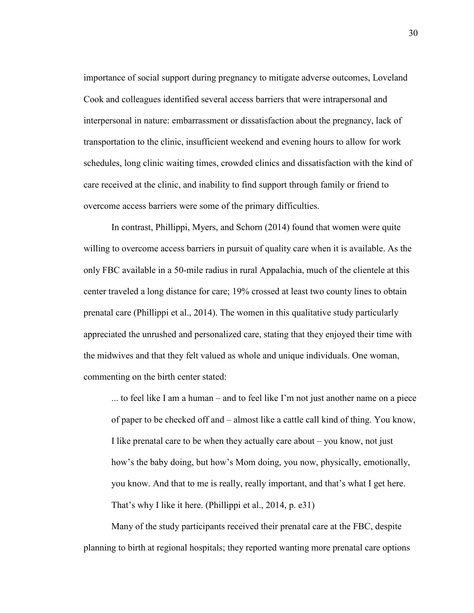importance of social support during pregnancy to mitigate adverse outcomes, Loveland Cook and colleagues identified several access barriers that were intrapersonal and interpersonal in nature: embarrassment or dissatisfaction about the pregnancy, lack of transportation to the clinic, insufficient weekend and evening hours to allow for work schedules, long clinic waiting times, crowded clinics and dissatisfaction with the kind of care received at the clinic, and inability to find support through family or friend to overcome access barriers were some of the primary difficulties.

In contrast, Phillippi, Myers, and Schorn (2014) found that women were quite willing to overcome access barriers in pursuit of quality care when it is available. As the only FBC available in a 50-mile radius in rural Appalachia, much of the clientele at this center traveled a long distance for care; 19% crossed at least two county lines to obtain prenatal care (Phillippi et al., 2014). The women in this qualitative study particularly appreciated the unrushed and personalized care, stating that they enjoyed their time with the midwives and that they felt valued as whole and unique individuals. One woman, commenting on the birth center stated:

... to feel like I am a human – and to feel like I'm not just another name on a piece of paper to be checked off and – almost like a cattle call kind of thing. You know, I like prenatal care to be when they actually care about – you know, not just how's the baby doing, but how's Mom doing, you now, physically, emotionally, you know. And that to me is really, really important, and that's what I get here. That's why I like it here. (Phillippi et al., 2014, p. e31)

Many of the study participants received their prenatal care at the FBC, despite planning to birth at regional hospitals; they reported wanting more prenatal care options

30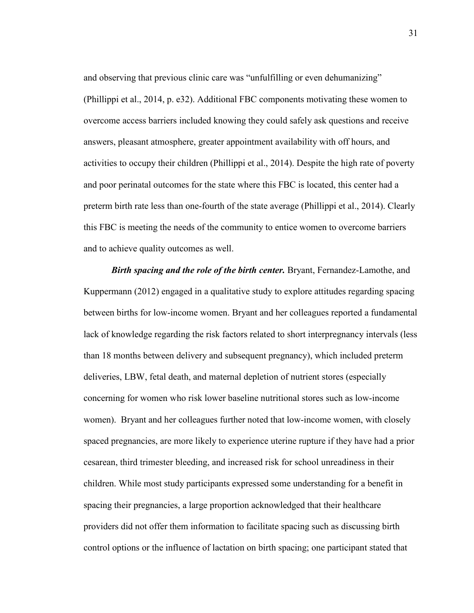and observing that previous clinic care was "unfulfilling or even dehumanizing" (Phillippi et al., 2014, p. e32). Additional FBC components motivating these women to overcome access barriers included knowing they could safely ask questions and receive answers, pleasant atmosphere, greater appointment availability with off hours, and activities to occupy their children (Phillippi et al., 2014). Despite the high rate of poverty and poor perinatal outcomes for the state where this FBC is located, this center had a preterm birth rate less than one-fourth of the state average (Phillippi et al., 2014). Clearly this FBC is meeting the needs of the community to entice women to overcome barriers and to achieve quality outcomes as well.

*Birth spacing and the role of the birth center.* Bryant, Fernandez-Lamothe, and Kuppermann (2012) engaged in a qualitative study to explore attitudes regarding spacing between births for low-income women. Bryant and her colleagues reported a fundamental lack of knowledge regarding the risk factors related to short interpregnancy intervals (less than 18 months between delivery and subsequent pregnancy), which included preterm deliveries, LBW, fetal death, and maternal depletion of nutrient stores (especially concerning for women who risk lower baseline nutritional stores such as low-income women). Bryant and her colleagues further noted that low-income women, with closely spaced pregnancies, are more likely to experience uterine rupture if they have had a prior cesarean, third trimester bleeding, and increased risk for school unreadiness in their children. While most study participants expressed some understanding for a benefit in spacing their pregnancies, a large proportion acknowledged that their healthcare providers did not offer them information to facilitate spacing such as discussing birth control options or the influence of lactation on birth spacing; one participant stated that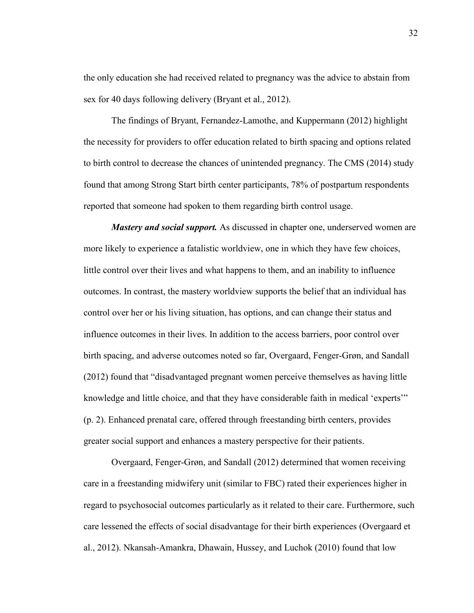the only education she had received related to pregnancy was the advice to abstain from sex for 40 days following delivery (Bryant et al., 2012).

 The findings of Bryant, Fernandez-Lamothe, and Kuppermann (2012) highlight the necessity for providers to offer education related to birth spacing and options related to birth control to decrease the chances of unintended pregnancy. The CMS (2014) study found that among Strong Start birth center participants, 78% of postpartum respondents reported that someone had spoken to them regarding birth control usage.

*Mastery and social support.* As discussed in chapter one, underserved women are more likely to experience a fatalistic worldview, one in which they have few choices, little control over their lives and what happens to them, and an inability to influence outcomes. In contrast, the mastery worldview supports the belief that an individual has control over her or his living situation, has options, and can change their status and influence outcomes in their lives. In addition to the access barriers, poor control over birth spacing, and adverse outcomes noted so far, Overgaard, Fenger-Grøn, and Sandall (2012) found that "disadvantaged pregnant women perceive themselves as having little knowledge and little choice, and that they have considerable faith in medical 'experts'" (p. 2). Enhanced prenatal care, offered through freestanding birth centers, provides greater social support and enhances a mastery perspective for their patients.

Overgaard, Fenger-Grøn, and Sandall (2012) determined that women receiving care in a freestanding midwifery unit (similar to FBC) rated their experiences higher in regard to psychosocial outcomes particularly as it related to their care. Furthermore, such care lessened the effects of social disadvantage for their birth experiences (Overgaard et al., 2012). Nkansah-Amankra, Dhawain, Hussey, and Luchok (2010) found that low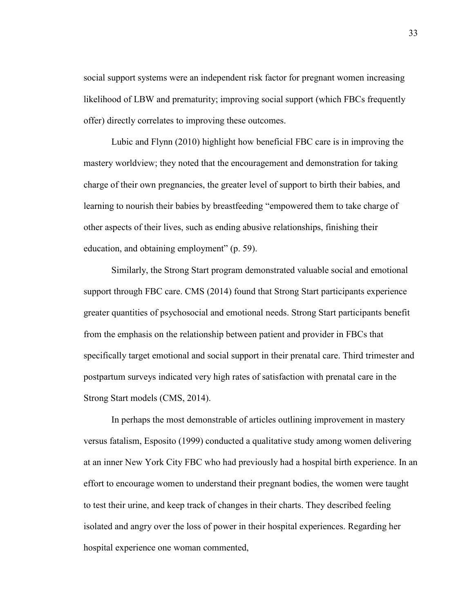social support systems were an independent risk factor for pregnant women increasing likelihood of LBW and prematurity; improving social support (which FBCs frequently offer) directly correlates to improving these outcomes.

 Lubic and Flynn (2010) highlight how beneficial FBC care is in improving the mastery worldview; they noted that the encouragement and demonstration for taking charge of their own pregnancies, the greater level of support to birth their babies, and learning to nourish their babies by breastfeeding "empowered them to take charge of other aspects of their lives, such as ending abusive relationships, finishing their education, and obtaining employment" (p. 59).

Similarly, the Strong Start program demonstrated valuable social and emotional support through FBC care. CMS (2014) found that Strong Start participants experience greater quantities of psychosocial and emotional needs. Strong Start participants benefit from the emphasis on the relationship between patient and provider in FBCs that specifically target emotional and social support in their prenatal care. Third trimester and postpartum surveys indicated very high rates of satisfaction with prenatal care in the Strong Start models (CMS, 2014).

In perhaps the most demonstrable of articles outlining improvement in mastery versus fatalism, Esposito (1999) conducted a qualitative study among women delivering at an inner New York City FBC who had previously had a hospital birth experience. In an effort to encourage women to understand their pregnant bodies, the women were taught to test their urine, and keep track of changes in their charts. They described feeling isolated and angry over the loss of power in their hospital experiences. Regarding her hospital experience one woman commented,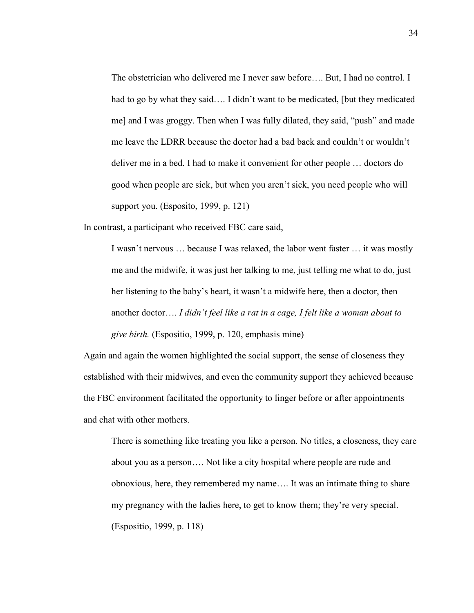The obstetrician who delivered me I never saw before…. But, I had no control. I had to go by what they said…. I didn't want to be medicated, [but they medicated me] and I was groggy. Then when I was fully dilated, they said, "push" and made me leave the LDRR because the doctor had a bad back and couldn't or wouldn't deliver me in a bed. I had to make it convenient for other people … doctors do good when people are sick, but when you aren't sick, you need people who will support you. (Esposito, 1999, p. 121)

In contrast, a participant who received FBC care said,

I wasn't nervous … because I was relaxed, the labor went faster … it was mostly me and the midwife, it was just her talking to me, just telling me what to do, just her listening to the baby's heart, it wasn't a midwife here, then a doctor, then another doctor…. *I didn't feel like a rat in a cage, I felt like a woman about to give birth.* (Espositio, 1999, p. 120, emphasis mine)

Again and again the women highlighted the social support, the sense of closeness they established with their midwives, and even the community support they achieved because the FBC environment facilitated the opportunity to linger before or after appointments and chat with other mothers.

There is something like treating you like a person. No titles, a closeness, they care about you as a person…. Not like a city hospital where people are rude and obnoxious, here, they remembered my name…. It was an intimate thing to share my pregnancy with the ladies here, to get to know them; they're very special. (Espositio, 1999, p. 118)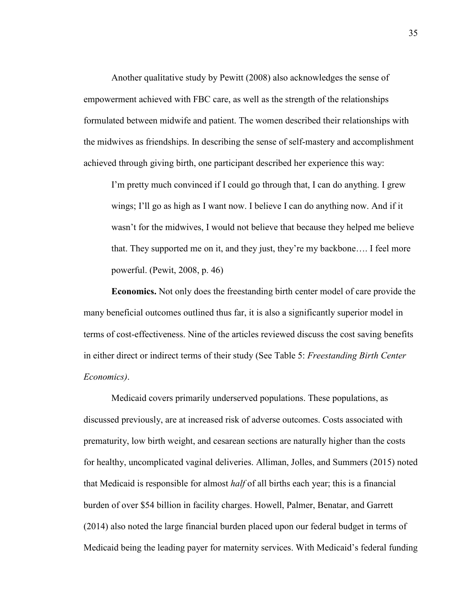Another qualitative study by Pewitt (2008) also acknowledges the sense of empowerment achieved with FBC care, as well as the strength of the relationships formulated between midwife and patient. The women described their relationships with the midwives as friendships. In describing the sense of self-mastery and accomplishment achieved through giving birth, one participant described her experience this way:

I'm pretty much convinced if I could go through that, I can do anything. I grew wings; I'll go as high as I want now. I believe I can do anything now. And if it wasn't for the midwives, I would not believe that because they helped me believe that. They supported me on it, and they just, they're my backbone…. I feel more powerful. (Pewit, 2008, p. 46)

**Economics.** Not only does the freestanding birth center model of care provide the many beneficial outcomes outlined thus far, it is also a significantly superior model in terms of cost-effectiveness. Nine of the articles reviewed discuss the cost saving benefits in either direct or indirect terms of their study (See Table 5: *Freestanding Birth Center Economics)*.

 Medicaid covers primarily underserved populations. These populations, as discussed previously, are at increased risk of adverse outcomes. Costs associated with prematurity, low birth weight, and cesarean sections are naturally higher than the costs for healthy, uncomplicated vaginal deliveries. Alliman, Jolles, and Summers (2015) noted that Medicaid is responsible for almost *half* of all births each year; this is a financial burden of over \$54 billion in facility charges. Howell, Palmer, Benatar, and Garrett (2014) also noted the large financial burden placed upon our federal budget in terms of Medicaid being the leading payer for maternity services. With Medicaid's federal funding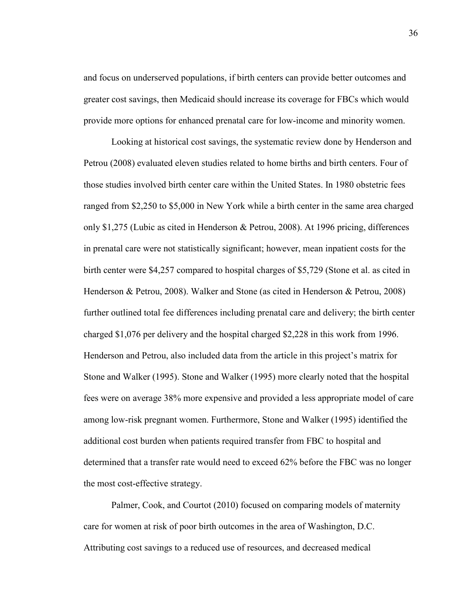and focus on underserved populations, if birth centers can provide better outcomes and greater cost savings, then Medicaid should increase its coverage for FBCs which would provide more options for enhanced prenatal care for low-income and minority women.

 Looking at historical cost savings, the systematic review done by Henderson and Petrou (2008) evaluated eleven studies related to home births and birth centers. Four of those studies involved birth center care within the United States. In 1980 obstetric fees ranged from \$2,250 to \$5,000 in New York while a birth center in the same area charged only \$1,275 (Lubic as cited in Henderson & Petrou, 2008). At 1996 pricing, differences in prenatal care were not statistically significant; however, mean inpatient costs for the birth center were \$4,257 compared to hospital charges of \$5,729 (Stone et al. as cited in Henderson & Petrou, 2008). Walker and Stone (as cited in Henderson & Petrou, 2008) further outlined total fee differences including prenatal care and delivery; the birth center charged \$1,076 per delivery and the hospital charged \$2,228 in this work from 1996. Henderson and Petrou, also included data from the article in this project's matrix for Stone and Walker (1995). Stone and Walker (1995) more clearly noted that the hospital fees were on average 38% more expensive and provided a less appropriate model of care among low-risk pregnant women. Furthermore, Stone and Walker (1995) identified the additional cost burden when patients required transfer from FBC to hospital and determined that a transfer rate would need to exceed 62% before the FBC was no longer the most cost-effective strategy.

 Palmer, Cook, and Courtot (2010) focused on comparing models of maternity care for women at risk of poor birth outcomes in the area of Washington, D.C. Attributing cost savings to a reduced use of resources, and decreased medical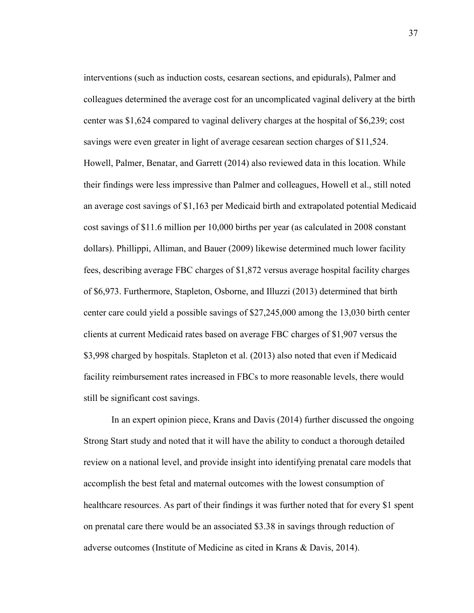interventions (such as induction costs, cesarean sections, and epidurals), Palmer and colleagues determined the average cost for an uncomplicated vaginal delivery at the birth center was \$1,624 compared to vaginal delivery charges at the hospital of \$6,239; cost savings were even greater in light of average cesarean section charges of \$11,524. Howell, Palmer, Benatar, and Garrett (2014) also reviewed data in this location. While their findings were less impressive than Palmer and colleagues, Howell et al., still noted an average cost savings of \$1,163 per Medicaid birth and extrapolated potential Medicaid cost savings of \$11.6 million per 10,000 births per year (as calculated in 2008 constant dollars). Phillippi, Alliman, and Bauer (2009) likewise determined much lower facility fees, describing average FBC charges of \$1,872 versus average hospital facility charges of \$6,973. Furthermore, Stapleton, Osborne, and Illuzzi (2013) determined that birth center care could yield a possible savings of \$27,245,000 among the 13,030 birth center clients at current Medicaid rates based on average FBC charges of \$1,907 versus the \$3,998 charged by hospitals. Stapleton et al. (2013) also noted that even if Medicaid facility reimbursement rates increased in FBCs to more reasonable levels, there would still be significant cost savings.

 In an expert opinion piece, Krans and Davis (2014) further discussed the ongoing Strong Start study and noted that it will have the ability to conduct a thorough detailed review on a national level, and provide insight into identifying prenatal care models that accomplish the best fetal and maternal outcomes with the lowest consumption of healthcare resources. As part of their findings it was further noted that for every \$1 spent on prenatal care there would be an associated \$3.38 in savings through reduction of adverse outcomes (Institute of Medicine as cited in Krans & Davis, 2014).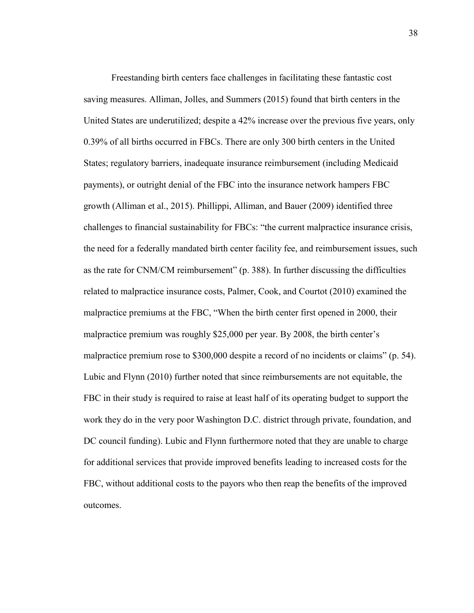Freestanding birth centers face challenges in facilitating these fantastic cost saving measures. Alliman, Jolles, and Summers (2015) found that birth centers in the United States are underutilized; despite a 42% increase over the previous five years, only 0.39% of all births occurred in FBCs. There are only 300 birth centers in the United States; regulatory barriers, inadequate insurance reimbursement (including Medicaid payments), or outright denial of the FBC into the insurance network hampers FBC growth (Alliman et al., 2015). Phillippi, Alliman, and Bauer (2009) identified three challenges to financial sustainability for FBCs: "the current malpractice insurance crisis, the need for a federally mandated birth center facility fee, and reimbursement issues, such as the rate for CNM/CM reimbursement" (p. 388). In further discussing the difficulties related to malpractice insurance costs, Palmer, Cook, and Courtot (2010) examined the malpractice premiums at the FBC, "When the birth center first opened in 2000, their malpractice premium was roughly \$25,000 per year. By 2008, the birth center's malpractice premium rose to \$300,000 despite a record of no incidents or claims" (p. 54). Lubic and Flynn (2010) further noted that since reimbursements are not equitable, the FBC in their study is required to raise at least half of its operating budget to support the work they do in the very poor Washington D.C. district through private, foundation, and DC council funding). Lubic and Flynn furthermore noted that they are unable to charge for additional services that provide improved benefits leading to increased costs for the FBC, without additional costs to the payors who then reap the benefits of the improved outcomes.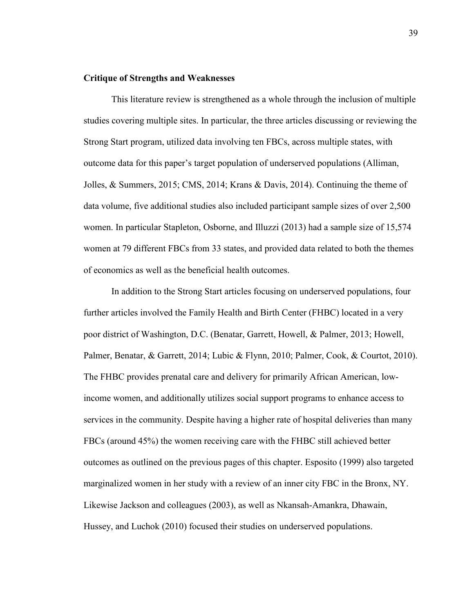# **Critique of Strengths and Weaknesses**

This literature review is strengthened as a whole through the inclusion of multiple studies covering multiple sites. In particular, the three articles discussing or reviewing the Strong Start program, utilized data involving ten FBCs, across multiple states, with outcome data for this paper's target population of underserved populations (Alliman, Jolles, & Summers, 2015; CMS, 2014; Krans & Davis, 2014). Continuing the theme of data volume, five additional studies also included participant sample sizes of over 2,500 women. In particular Stapleton, Osborne, and Illuzzi (2013) had a sample size of 15,574 women at 79 different FBCs from 33 states, and provided data related to both the themes of economics as well as the beneficial health outcomes.

 In addition to the Strong Start articles focusing on underserved populations, four further articles involved the Family Health and Birth Center (FHBC) located in a very poor district of Washington, D.C. (Benatar, Garrett, Howell, & Palmer, 2013; Howell, Palmer, Benatar, & Garrett, 2014; Lubic & Flynn, 2010; Palmer, Cook, & Courtot, 2010). The FHBC provides prenatal care and delivery for primarily African American, lowincome women, and additionally utilizes social support programs to enhance access to services in the community. Despite having a higher rate of hospital deliveries than many FBCs (around 45%) the women receiving care with the FHBC still achieved better outcomes as outlined on the previous pages of this chapter. Esposito (1999) also targeted marginalized women in her study with a review of an inner city FBC in the Bronx, NY. Likewise Jackson and colleagues (2003), as well as Nkansah-Amankra, Dhawain, Hussey, and Luchok (2010) focused their studies on underserved populations.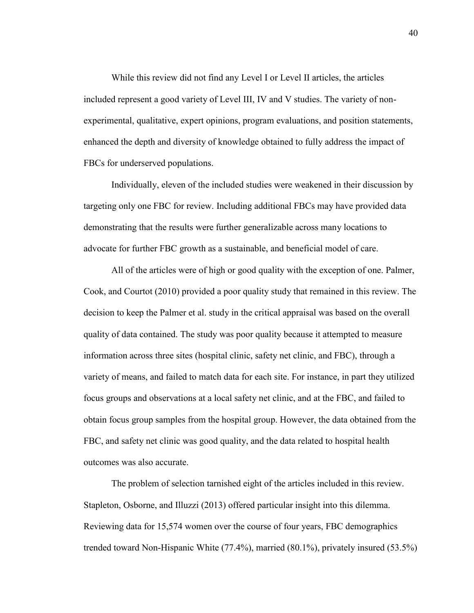While this review did not find any Level I or Level II articles, the articles included represent a good variety of Level III, IV and V studies. The variety of nonexperimental, qualitative, expert opinions, program evaluations, and position statements, enhanced the depth and diversity of knowledge obtained to fully address the impact of FBCs for underserved populations.

 Individually, eleven of the included studies were weakened in their discussion by targeting only one FBC for review. Including additional FBCs may have provided data demonstrating that the results were further generalizable across many locations to advocate for further FBC growth as a sustainable, and beneficial model of care.

All of the articles were of high or good quality with the exception of one. Palmer, Cook, and Courtot (2010) provided a poor quality study that remained in this review. The decision to keep the Palmer et al. study in the critical appraisal was based on the overall quality of data contained. The study was poor quality because it attempted to measure information across three sites (hospital clinic, safety net clinic, and FBC), through a variety of means, and failed to match data for each site. For instance, in part they utilized focus groups and observations at a local safety net clinic, and at the FBC, and failed to obtain focus group samples from the hospital group. However, the data obtained from the FBC, and safety net clinic was good quality, and the data related to hospital health outcomes was also accurate.

The problem of selection tarnished eight of the articles included in this review. Stapleton, Osborne, and Illuzzi (2013) offered particular insight into this dilemma. Reviewing data for 15,574 women over the course of four years, FBC demographics trended toward Non-Hispanic White (77.4%), married (80.1%), privately insured (53.5%)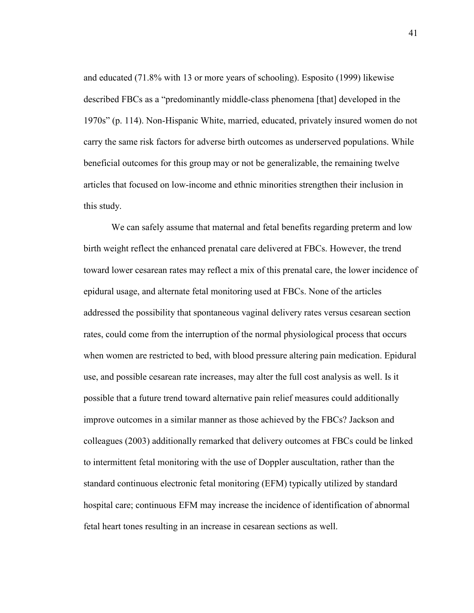and educated (71.8% with 13 or more years of schooling). Esposito (1999) likewise described FBCs as a "predominantly middle-class phenomena [that] developed in the 1970s" (p. 114). Non-Hispanic White, married, educated, privately insured women do not carry the same risk factors for adverse birth outcomes as underserved populations. While beneficial outcomes for this group may or not be generalizable, the remaining twelve articles that focused on low-income and ethnic minorities strengthen their inclusion in this study.

We can safely assume that maternal and fetal benefits regarding preterm and low birth weight reflect the enhanced prenatal care delivered at FBCs. However, the trend toward lower cesarean rates may reflect a mix of this prenatal care, the lower incidence of epidural usage, and alternate fetal monitoring used at FBCs. None of the articles addressed the possibility that spontaneous vaginal delivery rates versus cesarean section rates, could come from the interruption of the normal physiological process that occurs when women are restricted to bed, with blood pressure altering pain medication. Epidural use, and possible cesarean rate increases, may alter the full cost analysis as well. Is it possible that a future trend toward alternative pain relief measures could additionally improve outcomes in a similar manner as those achieved by the FBCs? Jackson and colleagues (2003) additionally remarked that delivery outcomes at FBCs could be linked to intermittent fetal monitoring with the use of Doppler auscultation, rather than the standard continuous electronic fetal monitoring (EFM) typically utilized by standard hospital care; continuous EFM may increase the incidence of identification of abnormal fetal heart tones resulting in an increase in cesarean sections as well.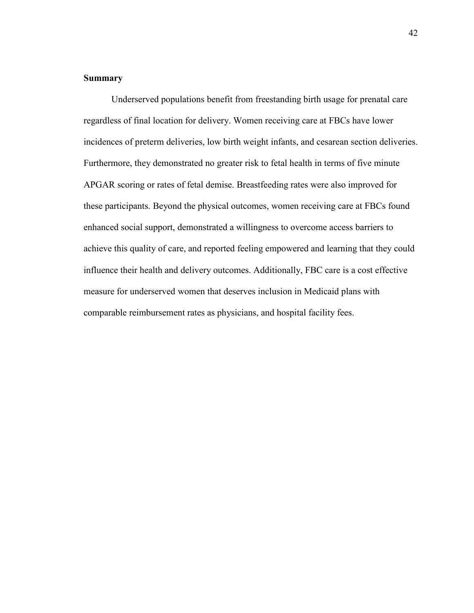# **Summary**

Underserved populations benefit from freestanding birth usage for prenatal care regardless of final location for delivery. Women receiving care at FBCs have lower incidences of preterm deliveries, low birth weight infants, and cesarean section deliveries. Furthermore, they demonstrated no greater risk to fetal health in terms of five minute APGAR scoring or rates of fetal demise. Breastfeeding rates were also improved for these participants. Beyond the physical outcomes, women receiving care at FBCs found enhanced social support, demonstrated a willingness to overcome access barriers to achieve this quality of care, and reported feeling empowered and learning that they could influence their health and delivery outcomes. Additionally, FBC care is a cost effective measure for underserved women that deserves inclusion in Medicaid plans with comparable reimbursement rates as physicians, and hospital facility fees.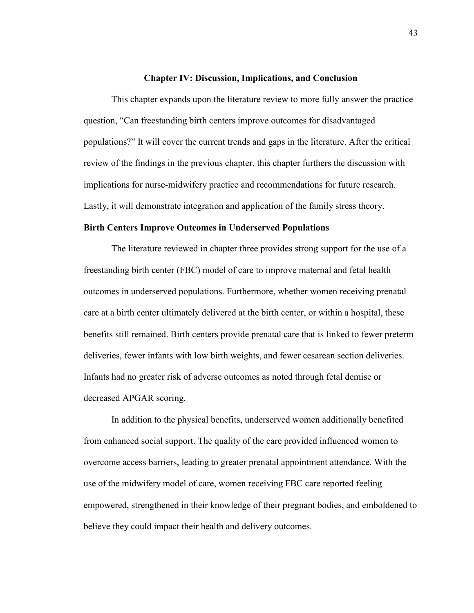### **Chapter IV: Discussion, Implications, and Conclusion**

This chapter expands upon the literature review to more fully answer the practice question, "Can freestanding birth centers improve outcomes for disadvantaged populations?" It will cover the current trends and gaps in the literature. After the critical review of the findings in the previous chapter, this chapter furthers the discussion with implications for nurse-midwifery practice and recommendations for future research. Lastly, it will demonstrate integration and application of the family stress theory.

# **Birth Centers Improve Outcomes in Underserved Populations**

 The literature reviewed in chapter three provides strong support for the use of a freestanding birth center (FBC) model of care to improve maternal and fetal health outcomes in underserved populations. Furthermore, whether women receiving prenatal care at a birth center ultimately delivered at the birth center, or within a hospital, these benefits still remained. Birth centers provide prenatal care that is linked to fewer preterm deliveries, fewer infants with low birth weights, and fewer cesarean section deliveries. Infants had no greater risk of adverse outcomes as noted through fetal demise or decreased APGAR scoring.

In addition to the physical benefits, underserved women additionally benefited from enhanced social support. The quality of the care provided influenced women to overcome access barriers, leading to greater prenatal appointment attendance. With the use of the midwifery model of care, women receiving FBC care reported feeling empowered, strengthened in their knowledge of their pregnant bodies, and emboldened to believe they could impact their health and delivery outcomes.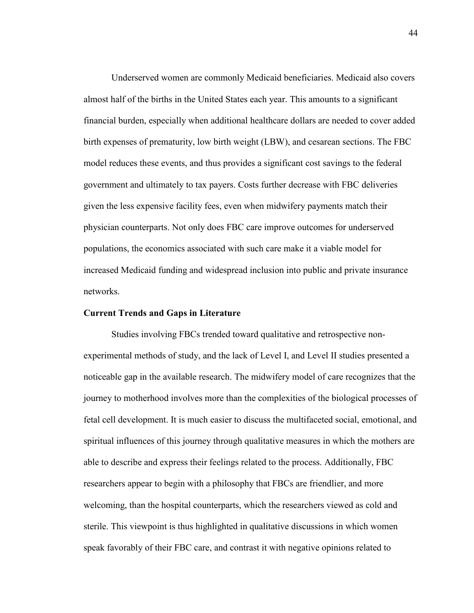Underserved women are commonly Medicaid beneficiaries. Medicaid also covers almost half of the births in the United States each year. This amounts to a significant financial burden, especially when additional healthcare dollars are needed to cover added birth expenses of prematurity, low birth weight (LBW), and cesarean sections. The FBC model reduces these events, and thus provides a significant cost savings to the federal government and ultimately to tax payers. Costs further decrease with FBC deliveries given the less expensive facility fees, even when midwifery payments match their physician counterparts. Not only does FBC care improve outcomes for underserved populations, the economics associated with such care make it a viable model for increased Medicaid funding and widespread inclusion into public and private insurance networks.

#### **Current Trends and Gaps in Literature**

 Studies involving FBCs trended toward qualitative and retrospective nonexperimental methods of study, and the lack of Level I, and Level II studies presented a noticeable gap in the available research. The midwifery model of care recognizes that the journey to motherhood involves more than the complexities of the biological processes of fetal cell development. It is much easier to discuss the multifaceted social, emotional, and spiritual influences of this journey through qualitative measures in which the mothers are able to describe and express their feelings related to the process. Additionally, FBC researchers appear to begin with a philosophy that FBCs are friendlier, and more welcoming, than the hospital counterparts, which the researchers viewed as cold and sterile. This viewpoint is thus highlighted in qualitative discussions in which women speak favorably of their FBC care, and contrast it with negative opinions related to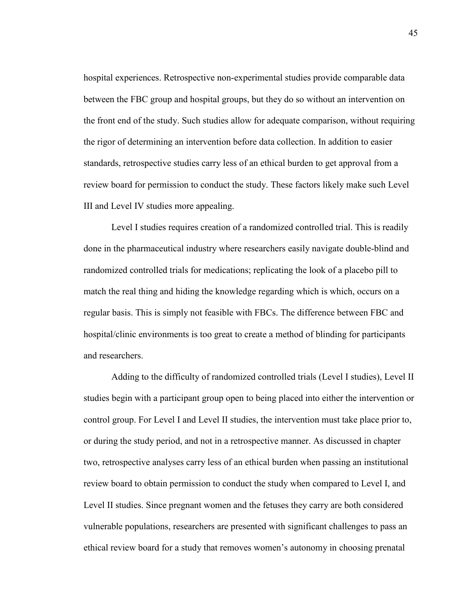hospital experiences. Retrospective non-experimental studies provide comparable data between the FBC group and hospital groups, but they do so without an intervention on the front end of the study. Such studies allow for adequate comparison, without requiring the rigor of determining an intervention before data collection. In addition to easier standards, retrospective studies carry less of an ethical burden to get approval from a review board for permission to conduct the study. These factors likely make such Level III and Level IV studies more appealing.

Level I studies requires creation of a randomized controlled trial. This is readily done in the pharmaceutical industry where researchers easily navigate double-blind and randomized controlled trials for medications; replicating the look of a placebo pill to match the real thing and hiding the knowledge regarding which is which, occurs on a regular basis. This is simply not feasible with FBCs. The difference between FBC and hospital/clinic environments is too great to create a method of blinding for participants and researchers.

 Adding to the difficulty of randomized controlled trials (Level I studies), Level II studies begin with a participant group open to being placed into either the intervention or control group. For Level I and Level II studies, the intervention must take place prior to, or during the study period, and not in a retrospective manner. As discussed in chapter two, retrospective analyses carry less of an ethical burden when passing an institutional review board to obtain permission to conduct the study when compared to Level I, and Level II studies. Since pregnant women and the fetuses they carry are both considered vulnerable populations, researchers are presented with significant challenges to pass an ethical review board for a study that removes women's autonomy in choosing prenatal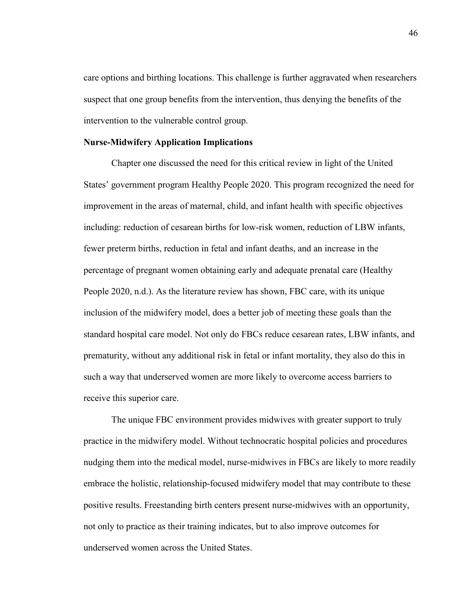care options and birthing locations. This challenge is further aggravated when researchers suspect that one group benefits from the intervention, thus denying the benefits of the intervention to the vulnerable control group.

# **Nurse-Midwifery Application Implications**

 Chapter one discussed the need for this critical review in light of the United States' government program Healthy People 2020. This program recognized the need for improvement in the areas of maternal, child, and infant health with specific objectives including: reduction of cesarean births for low-risk women, reduction of LBW infants, fewer preterm births, reduction in fetal and infant deaths, and an increase in the percentage of pregnant women obtaining early and adequate prenatal care (Healthy People 2020, n.d.). As the literature review has shown, FBC care, with its unique inclusion of the midwifery model, does a better job of meeting these goals than the standard hospital care model. Not only do FBCs reduce cesarean rates, LBW infants, and prematurity, without any additional risk in fetal or infant mortality, they also do this in such a way that underserved women are more likely to overcome access barriers to receive this superior care.

 The unique FBC environment provides midwives with greater support to truly practice in the midwifery model. Without technocratic hospital policies and procedures nudging them into the medical model, nurse-midwives in FBCs are likely to more readily embrace the holistic, relationship-focused midwifery model that may contribute to these positive results. Freestanding birth centers present nurse-midwives with an opportunity, not only to practice as their training indicates, but to also improve outcomes for underserved women across the United States.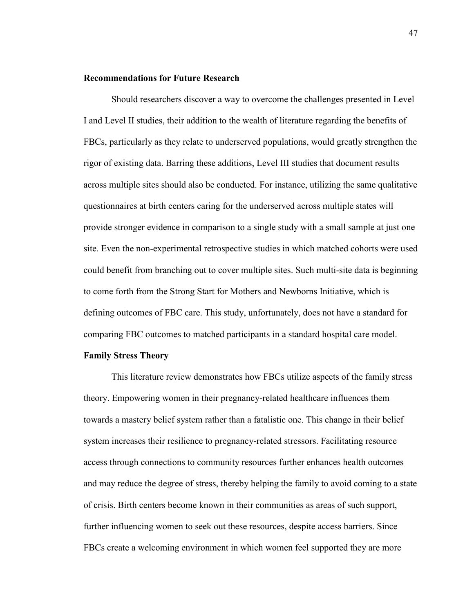### **Recommendations for Future Research**

Should researchers discover a way to overcome the challenges presented in Level I and Level II studies, their addition to the wealth of literature regarding the benefits of FBCs, particularly as they relate to underserved populations, would greatly strengthen the rigor of existing data. Barring these additions, Level III studies that document results across multiple sites should also be conducted. For instance, utilizing the same qualitative questionnaires at birth centers caring for the underserved across multiple states will provide stronger evidence in comparison to a single study with a small sample at just one site. Even the non-experimental retrospective studies in which matched cohorts were used could benefit from branching out to cover multiple sites. Such multi-site data is beginning to come forth from the Strong Start for Mothers and Newborns Initiative, which is defining outcomes of FBC care. This study, unfortunately, does not have a standard for comparing FBC outcomes to matched participants in a standard hospital care model.

# **Family Stress Theory**

This literature review demonstrates how FBCs utilize aspects of the family stress theory. Empowering women in their pregnancy-related healthcare influences them towards a mastery belief system rather than a fatalistic one. This change in their belief system increases their resilience to pregnancy-related stressors. Facilitating resource access through connections to community resources further enhances health outcomes and may reduce the degree of stress, thereby helping the family to avoid coming to a state of crisis. Birth centers become known in their communities as areas of such support, further influencing women to seek out these resources, despite access barriers. Since FBCs create a welcoming environment in which women feel supported they are more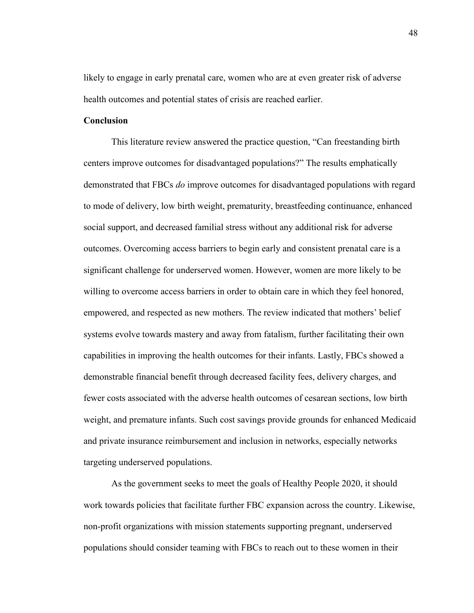likely to engage in early prenatal care, women who are at even greater risk of adverse health outcomes and potential states of crisis are reached earlier.

# **Conclusion**

This literature review answered the practice question, "Can freestanding birth centers improve outcomes for disadvantaged populations?" The results emphatically demonstrated that FBCs *do* improve outcomes for disadvantaged populations with regard to mode of delivery, low birth weight, prematurity, breastfeeding continuance, enhanced social support, and decreased familial stress without any additional risk for adverse outcomes. Overcoming access barriers to begin early and consistent prenatal care is a significant challenge for underserved women. However, women are more likely to be willing to overcome access barriers in order to obtain care in which they feel honored, empowered, and respected as new mothers. The review indicated that mothers' belief systems evolve towards mastery and away from fatalism, further facilitating their own capabilities in improving the health outcomes for their infants. Lastly, FBCs showed a demonstrable financial benefit through decreased facility fees, delivery charges, and fewer costs associated with the adverse health outcomes of cesarean sections, low birth weight, and premature infants. Such cost savings provide grounds for enhanced Medicaid and private insurance reimbursement and inclusion in networks, especially networks targeting underserved populations.

 As the government seeks to meet the goals of Healthy People 2020, it should work towards policies that facilitate further FBC expansion across the country. Likewise, non-profit organizations with mission statements supporting pregnant, underserved populations should consider teaming with FBCs to reach out to these women in their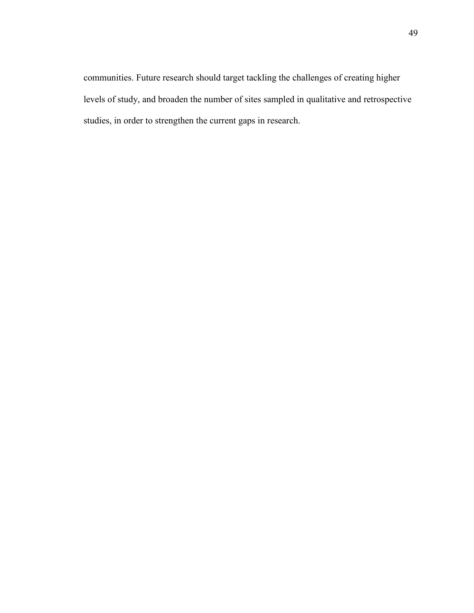communities. Future research should target tackling the challenges of creating higher levels of study, and broaden the number of sites sampled in qualitative and retrospective studies, in order to strengthen the current gaps in research.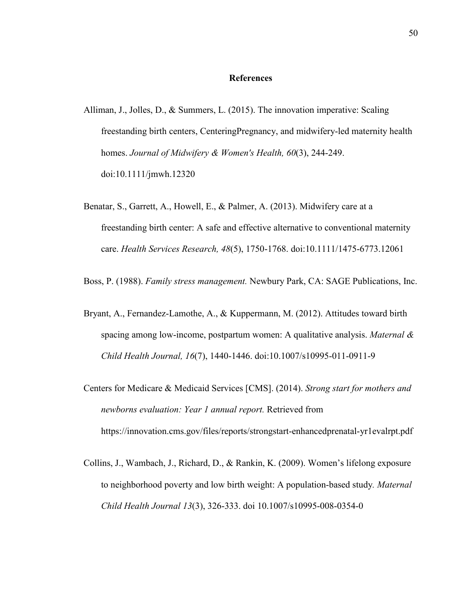#### **References**

- Alliman, J., Jolles, D., & Summers, L. (2015). The innovation imperative: Scaling freestanding birth centers, CenteringPregnancy, and midwifery-led maternity health homes. *Journal of Midwifery & Women's Health, 60*(3), 244-249. doi:10.1111/jmwh.12320
- Benatar, S., Garrett, A., Howell, E., & Palmer, A. (2013). Midwifery care at a freestanding birth center: A safe and effective alternative to conventional maternity care. *Health Services Research, 48*(5), 1750-1768. doi:10.1111/1475-6773.12061
- Boss, P. (1988). *Family stress management.* Newbury Park, CA: SAGE Publications, Inc.
- Bryant, A., Fernandez-Lamothe, A., & Kuppermann, M. (2012). Attitudes toward birth spacing among low-income, postpartum women: A qualitative analysis. *Maternal & Child Health Journal, 16*(7), 1440-1446. doi:10.1007/s10995-011-0911-9
- Centers for Medicare & Medicaid Services [CMS]. (2014). *Strong start for mothers and newborns evaluation: Year 1 annual report.* Retrieved from https://innovation.cms.gov/files/reports/strongstart-enhancedprenatal-yr1evalrpt.pdf
- Collins, J., Wambach, J., Richard, D., & Rankin, K. (2009). Women's lifelong exposure to neighborhood poverty and low birth weight: A population-based study*. Maternal Child Health Journal 13*(3), 326-333. doi 10.1007/s10995-008-0354-0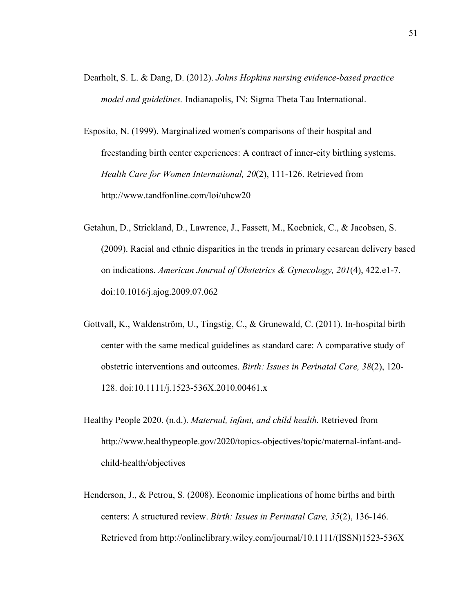- Dearholt, S. L. & Dang, D. (2012). *Johns Hopkins nursing evidence-based practice model and guidelines.* Indianapolis, IN: Sigma Theta Tau International.
- Esposito, N. (1999). Marginalized women's comparisons of their hospital and freestanding birth center experiences: A contract of inner-city birthing systems. *Health Care for Women International, 20*(2), 111-126. Retrieved from http://www.tandfonline.com/loi/uhcw20
- Getahun, D., Strickland, D., Lawrence, J., Fassett, M., Koebnick, C., & Jacobsen, S. (2009). Racial and ethnic disparities in the trends in primary cesarean delivery based on indications. *American Journal of Obstetrics & Gynecology, 201*(4), 422.e1-7. doi:10.1016/j.ajog.2009.07.062
- Gottvall, K., Waldenström, U., Tingstig, C., & Grunewald, C. (2011). In-hospital birth center with the same medical guidelines as standard care: A comparative study of obstetric interventions and outcomes. *Birth: Issues in Perinatal Care, 38*(2), 120- 128. doi:10.1111/j.1523-536X.2010.00461.x
- Healthy People 2020. (n.d.). *Maternal, infant, and child health.* Retrieved from http://www.healthypeople.gov/2020/topics-objectives/topic/maternal-infant-andchild-health/objectives
- Henderson, J., & Petrou, S. (2008). Economic implications of home births and birth centers: A structured review. *Birth: Issues in Perinatal Care, 35*(2), 136-146. Retrieved from http://onlinelibrary.wiley.com/journal/10.1111/(ISSN)1523-536X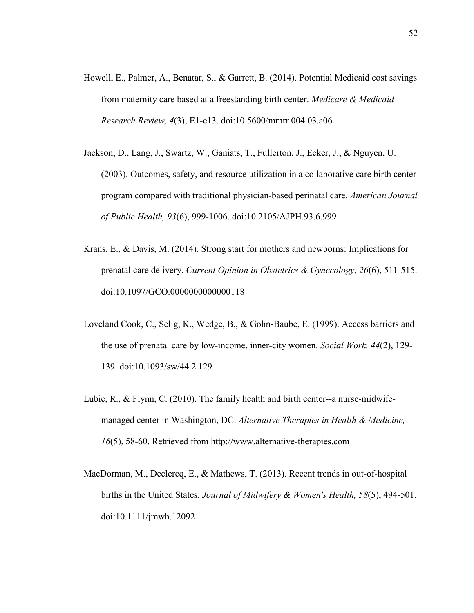- Howell, E., Palmer, A., Benatar, S., & Garrett, B. (2014). Potential Medicaid cost savings from maternity care based at a freestanding birth center. *Medicare & Medicaid Research Review, 4*(3), E1-e13. doi:10.5600/mmrr.004.03.a06
- Jackson, D., Lang, J., Swartz, W., Ganiats, T., Fullerton, J., Ecker, J., & Nguyen, U. (2003). Outcomes, safety, and resource utilization in a collaborative care birth center program compared with traditional physician-based perinatal care. *American Journal of Public Health, 93*(6), 999-1006. doi:10.2105/AJPH.93.6.999
- Krans, E., & Davis, M. (2014). Strong start for mothers and newborns: Implications for prenatal care delivery. *Current Opinion in Obstetrics & Gynecology, 26*(6), 511-515. doi:10.1097/GCO.0000000000000118
- Loveland Cook, C., Selig, K., Wedge, B., & Gohn-Baube, E. (1999). Access barriers and the use of prenatal care by low-income, inner-city women. *Social Work, 44*(2), 129- 139. doi:10.1093/sw/44.2.129
- Lubic, R., & Flynn, C. (2010). The family health and birth center--a nurse-midwifemanaged center in Washington, DC. *Alternative Therapies in Health & Medicine, 16*(5), 58-60. Retrieved from http://www.alternative-therapies.com
- MacDorman, M., Declercq, E., & Mathews, T. (2013). Recent trends in out-of-hospital births in the United States. *Journal of Midwifery & Women's Health, 58*(5), 494-501. doi:10.1111/jmwh.12092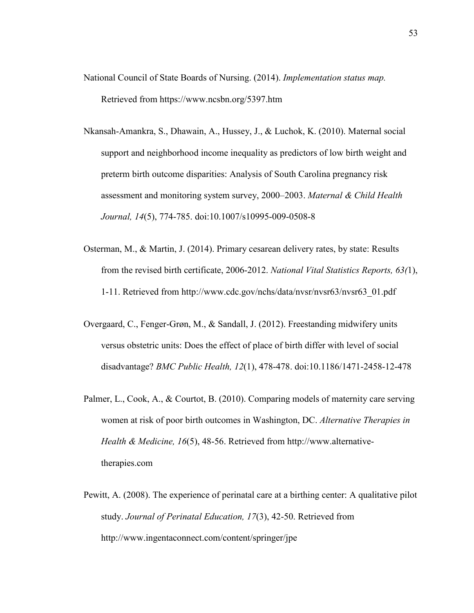- National Council of State Boards of Nursing. (2014). *Implementation status map.* Retrieved from https://www.ncsbn.org/5397.htm
- Nkansah-Amankra, S., Dhawain, A., Hussey, J., & Luchok, K. (2010). Maternal social support and neighborhood income inequality as predictors of low birth weight and preterm birth outcome disparities: Analysis of South Carolina pregnancy risk assessment and monitoring system survey, 2000–2003. *Maternal & Child Health Journal, 14*(5), 774-785. doi:10.1007/s10995-009-0508-8
- Osterman, M., & Martin, J. (2014). Primary cesarean delivery rates, by state: Results from the revised birth certificate, 2006-2012. *National Vital Statistics Reports, 63(*1), 1-11. Retrieved from http://www.cdc.gov/nchs/data/nvsr/nvsr63/nvsr63\_01.pdf
- Overgaard, C., Fenger-Grøn, M., & Sandall, J. (2012). Freestanding midwifery units versus obstetric units: Does the effect of place of birth differ with level of social disadvantage? *BMC Public Health, 12*(1), 478-478. doi:10.1186/1471-2458-12-478
- Palmer, L., Cook, A., & Courtot, B. (2010). Comparing models of maternity care serving women at risk of poor birth outcomes in Washington, DC. *Alternative Therapies in Health & Medicine, 16*(5), 48-56. Retrieved from http://www.alternativetherapies.com
- Pewitt, A. (2008). The experience of perinatal care at a birthing center: A qualitative pilot study. *Journal of Perinatal Education, 17*(3), 42-50. Retrieved from http://www.ingentaconnect.com/content/springer/jpe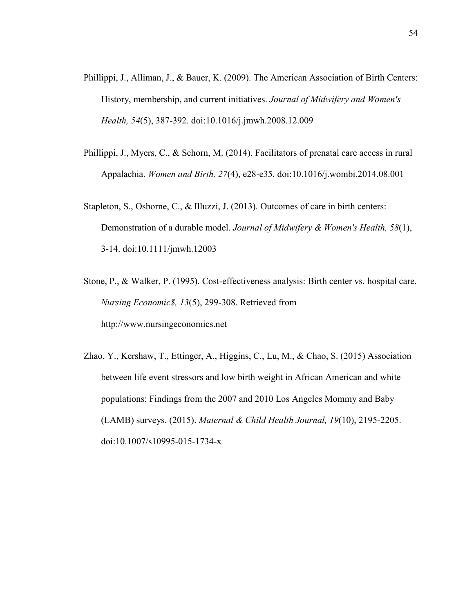- Phillippi, J., Alliman, J., & Bauer, K. (2009). The American Association of Birth Centers: History, membership, and current initiatives. *Journal of Midwifery and Women's Health, 54*(5), 387-392. doi:10.1016/j.jmwh.2008.12.009
- Phillippi, J., Myers, C., & Schorn, M. (2014). Facilitators of prenatal care access in rural Appalachia. *Women and Birth, 27*(4), e28-e35*.* doi:10.1016/j.wombi.2014.08.001
- Stapleton, S., Osborne, C., & Illuzzi, J. (2013). Outcomes of care in birth centers: Demonstration of a durable model. *Journal of Midwifery & Women's Health, 58*(1), 3-14. doi:10.1111/jmwh.12003
- Stone, P., & Walker, P. (1995). Cost-effectiveness analysis: Birth center vs. hospital care. *Nursing Economic\$, 13*(5), 299-308. Retrieved from http://www.nursingeconomics.net
- Zhao, Y., Kershaw, T., Ettinger, A., Higgins, C., Lu, M., & Chao, S. (2015) Association between life event stressors and low birth weight in African American and white populations: Findings from the 2007 and 2010 Los Angeles Mommy and Baby (LAMB) surveys. (2015). *Maternal & Child Health Journal, 19*(10), 2195-2205. doi:10.1007/s10995-015-1734-x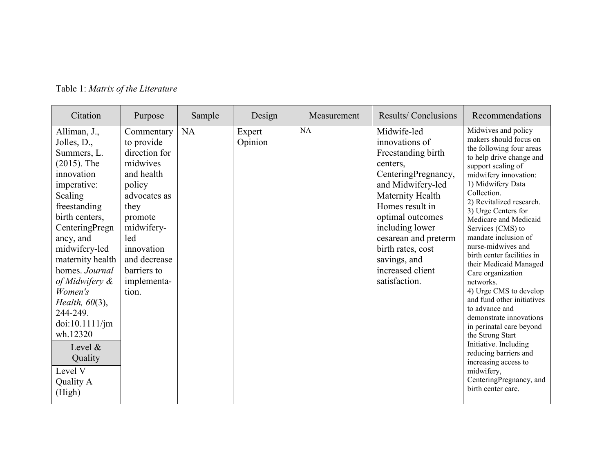| Citation                                                                                                                                                                                                                                                                                                                                                                            | Purpose                                                                                                                                                                                                    | Sample | Design            | Measurement | Results/Conclusions                                                                                                                                                                                                                                                                         | Recommendations                                                                                                                                                                                                                                                                                                                                                                                                                                                                                                                                                                                                                                                                                                                 |
|-------------------------------------------------------------------------------------------------------------------------------------------------------------------------------------------------------------------------------------------------------------------------------------------------------------------------------------------------------------------------------------|------------------------------------------------------------------------------------------------------------------------------------------------------------------------------------------------------------|--------|-------------------|-------------|---------------------------------------------------------------------------------------------------------------------------------------------------------------------------------------------------------------------------------------------------------------------------------------------|---------------------------------------------------------------------------------------------------------------------------------------------------------------------------------------------------------------------------------------------------------------------------------------------------------------------------------------------------------------------------------------------------------------------------------------------------------------------------------------------------------------------------------------------------------------------------------------------------------------------------------------------------------------------------------------------------------------------------------|
| Alliman, J.,<br>Jolles, D.,<br>Summers, L.<br>$(2015)$ . The<br>innovation<br>imperative:<br>Scaling<br>freestanding<br>birth centers,<br>CenteringPregn<br>ancy, and<br>midwifery-led<br>maternity health<br>homes. Journal<br>of Midwifery &<br>Women's<br>Health, $60(3)$ ,<br>244-249.<br>doi:10.1111/jm<br>wh.12320<br>Level $\&$<br>Quality<br>Level V<br>Quality A<br>(High) | Commentary<br>to provide<br>direction for<br>midwives<br>and health<br>policy<br>advocates as<br>they<br>promote<br>midwifery-<br>led<br>innovation<br>and decrease<br>barriers to<br>implementa-<br>tion. | NA     | Expert<br>Opinion | <b>NA</b>   | Midwife-led<br>innovations of<br>Freestanding birth<br>centers.<br>CenteringPregnancy,<br>and Midwifery-led<br>Maternity Health<br>Homes result in<br>optimal outcomes<br>including lower<br>cesarean and preterm<br>birth rates, cost<br>savings, and<br>increased client<br>satisfaction. | Midwives and policy<br>makers should focus on<br>the following four areas<br>to help drive change and<br>support scaling of<br>midwifery innovation:<br>1) Midwifery Data<br>Collection.<br>2) Revitalized research.<br>3) Urge Centers for<br>Medicare and Medicaid<br>Services (CMS) to<br>mandate inclusion of<br>nurse-midwives and<br>birth center facilities in<br>their Medicaid Managed<br>Care organization<br>networks.<br>4) Urge CMS to develop<br>and fund other initiatives<br>to advance and<br>demonstrate innovations<br>in perinatal care beyond<br>the Strong Start<br>Initiative. Including<br>reducing barriers and<br>increasing access to<br>midwifery,<br>CenteringPregnancy, and<br>birth center care. |

Table 1: *Matrix of the Literature*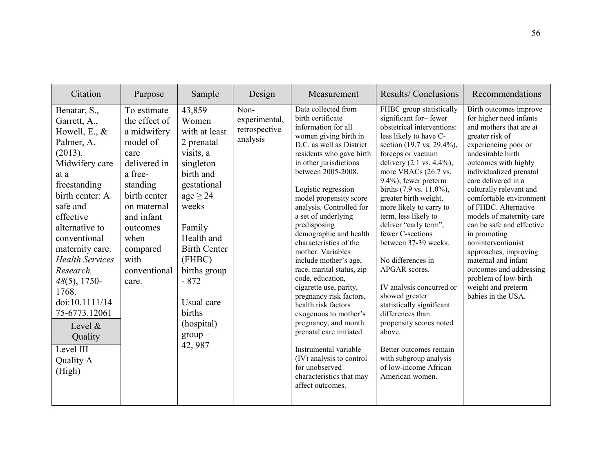| Citation                                                                                                                                                                                                                                                                                                                                                                                      | Purpose                                                                                                                                                                                                              | Sample                                                                                                                                                                                                                                                                          | Design                                             | Measurement                                                                                                                                                                                                                                                                                                                                                                                                                                                                                                                                                                                                                                                                                                                                             | Results/Conclusions                                                                                                                                                                                                                                                                                                                                                                                                                                                                                                                                                                                                                                                                           | Recommendations                                                                                                                                                                                                                                                                                                                                                                                                                                                                                                                                    |
|-----------------------------------------------------------------------------------------------------------------------------------------------------------------------------------------------------------------------------------------------------------------------------------------------------------------------------------------------------------------------------------------------|----------------------------------------------------------------------------------------------------------------------------------------------------------------------------------------------------------------------|---------------------------------------------------------------------------------------------------------------------------------------------------------------------------------------------------------------------------------------------------------------------------------|----------------------------------------------------|---------------------------------------------------------------------------------------------------------------------------------------------------------------------------------------------------------------------------------------------------------------------------------------------------------------------------------------------------------------------------------------------------------------------------------------------------------------------------------------------------------------------------------------------------------------------------------------------------------------------------------------------------------------------------------------------------------------------------------------------------------|-----------------------------------------------------------------------------------------------------------------------------------------------------------------------------------------------------------------------------------------------------------------------------------------------------------------------------------------------------------------------------------------------------------------------------------------------------------------------------------------------------------------------------------------------------------------------------------------------------------------------------------------------------------------------------------------------|----------------------------------------------------------------------------------------------------------------------------------------------------------------------------------------------------------------------------------------------------------------------------------------------------------------------------------------------------------------------------------------------------------------------------------------------------------------------------------------------------------------------------------------------------|
| Benatar, S.,<br>Garrett, A.,<br>Howell, E., $&$<br>Palmer, A.<br>(2013).<br>Midwifery care<br>at a<br>freestanding<br>birth center: A<br>safe and<br>effective<br>alternative to<br>conventional<br>maternity care.<br><b>Health Services</b><br>Research,<br>$48(5)$ , 1750-<br>1768.<br>doi:10.1111/14<br>75-6773.12061<br>Level $\&$<br>Quality<br>Level III<br><b>Quality A</b><br>(High) | To estimate<br>the effect of<br>a midwifery<br>model of<br>care<br>delivered in<br>a free-<br>standing<br>birth center<br>on maternal<br>and infant<br>outcomes<br>when<br>compared<br>with<br>conventional<br>care. | 43,859<br>Women<br>with at least<br>2 prenatal<br>visits, a<br>singleton<br>birth and<br>gestational<br>$age \geq 24$<br>weeks<br>Family<br>Health and<br><b>Birth Center</b><br>(FHBC)<br>births group<br>$-872$<br>Usual care<br>births<br>(hospital)<br>$group -$<br>42, 987 | Non-<br>experimental,<br>retrospective<br>analysis | Data collected from<br>birth certificate<br>information for all<br>women giving birth in<br>D.C. as well as District<br>residents who gave birth<br>in other jurisdictions<br>between 2005-2008.<br>Logistic regression<br>model propensity score<br>analysis. Controlled for<br>a set of underlying<br>predisposing<br>demographic and health<br>characteristics of the<br>mother. Variables<br>include mother's age,<br>race, marital status, zip<br>code, education,<br>cigarette use, parity,<br>pregnancy risk factors,<br>health risk factors<br>exogenous to mother's<br>pregnancy, and month<br>prenatal care initiated.<br>Instrumental variable<br>(IV) analysis to control<br>for unobserved<br>characteristics that may<br>affect outcomes. | FHBC group statistically<br>significant for-fewer<br>obstetrical interventions:<br>less likely to have C-<br>section (19.7 vs. 29.4%),<br>forceps or vacuum<br>delivery (2.1 vs. 4.4%),<br>more VBACs (26.7 vs.<br>9.4%), fewer preterm<br>births (7.9 vs. 11.0%),<br>greater birth weight,<br>more likely to carry to<br>term, less likely to<br>deliver "early term",<br>fewer C-sections<br>between 37-39 weeks.<br>No differences in<br>APGAR scores.<br>IV analysis concurred or<br>showed greater<br>statistically significant<br>differences than<br>propensity scores noted<br>above.<br>Better outcomes remain<br>with subgroup analysis<br>of low-income African<br>American women. | Birth outcomes improve<br>for higher need infants<br>and mothers that are at<br>greater risk of<br>experiencing poor or<br>undesirable birth<br>outcomes with highly<br>individualized prenatal<br>care delivered in a<br>culturally relevant and<br>comfortable environment<br>of FHBC. Alternative<br>models of maternity care<br>can be safe and effective<br>in promoting<br>noninterventionist<br>approaches, improving<br>maternal and infant<br>outcomes and addressing<br>problem of low-birth<br>weight and preterm<br>babies in the USA. |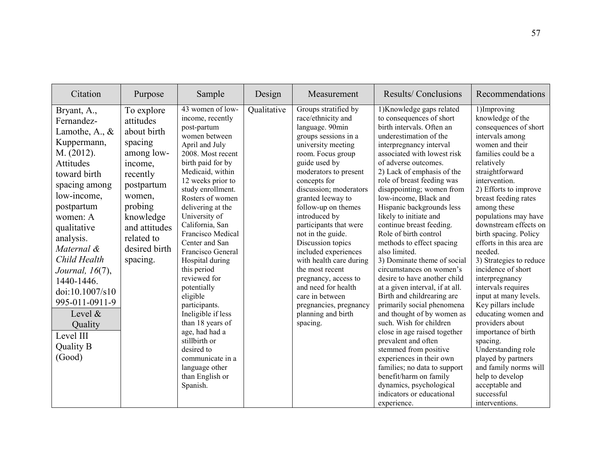| Citation                                                                                                                                                                                                                                                                                                                                                               | Purpose                                                                                                                                                                                            | Sample                                                                                                                                                                                                                                                                                                                                                                                                                                                                                                                                                                                                | Design      | Measurement                                                                                                                                                                                                                                                                                                                                                                                                                                                                                                                                               | Results/Conclusions                                                                                                                                                                                                                                                                                                                                                                                                                                                                                                                                                                                                                                                                                                                                                                                                                                                                                                                                                        | Recommendations                                                                                                                                                                                                                                                                                                                                                                                                                                                                                                                                                                                                                                                                                                          |
|------------------------------------------------------------------------------------------------------------------------------------------------------------------------------------------------------------------------------------------------------------------------------------------------------------------------------------------------------------------------|----------------------------------------------------------------------------------------------------------------------------------------------------------------------------------------------------|-------------------------------------------------------------------------------------------------------------------------------------------------------------------------------------------------------------------------------------------------------------------------------------------------------------------------------------------------------------------------------------------------------------------------------------------------------------------------------------------------------------------------------------------------------------------------------------------------------|-------------|-----------------------------------------------------------------------------------------------------------------------------------------------------------------------------------------------------------------------------------------------------------------------------------------------------------------------------------------------------------------------------------------------------------------------------------------------------------------------------------------------------------------------------------------------------------|----------------------------------------------------------------------------------------------------------------------------------------------------------------------------------------------------------------------------------------------------------------------------------------------------------------------------------------------------------------------------------------------------------------------------------------------------------------------------------------------------------------------------------------------------------------------------------------------------------------------------------------------------------------------------------------------------------------------------------------------------------------------------------------------------------------------------------------------------------------------------------------------------------------------------------------------------------------------------|--------------------------------------------------------------------------------------------------------------------------------------------------------------------------------------------------------------------------------------------------------------------------------------------------------------------------------------------------------------------------------------------------------------------------------------------------------------------------------------------------------------------------------------------------------------------------------------------------------------------------------------------------------------------------------------------------------------------------|
| Bryant, A.,<br>Fernandez-<br>Lamothe, A., $\&$<br>Kuppermann,<br>M. (2012).<br>Attitudes<br>toward birth<br>spacing among<br>low-income,<br>postpartum<br>women: A<br>qualitative<br>analysis.<br>Maternal &<br>Child Health<br>Journal, 16(7),<br>1440-1446.<br>doi:10.1007/s10<br>995-011-0911-9<br>Level $\&$<br>Quality<br>Level III<br><b>Quality B</b><br>(Good) | To explore<br>attitudes<br>about birth<br>spacing<br>among low-<br>income,<br>recently<br>postpartum<br>women,<br>probing<br>knowledge<br>and attitudes<br>related to<br>desired birth<br>spacing. | 43 women of low-<br>income, recently<br>post-partum<br>women between<br>April and July<br>2008. Most recent<br>birth paid for by<br>Medicaid, within<br>12 weeks prior to<br>study enrollment.<br>Rosters of women<br>delivering at the<br>University of<br>California, San<br>Francisco Medical<br>Center and San<br>Francisco General<br>Hospital during<br>this period<br>reviewed for<br>potentially<br>eligible<br>participants.<br>Ineligible if less<br>than 18 years of<br>age, had had a<br>stillbirth or<br>desired to<br>communicate in a<br>language other<br>than English or<br>Spanish. | Qualitative | Groups stratified by<br>race/ethnicity and<br>language. 90min<br>groups sessions in a<br>university meeting<br>room. Focus group<br>guide used by<br>moderators to present<br>concepts for<br>discussion; moderators<br>granted leeway to<br>follow-up on themes<br>introduced by<br>participants that were<br>not in the guide.<br>Discussion topics<br>included experiences<br>with health care during<br>the most recent<br>pregnancy, access to<br>and need for health<br>care in between<br>pregnancies, pregnancy<br>planning and birth<br>spacing. | 1) Knowledge gaps related<br>to consequences of short<br>birth intervals. Often an<br>underestimation of the<br>interpregnancy interval<br>associated with lowest risk<br>of adverse outcomes.<br>2) Lack of emphasis of the<br>role of breast feeding was<br>disappointing; women from<br>low-income, Black and<br>Hispanic backgrounds less<br>likely to initiate and<br>continue breast feeding.<br>Role of birth control<br>methods to effect spacing<br>also limited.<br>3) Dominate theme of social<br>circumstances on women's<br>desire to have another child<br>at a given interval, if at all.<br>Birth and childrearing are<br>primarily social phenomena<br>and thought of by women as<br>such. Wish for children<br>close in age raised together<br>prevalent and often<br>stemmed from positive<br>experiences in their own<br>families; no data to support<br>benefit/harm on family<br>dynamics, psychological<br>indicators or educational<br>experience. | 1)Improving<br>knowledge of the<br>consequences of short<br>intervals among<br>women and their<br>families could be a<br>relatively<br>straightforward<br>intervention.<br>2) Efforts to improve<br>breast feeding rates<br>among these<br>populations may have<br>downstream effects on<br>birth spacing. Policy<br>efforts in this area are<br>needed.<br>3) Strategies to reduce<br>incidence of short<br>interpregnancy<br>intervals requires<br>input at many levels.<br>Key pillars include<br>educating women and<br>providers about<br>importance of birth<br>spacing.<br>Understanding role<br>played by partners<br>and family norms will<br>help to develop<br>acceptable and<br>successful<br>interventions. |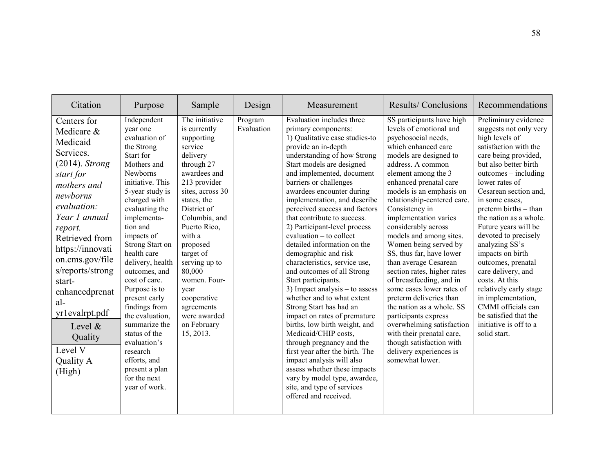| Citation                                                                                                                                                                                                                                                                                                                                             | Purpose                                                                                                                                                                                                                                                                                                                                                                                                                                                                                                         | Sample                                                                                                                                                                                                                                                                                                                                                              | Design                | Measurement                                                                                                                                                                                                                                                                                                                                                                                                                                                                                                                                                                                                                                                                                                                                                                                                                                                                                                                                                                 | Results/Conclusions                                                                                                                                                                                                                                                                                                                                                                                                                                                                                                                                                                                                                                                                                                                                  | Recommendations                                                                                                                                                                                                                                                                                                                                                                                                                                                                                                                                                                   |
|------------------------------------------------------------------------------------------------------------------------------------------------------------------------------------------------------------------------------------------------------------------------------------------------------------------------------------------------------|-----------------------------------------------------------------------------------------------------------------------------------------------------------------------------------------------------------------------------------------------------------------------------------------------------------------------------------------------------------------------------------------------------------------------------------------------------------------------------------------------------------------|---------------------------------------------------------------------------------------------------------------------------------------------------------------------------------------------------------------------------------------------------------------------------------------------------------------------------------------------------------------------|-----------------------|-----------------------------------------------------------------------------------------------------------------------------------------------------------------------------------------------------------------------------------------------------------------------------------------------------------------------------------------------------------------------------------------------------------------------------------------------------------------------------------------------------------------------------------------------------------------------------------------------------------------------------------------------------------------------------------------------------------------------------------------------------------------------------------------------------------------------------------------------------------------------------------------------------------------------------------------------------------------------------|------------------------------------------------------------------------------------------------------------------------------------------------------------------------------------------------------------------------------------------------------------------------------------------------------------------------------------------------------------------------------------------------------------------------------------------------------------------------------------------------------------------------------------------------------------------------------------------------------------------------------------------------------------------------------------------------------------------------------------------------------|-----------------------------------------------------------------------------------------------------------------------------------------------------------------------------------------------------------------------------------------------------------------------------------------------------------------------------------------------------------------------------------------------------------------------------------------------------------------------------------------------------------------------------------------------------------------------------------|
| Centers for<br>Medicare &<br>Medicaid<br>Services.<br>$(2014)$ . Strong<br>start for<br>mothers and<br>newborns<br>evaluation:<br>Year 1 annual<br>report.<br>Retrieved from<br>https://innovati<br>on.cms.gov/file<br>s/reports/strong<br>start-<br>enhancedprenat<br>al-<br>yr1evalrpt.pdf<br>Level &<br>Quality<br>Level V<br>Quality A<br>(High) | Independent<br>year one<br>evaluation of<br>the Strong<br>Start for<br>Mothers and<br>Newborns<br>initiative. This<br>5-year study is<br>charged with<br>evaluating the<br>implementa-<br>tion and<br>impacts of<br>Strong Start on<br>health care<br>delivery, health<br>outcomes, and<br>cost of care.<br>Purpose is to<br>present early<br>findings from<br>the evaluation,<br>summarize the<br>status of the<br>evaluation's<br>research<br>efforts, and<br>present a plan<br>for the next<br>year of work. | The initiative<br>is currently<br>supporting<br>service<br>delivery<br>through 27<br>awardees and<br>213 provider<br>sites, across 30<br>states, the<br>District of<br>Columbia, and<br>Puerto Rico,<br>with a<br>proposed<br>target of<br>serving up to<br>80,000<br>women. Four-<br>year<br>cooperative<br>agreements<br>were awarded<br>on February<br>15, 2013. | Program<br>Evaluation | Evaluation includes three<br>primary components:<br>1) Qualitative case studies-to<br>provide an in-depth<br>understanding of how Strong<br>Start models are designed<br>and implemented, document<br>barriers or challenges<br>awardees encounter during<br>implementation, and describe<br>perceived success and factors<br>that contribute to success.<br>2) Participant-level process<br>evaluation – to collect<br>detailed information on the<br>demographic and risk<br>characteristics, service use,<br>and outcomes of all Strong<br>Start participants.<br>3) Impact analysis $-$ to assess<br>whether and to what extent<br>Strong Start has had an<br>impact on rates of premature<br>births, low birth weight, and<br>Medicaid/CHIP costs,<br>through pregnancy and the<br>first year after the birth. The<br>impact analysis will also<br>assess whether these impacts<br>vary by model type, awardee,<br>site, and type of services<br>offered and received. | SS participants have high<br>levels of emotional and<br>psychosocial needs,<br>which enhanced care<br>models are designed to<br>address. A common<br>element among the 3<br>enhanced prenatal care<br>models is an emphasis on<br>relationship-centered care.<br>Consistency in<br>implementation varies<br>considerably across<br>models and among sites.<br>Women being served by<br>SS, thus far, have lower<br>than average Cesarean<br>section rates, higher rates<br>of breastfeeding, and in<br>some cases lower rates of<br>preterm deliveries than<br>the nation as a whole. SS<br>participants express<br>overwhelming satisfaction<br>with their prenatal care,<br>though satisfaction with<br>delivery experiences is<br>somewhat lower. | Preliminary evidence<br>suggests not only very<br>high levels of<br>satisfaction with the<br>care being provided,<br>but also better birth<br>$outcomes - including$<br>lower rates of<br>Cesarean section and,<br>in some cases,<br>preterm births – than<br>the nation as a whole.<br>Future years will be<br>devoted to precisely<br>analyzing SS's<br>impacts on birth<br>outcomes, prenatal<br>care delivery, and<br>costs. At this<br>relatively early stage<br>in implementation,<br>CMMI officials can<br>be satisfied that the<br>initiative is off to a<br>solid start. |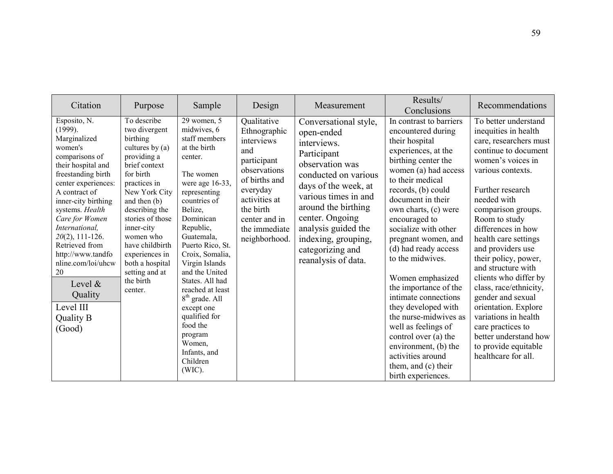| Citation                                                                                                                                                                                                                                                                                                                                                                                            | Purpose                                                                                                                                                                                                                                                                                                                        | Sample                                                                                                                                                                                                                                                                                                                                                                                                                                   | Design                                                                                                                                                                                        | Measurement                                                                                                                                                                                                                                                                                     | Results/<br>Conclusions                                                                                                                                                                                                                                                                                                                                                                                                                                                                                                                                                                                | Recommendations                                                                                                                                                                                                                                                                                                                                                                                                                                                                                                                                          |
|-----------------------------------------------------------------------------------------------------------------------------------------------------------------------------------------------------------------------------------------------------------------------------------------------------------------------------------------------------------------------------------------------------|--------------------------------------------------------------------------------------------------------------------------------------------------------------------------------------------------------------------------------------------------------------------------------------------------------------------------------|------------------------------------------------------------------------------------------------------------------------------------------------------------------------------------------------------------------------------------------------------------------------------------------------------------------------------------------------------------------------------------------------------------------------------------------|-----------------------------------------------------------------------------------------------------------------------------------------------------------------------------------------------|-------------------------------------------------------------------------------------------------------------------------------------------------------------------------------------------------------------------------------------------------------------------------------------------------|--------------------------------------------------------------------------------------------------------------------------------------------------------------------------------------------------------------------------------------------------------------------------------------------------------------------------------------------------------------------------------------------------------------------------------------------------------------------------------------------------------------------------------------------------------------------------------------------------------|----------------------------------------------------------------------------------------------------------------------------------------------------------------------------------------------------------------------------------------------------------------------------------------------------------------------------------------------------------------------------------------------------------------------------------------------------------------------------------------------------------------------------------------------------------|
| Esposito, N.<br>(1999).<br>Marginalized<br>women's<br>comparisons of<br>their hospital and<br>freestanding birth<br>center experiences:<br>A contract of<br>inner-city birthing<br>systems. Health<br>Care for Women<br>International,<br>$20(2)$ , 111-126.<br>Retrieved from<br>http://www.tandfo<br>nline.com/loi/uhcw<br>20<br>Level $\&$<br>Quality<br>Level III<br><b>Quality B</b><br>(Good) | To describe<br>two divergent<br>birthing<br>cultures by $(a)$<br>providing a<br>brief context<br>for birth<br>practices in<br>New York City<br>and then (b)<br>describing the<br>stories of those<br>inner-city<br>women who<br>have childbirth<br>experiences in<br>both a hospital<br>setting and at<br>the birth<br>center. | 29 women, 5<br>midwives, 6<br>staff members<br>at the birth<br>center.<br>The women<br>were age $16-33$ ,<br>representing<br>countries of<br>Belize,<br>Dominican<br>Republic,<br>Guatemala,<br>Puerto Rico, St.<br>Croix, Somalia,<br>Virgin Islands<br>and the United<br>States. All had<br>reached at least<br>$8th$ grade. All<br>except one<br>qualified for<br>food the<br>program<br>Women,<br>Infants, and<br>Children<br>(WIC). | Qualitative<br>Ethnographic<br>interviews<br>and<br>participant<br>observations<br>of births and<br>everyday<br>activities at<br>the birth<br>center and in<br>the immediate<br>neighborhood. | Conversational style,<br>open-ended<br>interviews.<br>Participant<br>observation was<br>conducted on various<br>days of the week, at<br>various times in and<br>around the birthing<br>center. Ongoing<br>analysis guided the<br>indexing, grouping,<br>categorizing and<br>reanalysis of data. | In contrast to barriers<br>encountered during<br>their hospital<br>experiences, at the<br>birthing center the<br>women (a) had access<br>to their medical<br>records, (b) could<br>document in their<br>own charts, (c) were<br>encouraged to<br>socialize with other<br>pregnant women, and<br>(d) had ready access<br>to the midwives.<br>Women emphasized<br>the importance of the<br>intimate connections<br>they developed with<br>the nurse-midwives as<br>well as feelings of<br>control over (a) the<br>environment, (b) the<br>activities around<br>them, and (c) their<br>birth experiences. | To better understand<br>inequities in health<br>care, researchers must<br>continue to document<br>women's voices in<br>various contexts.<br>Further research<br>needed with<br>comparison groups.<br>Room to study<br>differences in how<br>health care settings<br>and providers use<br>their policy, power,<br>and structure with<br>clients who differ by<br>class, race/ethnicity,<br>gender and sexual<br>orientation. Explore<br>variations in health<br>care practices to<br>better understand how<br>to provide equitable<br>healthcare for all. |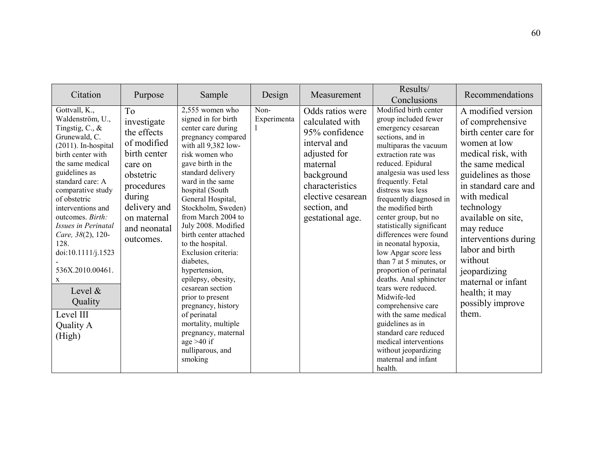| Citation                                                                                                                                                                                                                                                                                                                                                                                                                       | Purpose                                                                                                                                                                                 | Sample                                                                                                                                                                                                                                                                                                                                                                                                                                                                                                                                                                                                  | Design              | Measurement                                                                                                                                                                                 | Results/<br>Conclusions                                                                                                                                                                                                                                                                                                                                                                                                                                                                                                                                                                                                                                                                                                | Recommendations                                                                                                                                                                                                                                                                                                                                                                       |
|--------------------------------------------------------------------------------------------------------------------------------------------------------------------------------------------------------------------------------------------------------------------------------------------------------------------------------------------------------------------------------------------------------------------------------|-----------------------------------------------------------------------------------------------------------------------------------------------------------------------------------------|---------------------------------------------------------------------------------------------------------------------------------------------------------------------------------------------------------------------------------------------------------------------------------------------------------------------------------------------------------------------------------------------------------------------------------------------------------------------------------------------------------------------------------------------------------------------------------------------------------|---------------------|---------------------------------------------------------------------------------------------------------------------------------------------------------------------------------------------|------------------------------------------------------------------------------------------------------------------------------------------------------------------------------------------------------------------------------------------------------------------------------------------------------------------------------------------------------------------------------------------------------------------------------------------------------------------------------------------------------------------------------------------------------------------------------------------------------------------------------------------------------------------------------------------------------------------------|---------------------------------------------------------------------------------------------------------------------------------------------------------------------------------------------------------------------------------------------------------------------------------------------------------------------------------------------------------------------------------------|
| Gottvall, K.,<br>Waldenström, U.,<br>Tingstig, C., $\&$<br>Grunewald, C.<br>$(2011)$ . In-hospital<br>birth center with<br>the same medical<br>guidelines as<br>standard care: A<br>comparative study<br>of obstetric<br>interventions and<br>outcomes. Birth:<br>Issues in Perinatal<br>Care, 38(2), 120-<br>128.<br>doi:10.1111/j.1523<br>536X.2010.00461.<br>X<br>Level $\&$<br>Quality<br>Level III<br>Quality A<br>(High) | T <sub>o</sub><br>investigate<br>the effects<br>of modified<br>birth center<br>care on<br>obstetric<br>procedures<br>during<br>delivery and<br>on maternal<br>and neonatal<br>outcomes. | 2,555 women who<br>signed in for birth<br>center care during<br>pregnancy compared<br>with all 9,382 low-<br>risk women who<br>gave birth in the<br>standard delivery<br>ward in the same<br>hospital (South<br>General Hospital,<br>Stockholm, Sweden)<br>from March 2004 to<br>July 2008. Modified<br>birth center attached<br>to the hospital.<br>Exclusion criteria:<br>diabetes.<br>hypertension,<br>epilepsy, obesity,<br>cesarean section<br>prior to present<br>pregnancy, history<br>of perinatal<br>mortality, multiple<br>pregnancy, maternal<br>age $>40$ if<br>nulliparous, and<br>smoking | Non-<br>Experimenta | Odds ratios were<br>calculated with<br>95% confidence<br>interval and<br>adjusted for<br>maternal<br>background<br>characteristics<br>elective cesarean<br>section, and<br>gestational age. | Modified birth center<br>group included fewer<br>emergency cesarean<br>sections, and in<br>multiparas the vacuum<br>extraction rate was<br>reduced. Epidural<br>analgesia was used less<br>frequently. Fetal<br>distress was less<br>frequently diagnosed in<br>the modified birth<br>center group, but no<br>statistically significant<br>differences were found<br>in neonatal hypoxia,<br>low Apgar score less<br>than 7 at 5 minutes, or<br>proportion of perinatal<br>deaths. Anal sphincter<br>tears were reduced.<br>Midwife-led<br>comprehensive care<br>with the same medical<br>guidelines as in<br>standard care reduced<br>medical interventions<br>without jeopardizing<br>maternal and infant<br>health. | A modified version<br>of comprehensive<br>birth center care for<br>women at low<br>medical risk, with<br>the same medical<br>guidelines as those<br>in standard care and<br>with medical<br>technology<br>available on site,<br>may reduce<br>interventions during<br>labor and birth<br>without<br>jeopardizing<br>maternal or infant<br>health; it may<br>possibly improve<br>them. |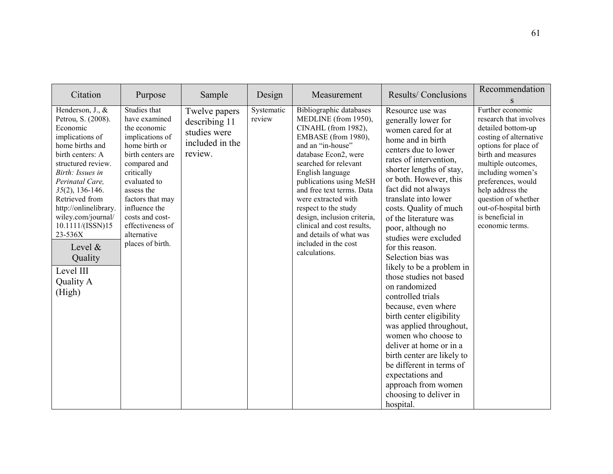| Citation                                                                                                                                                                                                                                                                                                                                                  | Purpose                                                                                                                                                                                                                                                                           | Sample                                                                       | Design               | Measurement                                                                                                                                                                                                                                                                                                                                                                                                                     | Results/Conclusions                                                                                                                                                                                                                                                                                                                                                                                                                                                                                                                                                                                                                                                                                                                                            | Recommendation<br>S                                                                                                                                                                                                                                                                                                  |
|-----------------------------------------------------------------------------------------------------------------------------------------------------------------------------------------------------------------------------------------------------------------------------------------------------------------------------------------------------------|-----------------------------------------------------------------------------------------------------------------------------------------------------------------------------------------------------------------------------------------------------------------------------------|------------------------------------------------------------------------------|----------------------|---------------------------------------------------------------------------------------------------------------------------------------------------------------------------------------------------------------------------------------------------------------------------------------------------------------------------------------------------------------------------------------------------------------------------------|----------------------------------------------------------------------------------------------------------------------------------------------------------------------------------------------------------------------------------------------------------------------------------------------------------------------------------------------------------------------------------------------------------------------------------------------------------------------------------------------------------------------------------------------------------------------------------------------------------------------------------------------------------------------------------------------------------------------------------------------------------------|----------------------------------------------------------------------------------------------------------------------------------------------------------------------------------------------------------------------------------------------------------------------------------------------------------------------|
| Henderson, J., &<br>Petrou, S. (2008).<br>Economic<br>implications of<br>home births and<br>birth centers: A<br>structured review.<br>Birth: Issues in<br>Perinatal Care,<br>$35(2)$ , 136-146.<br>Retrieved from<br>http://onlinelibrary.<br>wiley.com/journal/<br>10.1111/(ISSN)15<br>23-536X<br>Level &<br>Quality<br>Level III<br>Quality A<br>(High) | Studies that<br>have examined<br>the economic<br>implications of<br>home birth or<br>birth centers are<br>compared and<br>critically<br>evaluated to<br>assess the<br>factors that may<br>influence the<br>costs and cost-<br>effectiveness of<br>alternative<br>places of birth. | Twelve papers<br>describing 11<br>studies were<br>included in the<br>review. | Systematic<br>review | Bibliographic databases<br>MEDLINE (from 1950),<br>CINAHL (from 1982),<br>EMBASE (from 1980),<br>and an "in-house"<br>database Econ2, were<br>searched for relevant<br>English language<br>publications using MeSH<br>and free text terms. Data<br>were extracted with<br>respect to the study<br>design, inclusion criteria,<br>clinical and cost results,<br>and details of what was<br>included in the cost<br>calculations. | Resource use was<br>generally lower for<br>women cared for at<br>home and in birth<br>centers due to lower<br>rates of intervention,<br>shorter lengths of stay,<br>or both. However, this<br>fact did not always<br>translate into lower<br>costs. Quality of much<br>of the literature was<br>poor, although no<br>studies were excluded<br>for this reason.<br>Selection bias was<br>likely to be a problem in<br>those studies not based<br>on randomized<br>controlled trials<br>because, even where<br>birth center eligibility<br>was applied throughout,<br>women who choose to<br>deliver at home or in a<br>birth center are likely to<br>be different in terms of<br>expectations and<br>approach from women<br>choosing to deliver in<br>hospital. | Further economic<br>research that involves<br>detailed bottom-up<br>costing of alternative<br>options for place of<br>birth and measures<br>multiple outcomes,<br>including women's<br>preferences, would<br>help address the<br>question of whether<br>out-of-hospital birth<br>is beneficial in<br>economic terms. |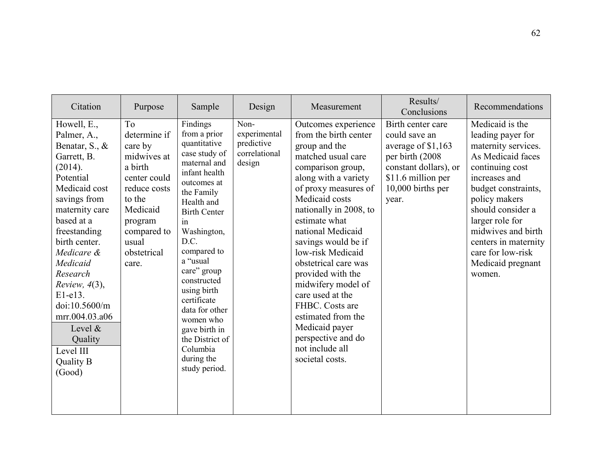| Citation                                                                                                                                                                                                                                                                                                                                                             | Purpose                                                                                                                                                                              | Sample                                                                                                                                                                                                                                                                                                                                                                                         | Design                                                        | Measurement                                                                                                                                                                                                                                                                                                                                                                                                                                                                                          | Results/<br>Conclusions                                                                                                                                   | Recommendations                                                                                                                                                                                                                                                                                        |
|----------------------------------------------------------------------------------------------------------------------------------------------------------------------------------------------------------------------------------------------------------------------------------------------------------------------------------------------------------------------|--------------------------------------------------------------------------------------------------------------------------------------------------------------------------------------|------------------------------------------------------------------------------------------------------------------------------------------------------------------------------------------------------------------------------------------------------------------------------------------------------------------------------------------------------------------------------------------------|---------------------------------------------------------------|------------------------------------------------------------------------------------------------------------------------------------------------------------------------------------------------------------------------------------------------------------------------------------------------------------------------------------------------------------------------------------------------------------------------------------------------------------------------------------------------------|-----------------------------------------------------------------------------------------------------------------------------------------------------------|--------------------------------------------------------------------------------------------------------------------------------------------------------------------------------------------------------------------------------------------------------------------------------------------------------|
| Howell, E.,<br>Palmer, A.,<br>Benatar, S., &<br>Garrett, B.<br>(2014).<br>Potential<br>Medicaid cost<br>savings from<br>maternity care<br>based at a<br>freestanding<br>birth center.<br>Medicare &<br>Medicaid<br>Research<br>Review, $4(3)$ ,<br>$E1-e13$ .<br>doi:10.5600/m<br>mrr.004.03.a06<br>Level $\&$<br>Quality<br>Level III<br><b>Quality B</b><br>(Good) | T <sub>o</sub><br>determine if<br>care by<br>midwives at<br>a birth<br>center could<br>reduce costs<br>to the<br>Medicaid<br>program<br>compared to<br>usual<br>obstetrical<br>care. | Findings<br>from a prior<br>quantitative<br>case study of<br>maternal and<br>infant health<br>outcomes at<br>the Family<br>Health and<br><b>Birth Center</b><br>in<br>Washington,<br>D.C.<br>compared to<br>a "usual<br>care" group<br>constructed<br>using birth<br>certificate<br>data for other<br>women who<br>gave birth in<br>the District of<br>Columbia<br>during the<br>study period. | Non-<br>experimental<br>predictive<br>correlational<br>design | Outcomes experience<br>from the birth center<br>group and the<br>matched usual care<br>comparison group,<br>along with a variety<br>of proxy measures of<br>Medicaid costs<br>nationally in 2008, to<br>estimate what<br>national Medicaid<br>savings would be if<br>low-risk Medicaid<br>obstetrical care was<br>provided with the<br>midwifery model of<br>care used at the<br>FHBC. Costs are<br>estimated from the<br>Medicaid payer<br>perspective and do<br>not include all<br>societal costs. | Birth center care<br>could save an<br>average of \$1,163<br>per birth (2008)<br>constant dollars), or<br>\$11.6 million per<br>10,000 births per<br>year. | Medicaid is the<br>leading payer for<br>maternity services.<br>As Medicaid faces<br>continuing cost<br>increases and<br>budget constraints,<br>policy makers<br>should consider a<br>larger role for<br>midwives and birth<br>centers in maternity<br>care for low-risk<br>Medicaid pregnant<br>women. |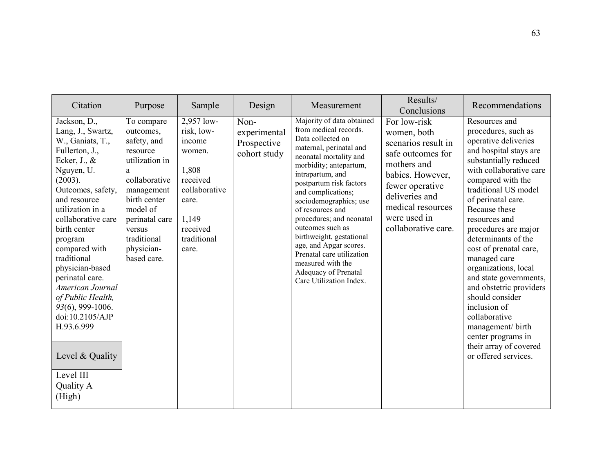| Citation                                                                                                                                                                                                                                                                                                                                                                                                                                                           | Purpose                                                                                                                                                                                                      | Sample                                                                                                                                   | Design                                              | Measurement                                                                                                                                                                                                                                                                                                                                                                                                                                                                          | Results/<br>Conclusions                                                                                                                                                                                     | Recommendations                                                                                                                                                                                                                                                                                                                                                                                                                                                                                                                                                        |
|--------------------------------------------------------------------------------------------------------------------------------------------------------------------------------------------------------------------------------------------------------------------------------------------------------------------------------------------------------------------------------------------------------------------------------------------------------------------|--------------------------------------------------------------------------------------------------------------------------------------------------------------------------------------------------------------|------------------------------------------------------------------------------------------------------------------------------------------|-----------------------------------------------------|--------------------------------------------------------------------------------------------------------------------------------------------------------------------------------------------------------------------------------------------------------------------------------------------------------------------------------------------------------------------------------------------------------------------------------------------------------------------------------------|-------------------------------------------------------------------------------------------------------------------------------------------------------------------------------------------------------------|------------------------------------------------------------------------------------------------------------------------------------------------------------------------------------------------------------------------------------------------------------------------------------------------------------------------------------------------------------------------------------------------------------------------------------------------------------------------------------------------------------------------------------------------------------------------|
| Jackson, D.,<br>Lang, J., Swartz,<br>W., Ganiats, T.,<br>Fullerton, J.,<br>Ecker, $J_{\cdot}$ , $\&$<br>Nguyen, U.<br>(2003).<br>Outcomes, safety,<br>and resource<br>utilization in a<br>collaborative care<br>birth center<br>program<br>compared with<br>traditional<br>physician-based<br>perinatal care.<br>American Journal<br>of Public Health,<br>93(6), 999-1006.<br>doi:10.2105/AJP<br>H.93.6.999<br>Level & Quality<br>Level III<br>Quality A<br>(High) | To compare<br>outcomes,<br>safety, and<br>resource<br>utilization in<br>a<br>collaborative<br>management<br>birth center<br>model of<br>perinatal care<br>versus<br>traditional<br>physician-<br>based care. | 2,957 low-<br>risk, low-<br>income<br>women.<br>1,808<br>received<br>collaborative<br>care.<br>1,149<br>received<br>traditional<br>care. | Non-<br>experimental<br>Prospective<br>cohort study | Majority of data obtained<br>from medical records.<br>Data collected on<br>maternal, perinatal and<br>neonatal mortality and<br>morbidity; antepartum,<br>intrapartum, and<br>postpartum risk factors<br>and complications;<br>sociodemographics; use<br>of resources and<br>procedures; and neonatal<br>outcomes such as<br>birthweight, gestational<br>age, and Apgar scores.<br>Prenatal care utilization<br>measured with the<br>Adequacy of Prenatal<br>Care Utilization Index. | For low-risk<br>women, both<br>scenarios result in<br>safe outcomes for<br>mothers and<br>babies. However,<br>fewer operative<br>deliveries and<br>medical resources<br>were used in<br>collaborative care. | Resources and<br>procedures, such as<br>operative deliveries<br>and hospital stays are<br>substantially reduced<br>with collaborative care<br>compared with the<br>traditional US model<br>of perinatal care.<br>Because these<br>resources and<br>procedures are major<br>determinants of the<br>cost of prenatal care,<br>managed care<br>organizations, local<br>and state governments,<br>and obstetric providers<br>should consider<br>inclusion of<br>collaborative<br>management/ birth<br>center programs in<br>their array of covered<br>or offered services. |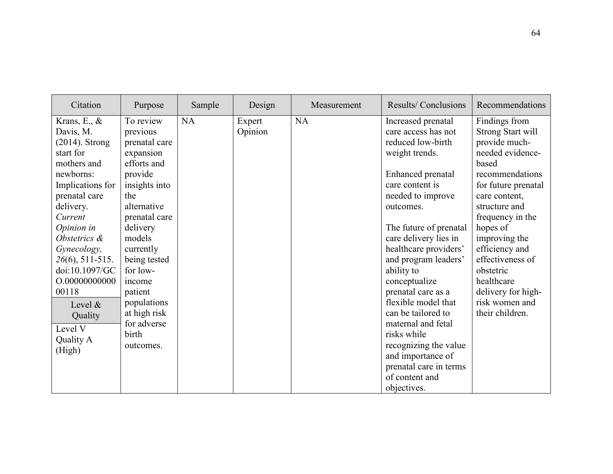| Citation                                                                                                                                                                                                                                                                                                                          | Purpose                                                                                                                                                                                                                                                                                       | Sample | Design            | Measurement | Results/Conclusions                                                                                                                                                                                                                                                                                                                                                                                                                                                                             | Recommendations                                                                                                                                                                                                                                                                                                                                  |
|-----------------------------------------------------------------------------------------------------------------------------------------------------------------------------------------------------------------------------------------------------------------------------------------------------------------------------------|-----------------------------------------------------------------------------------------------------------------------------------------------------------------------------------------------------------------------------------------------------------------------------------------------|--------|-------------------|-------------|-------------------------------------------------------------------------------------------------------------------------------------------------------------------------------------------------------------------------------------------------------------------------------------------------------------------------------------------------------------------------------------------------------------------------------------------------------------------------------------------------|--------------------------------------------------------------------------------------------------------------------------------------------------------------------------------------------------------------------------------------------------------------------------------------------------------------------------------------------------|
| Krans, E., $\&$<br>Davis, M.<br>$(2014)$ . Strong<br>start for<br>mothers and<br>newborns:<br>Implications for<br>prenatal care<br>delivery.<br>Current<br>Opinion in<br>Obstetrics &<br>Gynecology,<br>$26(6)$ , 511-515.<br>doi:10.1097/GC<br>O.00000000000<br>00118<br>Level $\&$<br>Quality<br>Level V<br>Quality A<br>(High) | To review<br>previous<br>prenatal care<br>expansion<br>efforts and<br>provide<br>insights into<br>the<br>alternative<br>prenatal care<br>delivery<br>models<br>currently<br>being tested<br>for low-<br>income<br>patient<br>populations<br>at high risk<br>for adverse<br>birth<br>outcomes. | NA     | Expert<br>Opinion | NA          | Increased prenatal<br>care access has not<br>reduced low-birth<br>weight trends.<br>Enhanced prenatal<br>care content is<br>needed to improve<br>outcomes.<br>The future of prenatal<br>care delivery lies in<br>healthcare providers'<br>and program leaders'<br>ability to<br>conceptualize<br>prenatal care as a<br>flexible model that<br>can be tailored to<br>maternal and fetal<br>risks while<br>recognizing the value<br>and importance of<br>prenatal care in terms<br>of content and | Findings from<br><b>Strong Start will</b><br>provide much-<br>needed evidence-<br>based<br>recommendations<br>for future prenatal<br>care content,<br>structure and<br>frequency in the<br>hopes of<br>improving the<br>efficiency and<br>effectiveness of<br>obstetric<br>healthcare<br>delivery for high-<br>risk women and<br>their children. |
|                                                                                                                                                                                                                                                                                                                                   |                                                                                                                                                                                                                                                                                               |        |                   |             | objectives.                                                                                                                                                                                                                                                                                                                                                                                                                                                                                     |                                                                                                                                                                                                                                                                                                                                                  |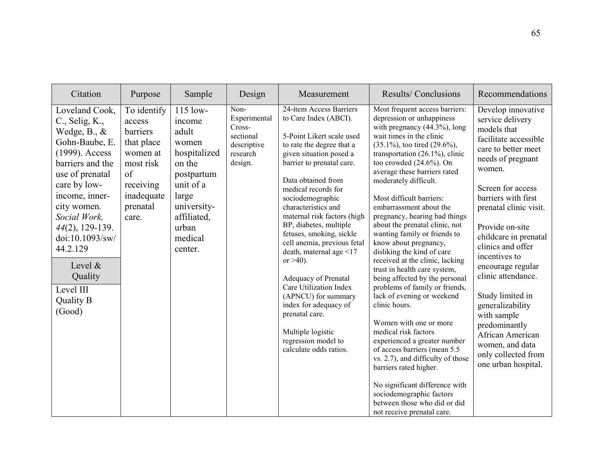| Citation                                                                                                                                                                                                                                                                                                                     | Purpose                                                                                                                        | Sample                                                                                                                                                            | Design                                                                            | Measurement                                                                                                                                                                                                                                                                                                                                                                                                                                                                                                                                                                                                        | Results/Conclusions                                                                                                                                                                                                                                                                                                                                                                                                                                                                                                                                                                                                                                                                                                                                                                                                                                                                                                                                                                                               | Recommendations                                                                                                                                                                                                                                                                                                                                                                                                                                                                                      |
|------------------------------------------------------------------------------------------------------------------------------------------------------------------------------------------------------------------------------------------------------------------------------------------------------------------------------|--------------------------------------------------------------------------------------------------------------------------------|-------------------------------------------------------------------------------------------------------------------------------------------------------------------|-----------------------------------------------------------------------------------|--------------------------------------------------------------------------------------------------------------------------------------------------------------------------------------------------------------------------------------------------------------------------------------------------------------------------------------------------------------------------------------------------------------------------------------------------------------------------------------------------------------------------------------------------------------------------------------------------------------------|-------------------------------------------------------------------------------------------------------------------------------------------------------------------------------------------------------------------------------------------------------------------------------------------------------------------------------------------------------------------------------------------------------------------------------------------------------------------------------------------------------------------------------------------------------------------------------------------------------------------------------------------------------------------------------------------------------------------------------------------------------------------------------------------------------------------------------------------------------------------------------------------------------------------------------------------------------------------------------------------------------------------|------------------------------------------------------------------------------------------------------------------------------------------------------------------------------------------------------------------------------------------------------------------------------------------------------------------------------------------------------------------------------------------------------------------------------------------------------------------------------------------------------|
| Loveland Cook,<br>C., Selig, K.,<br>Wedge, $B_{\cdot}, \&$<br>Gohn-Baube, E.<br>(1999). Access<br>barriers and the<br>use of prenatal<br>care by low-<br>income, inner-<br>city women.<br>Social Work,<br>$44(2)$ , 129-139.<br>doi:10.1093/sw/<br>44.2.129<br>Level &<br>Quality<br>Level III<br><b>Quality B</b><br>(Good) | To identify<br>access<br>barriers<br>that place<br>women at<br>most risk<br>of<br>receiving<br>inadequate<br>prenatal<br>care. | $115$ low-<br>income<br>adult<br>women<br>hospitalized<br>on the<br>postpartum<br>unit of a<br>large<br>university-<br>affiliated,<br>urban<br>medical<br>center. | Non-<br>Experimental<br>Cross-<br>sectional<br>descriptive<br>research<br>design. | 24-item Access Barriers<br>to Care Index (ABCI).<br>5-Point Likert scale used<br>to rate the degree that a<br>given situation posed a<br>barrier to prenatal care.<br>Data obtained from<br>medical records for<br>sociodemographic<br>characteristics and<br>maternal risk factors (high<br>BP, diabetes, multiple<br>fetuses, smoking, sickle<br>cell anemia, previous fetal<br>death, maternal age <17<br>or $>40$ ).<br>Adequacy of Prenatal<br>Care Utilization Index<br>(APNCU) for summary<br>index for adequacy of<br>prenatal care.<br>Multiple logistic<br>regression model to<br>calculate odds ratios. | Most frequent access barriers:<br>depression or unhappiness<br>with pregnancy $(44.3\%)$ , long<br>wait times in the clinic<br>$(35.1\%)$ , too tired $(29.6\%)$ ,<br>transportation $(26.1\%)$ , clinic<br>too crowded (24.6%). On<br>average these barriers rated<br>moderately difficult.<br>Most difficult barriers:<br>embarrassment about the<br>pregnancy, hearing bad things<br>about the prenatal clinic, not<br>wanting family or friends to<br>know about pregnancy,<br>disliking the kind of care<br>received at the clinic, lacking<br>trust in health care system,<br>being affected by the personal<br>problems of family or friends,<br>lack of evening or weekend<br>clinic hours.<br>Women with one or more<br>medical risk factors<br>experienced a greater number<br>of access barriers (mean 5.5)<br>vs. 2.7), and difficulty of those<br>barriers rated higher.<br>No significant difference with<br>sociodemographic factors<br>between those who did or did<br>not receive prenatal care. | Develop innovative<br>service delivery<br>models that<br>facilitate accessible<br>care to better meet<br>needs of pregnant<br>women.<br>Screen for access<br>barriers with first<br>prenatal clinic visit.<br>Provide on-site<br>childcare in prenatal<br>clinics and offer<br>incentives to<br>encourage regular<br>clinic attendance.<br>Study limited in<br>generalizability<br>with sample<br>predominantly<br>African American<br>women, and data<br>only collected from<br>one urban hospital. |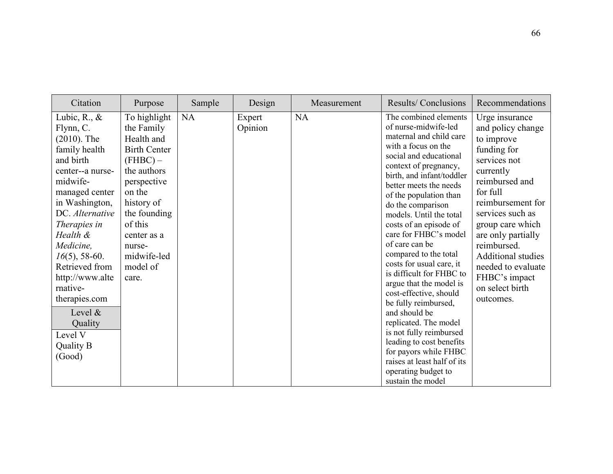| Citation                                                                                                                                                                                                                                                                                                                                                            | Purpose                                                                                                                                                                                                                     | Sample | Design            | Measurement | <b>Results/Conclusions</b>                                                                                                                                                                                                                                                                                                                                                                                                                                                                                                                                                                                                                                                                                                  | Recommendations                                                                                                                                                                                                                                                                                                                   |
|---------------------------------------------------------------------------------------------------------------------------------------------------------------------------------------------------------------------------------------------------------------------------------------------------------------------------------------------------------------------|-----------------------------------------------------------------------------------------------------------------------------------------------------------------------------------------------------------------------------|--------|-------------------|-------------|-----------------------------------------------------------------------------------------------------------------------------------------------------------------------------------------------------------------------------------------------------------------------------------------------------------------------------------------------------------------------------------------------------------------------------------------------------------------------------------------------------------------------------------------------------------------------------------------------------------------------------------------------------------------------------------------------------------------------------|-----------------------------------------------------------------------------------------------------------------------------------------------------------------------------------------------------------------------------------------------------------------------------------------------------------------------------------|
| Lubic, R., $\&$<br>Flynn, C.<br>$(2010)$ . The<br>family health<br>and birth<br>center--a nurse-<br>midwife-<br>managed center<br>in Washington,<br>DC. Alternative<br>Therapies in<br>Health &<br>Medicine,<br>$16(5)$ , 58-60.<br>Retrieved from<br>http://www.alte<br>mative-<br>therapies.com<br>Level $\&$<br>Quality<br>Level V<br><b>Quality B</b><br>(Good) | To highlight<br>the Family<br>Health and<br><b>Birth Center</b><br>$(FHBC)$ –<br>the authors<br>perspective<br>on the<br>history of<br>the founding<br>of this<br>center as a<br>nurse-<br>midwife-led<br>model of<br>care. | NA     | Expert<br>Opinion | <b>NA</b>   | The combined elements<br>of nurse-midwife-led<br>maternal and child care<br>with a focus on the<br>social and educational<br>context of pregnancy,<br>birth, and infant/toddler<br>better meets the needs<br>of the population than<br>do the comparison<br>models. Until the total<br>costs of an episode of<br>care for FHBC's model<br>of care can be<br>compared to the total<br>costs for usual care, it<br>is difficult for FHBC to<br>argue that the model is<br>cost-effective, should<br>be fully reimbursed,<br>and should be<br>replicated. The model<br>is not fully reimbursed<br>leading to cost benefits<br>for payors while FHBC<br>raises at least half of its<br>operating budget to<br>sustain the model | Urge insurance<br>and policy change<br>to improve<br>funding for<br>services not<br>currently<br>reimbursed and<br>for full<br>reimbursement for<br>services such as<br>group care which<br>are only partially<br>reimbursed.<br><b>Additional studies</b><br>needed to evaluate<br>FHBC's impact<br>on select birth<br>outcomes. |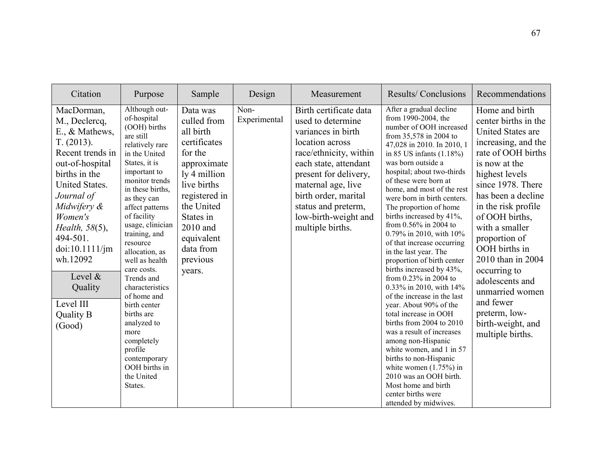| Citation                                                                                                                                                                                                                                                                                            | Purpose                                                                                                                                                                                                                                                                                                                                                                                                                                                                                                           | Sample                                                                                                                                                                                                                 | Design               | Measurement                                                                                                                                                                                                                                                                       | Results/Conclusions                                                                                                                                                                                                                                                                                                                                                                                                                                                                                                                                                                                                                                                                                                                                                                                                                                                                                                                          | Recommendations                                                                                                                                                                                                                                                                                                                                                                                                                              |
|-----------------------------------------------------------------------------------------------------------------------------------------------------------------------------------------------------------------------------------------------------------------------------------------------------|-------------------------------------------------------------------------------------------------------------------------------------------------------------------------------------------------------------------------------------------------------------------------------------------------------------------------------------------------------------------------------------------------------------------------------------------------------------------------------------------------------------------|------------------------------------------------------------------------------------------------------------------------------------------------------------------------------------------------------------------------|----------------------|-----------------------------------------------------------------------------------------------------------------------------------------------------------------------------------------------------------------------------------------------------------------------------------|----------------------------------------------------------------------------------------------------------------------------------------------------------------------------------------------------------------------------------------------------------------------------------------------------------------------------------------------------------------------------------------------------------------------------------------------------------------------------------------------------------------------------------------------------------------------------------------------------------------------------------------------------------------------------------------------------------------------------------------------------------------------------------------------------------------------------------------------------------------------------------------------------------------------------------------------|----------------------------------------------------------------------------------------------------------------------------------------------------------------------------------------------------------------------------------------------------------------------------------------------------------------------------------------------------------------------------------------------------------------------------------------------|
| MacDorman,<br>M., Declercq,<br>E., & Mathews,<br>T. (2013).<br>Recent trends in<br>out-of-hospital<br>births in the<br>United States.<br>Journal of<br>Midwifery &<br>Women's<br>Health, 58(5),<br>494-501.<br>doi:10.1111/jm<br>wh.12092<br>Level &<br>Quality<br>Level III<br>Quality B<br>(Good) | Although out-<br>of-hospital<br>(OOH) births<br>are still<br>relatively rare<br>in the United<br>States, it is<br>important to<br>monitor trends<br>in these births.<br>as they can<br>affect patterns<br>of facility<br>usage, clinician<br>training, and<br>resource<br>allocation, as<br>well as health<br>care costs.<br>Trends and<br>characteristics<br>of home and<br>birth center<br>births are<br>analyzed to<br>more<br>completely<br>profile<br>contemporary<br>OOH births in<br>the United<br>States. | Data was<br>culled from<br>all birth<br>certificates<br>for the<br>approximate<br>ly 4 million<br>live births<br>registered in<br>the United<br>States in<br>2010 and<br>equivalent<br>data from<br>previous<br>years. | Non-<br>Experimental | Birth certificate data<br>used to determine<br>variances in birth<br>location across<br>race/ethnicity, within<br>each state, attendant<br>present for delivery,<br>maternal age, live<br>birth order, marital<br>status and preterm,<br>low-birth-weight and<br>multiple births. | After a gradual decline<br>from 1990-2004, the<br>number of OOH increased<br>from 35,578 in 2004 to<br>47,028 in 2010. In 2010, 1<br>in 85 US infants $(1.18\%)$<br>was born outside a<br>hospital; about two-thirds<br>of these were born at<br>home, and most of the rest<br>were born in birth centers.<br>The proportion of home<br>births increased by 41%,<br>from 0.56% in 2004 to<br>0.79% in 2010, with 10%<br>of that increase occurring<br>in the last year. The<br>proportion of birth center<br>births increased by 43%,<br>from 0.23% in 2004 to<br>0.33% in 2010, with 14%<br>of the increase in the last<br>year. About 90% of the<br>total increase in OOH<br>births from 2004 to 2010<br>was a result of increases<br>among non-Hispanic<br>white women, and 1 in 57<br>births to non-Hispanic<br>white women $(1.75%)$ in<br>2010 was an OOH birth.<br>Most home and birth<br>center births were<br>attended by midwives. | Home and birth<br>center births in the<br><b>United States are</b><br>increasing, and the<br>rate of OOH births<br>is now at the<br>highest levels<br>since 1978. There<br>has been a decline<br>in the risk profile<br>of OOH births,<br>with a smaller<br>proportion of<br>OOH births in<br>2010 than in 2004<br>occurring to<br>adolescents and<br>unmarried women<br>and fewer<br>preterm, low-<br>birth-weight, and<br>multiple births. |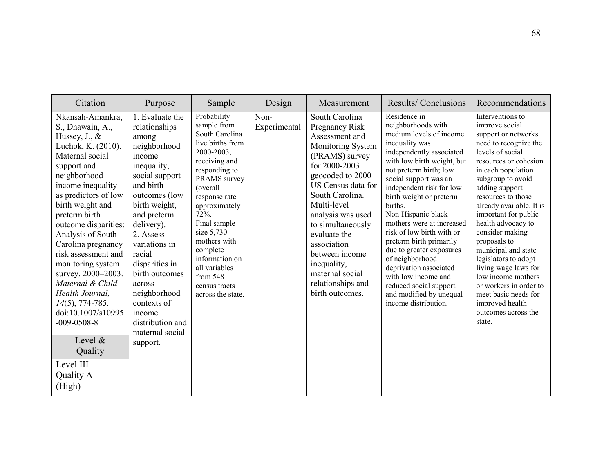| Citation                                                                                                                                                                                                                                                                                                                                                                                                                                                                                                                               | Purpose                                                                                                                                                                                                                                                                                                                                                            | Sample                                                                                                                                                                                                                                                                                                                                | Design               | Measurement                                                                                                                                                                                                                                                                                                                                                        | <b>Results/Conclusions</b>                                                                                                                                                                                                                                                                                                                                                                                                                                                                                                                             | Recommendations                                                                                                                                                                                                                                                                                                                                                                                                                                                                                                                    |
|----------------------------------------------------------------------------------------------------------------------------------------------------------------------------------------------------------------------------------------------------------------------------------------------------------------------------------------------------------------------------------------------------------------------------------------------------------------------------------------------------------------------------------------|--------------------------------------------------------------------------------------------------------------------------------------------------------------------------------------------------------------------------------------------------------------------------------------------------------------------------------------------------------------------|---------------------------------------------------------------------------------------------------------------------------------------------------------------------------------------------------------------------------------------------------------------------------------------------------------------------------------------|----------------------|--------------------------------------------------------------------------------------------------------------------------------------------------------------------------------------------------------------------------------------------------------------------------------------------------------------------------------------------------------------------|--------------------------------------------------------------------------------------------------------------------------------------------------------------------------------------------------------------------------------------------------------------------------------------------------------------------------------------------------------------------------------------------------------------------------------------------------------------------------------------------------------------------------------------------------------|------------------------------------------------------------------------------------------------------------------------------------------------------------------------------------------------------------------------------------------------------------------------------------------------------------------------------------------------------------------------------------------------------------------------------------------------------------------------------------------------------------------------------------|
| Nkansah-Amankra,<br>S., Dhawain, A.,<br>Hussey, $J_{\cdot}$ , $\&$<br>Luchok, K. (2010).<br>Maternal social<br>support and<br>neighborhood<br>income inequality<br>as predictors of low<br>birth weight and<br>preterm birth<br>outcome disparities:<br>Analysis of South<br>Carolina pregnancy<br>risk assessment and<br>monitoring system<br>survey, 2000-2003.<br>Maternal & Child<br>Health Journal,<br>$14(5)$ , 774-785.<br>doi:10.1007/s10995<br>$-009 - 0508 - 8$<br>Level $\&$<br>Quality<br>Level III<br>Quality A<br>(High) | 1. Evaluate the<br>relationships<br>among<br>neighborhood<br>income<br>inequality,<br>social support<br>and birth<br>outcomes (low<br>birth weight,<br>and preterm<br>delivery).<br>2. Assess<br>variations in<br>racial<br>disparities in<br>birth outcomes<br>across<br>neighborhood<br>contexts of<br>income<br>distribution and<br>maternal social<br>support. | Probability<br>sample from<br>South Carolina<br>live births from<br>2000-2003,<br>receiving and<br>responding to<br>PRAMS survey<br>(overall<br>response rate<br>approximately<br>72%.<br>Final sample<br>size 5,730<br>mothers with<br>complete<br>information on<br>all variables<br>from 548<br>census tracts<br>across the state. | Non-<br>Experimental | South Carolina<br><b>Pregnancy Risk</b><br>Assessment and<br>Monitoring System<br>(PRAMS) survey<br>for 2000-2003<br>geocoded to 2000<br>US Census data for<br>South Carolina.<br>Multi-level<br>analysis was used<br>to simultaneously<br>evaluate the<br>association<br>between income<br>inequality,<br>maternal social<br>relationships and<br>birth outcomes. | Residence in<br>neighborhoods with<br>medium levels of income<br>inequality was<br>independently associated<br>with low birth weight, but<br>not preterm birth; low<br>social support was an<br>independent risk for low<br>birth weight or preterm<br>births.<br>Non-Hispanic black<br>mothers were at increased<br>risk of low birth with or<br>preterm birth primarily<br>due to greater exposures<br>of neighborhood<br>deprivation associated<br>with low income and<br>reduced social support<br>and modified by unequal<br>income distribution. | Interventions to<br>improve social<br>support or networks<br>need to recognize the<br>levels of social<br>resources or cohesion<br>in each population<br>subgroup to avoid<br>adding support<br>resources to those<br>already available. It is<br>important for public<br>health advocacy to<br>consider making<br>proposals to<br>municipal and state<br>legislators to adopt<br>living wage laws for<br>low income mothers<br>or workers in order to<br>meet basic needs for<br>improved health<br>outcomes across the<br>state. |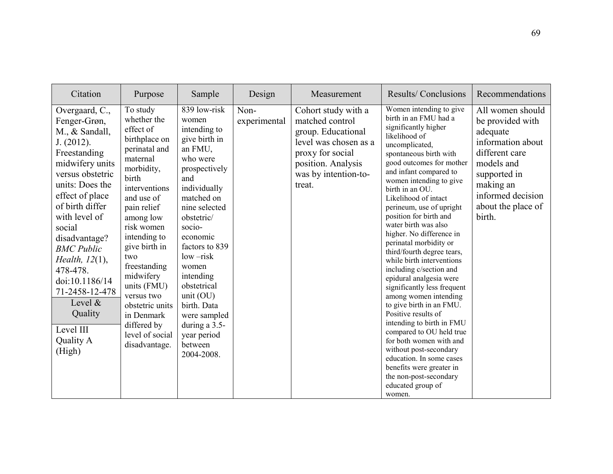| Citation                                                                                                                                                                                                                                                                                                                                                                          | Purpose                                                                                                                                                                                                                                                                                                                                                                  | Sample                                                                                                                                                                                                                                                                                                                                                               | Design               | Measurement                                                                                                                                                       | Results/Conclusions                                                                                                                                                                                                                                                                                                                                                                                                                                                                                                                                                                                                                                                                                                                                                                                                                                              | Recommendations                                                                                                                                                                         |
|-----------------------------------------------------------------------------------------------------------------------------------------------------------------------------------------------------------------------------------------------------------------------------------------------------------------------------------------------------------------------------------|--------------------------------------------------------------------------------------------------------------------------------------------------------------------------------------------------------------------------------------------------------------------------------------------------------------------------------------------------------------------------|----------------------------------------------------------------------------------------------------------------------------------------------------------------------------------------------------------------------------------------------------------------------------------------------------------------------------------------------------------------------|----------------------|-------------------------------------------------------------------------------------------------------------------------------------------------------------------|------------------------------------------------------------------------------------------------------------------------------------------------------------------------------------------------------------------------------------------------------------------------------------------------------------------------------------------------------------------------------------------------------------------------------------------------------------------------------------------------------------------------------------------------------------------------------------------------------------------------------------------------------------------------------------------------------------------------------------------------------------------------------------------------------------------------------------------------------------------|-----------------------------------------------------------------------------------------------------------------------------------------------------------------------------------------|
| Overgaard, C.,<br>Fenger-Grøn,<br>M., & Sandall,<br>J. (2012).<br>Freestanding<br>midwifery units<br>versus obstetric<br>units: Does the<br>effect of place<br>of birth differ<br>with level of<br>social<br>disadvantage?<br><b>BMC</b> Public<br>Health, $12(1)$ ,<br>478-478.<br>doi:10.1186/14<br>71-2458-12-478<br>Level $\&$<br>Quality<br>Level III<br>Quality A<br>(High) | To study<br>whether the<br>effect of<br>birthplace on<br>perinatal and<br>maternal<br>morbidity,<br>birth<br>interventions<br>and use of<br>pain relief<br>among low<br>risk women<br>intending to<br>give birth in<br>two<br>freestanding<br>midwifery<br>units (FMU)<br>versus two<br>obstetric units<br>in Denmark<br>differed by<br>level of social<br>disadvantage. | 839 low-risk<br>women<br>intending to<br>give birth in<br>an FMU,<br>who were<br>prospectively<br>and<br>individually<br>matched on<br>nine selected<br>obstetric/<br>socio-<br>economic<br>factors to 839<br>$low-risk$<br>women<br>intending<br>obstetrical<br>unit $(OU)$<br>birth. Data<br>were sampled<br>during a 3.5-<br>year period<br>between<br>2004-2008. | Non-<br>experimental | Cohort study with a<br>matched control<br>group. Educational<br>level was chosen as a<br>proxy for social<br>position. Analysis<br>was by intention-to-<br>treat. | Women intending to give<br>birth in an FMU had a<br>significantly higher<br>likelihood of<br>uncomplicated,<br>spontaneous birth with<br>good outcomes for mother<br>and infant compared to<br>women intending to give<br>birth in an OU.<br>Likelihood of intact<br>perineum, use of upright<br>position for birth and<br>water birth was also<br>higher. No difference in<br>perinatal morbidity or<br>third/fourth degree tears,<br>while birth interventions<br>including c/section and<br>epidural analgesia were<br>significantly less frequent<br>among women intending<br>to give birth in an FMU.<br>Positive results of<br>intending to birth in FMU<br>compared to OU held true<br>for both women with and<br>without post-secondary<br>education. In some cases<br>benefits were greater in<br>the non-post-secondary<br>educated group of<br>women. | All women should<br>be provided with<br>adequate<br>information about<br>different care<br>models and<br>supported in<br>making an<br>informed decision<br>about the place of<br>birth. |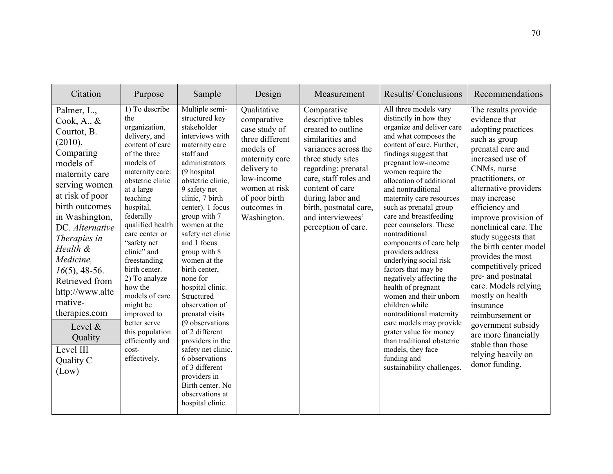| Citation                                                                                                                                                                                                                                                                                                                                                                                  | Purpose                                                                                                                                                                                                                                                                                                                                                                                                                                                         | Sample                                                                                                                                                                                                                                                                                                                                                                                                                                                                                                                                                                                                                | Design                                                                                                                                                                                     | Measurement                                                                                                                                                                                                                                                                           | Results/Conclusions                                                                                                                                                                                                                                                                                                                                                                                                                                                                                                                                                                                                                                                                                                                                                   | Recommendations                                                                                                                                                                                                                                                                                                                                                                                                                                                                                                                                                                  |
|-------------------------------------------------------------------------------------------------------------------------------------------------------------------------------------------------------------------------------------------------------------------------------------------------------------------------------------------------------------------------------------------|-----------------------------------------------------------------------------------------------------------------------------------------------------------------------------------------------------------------------------------------------------------------------------------------------------------------------------------------------------------------------------------------------------------------------------------------------------------------|-----------------------------------------------------------------------------------------------------------------------------------------------------------------------------------------------------------------------------------------------------------------------------------------------------------------------------------------------------------------------------------------------------------------------------------------------------------------------------------------------------------------------------------------------------------------------------------------------------------------------|--------------------------------------------------------------------------------------------------------------------------------------------------------------------------------------------|---------------------------------------------------------------------------------------------------------------------------------------------------------------------------------------------------------------------------------------------------------------------------------------|-----------------------------------------------------------------------------------------------------------------------------------------------------------------------------------------------------------------------------------------------------------------------------------------------------------------------------------------------------------------------------------------------------------------------------------------------------------------------------------------------------------------------------------------------------------------------------------------------------------------------------------------------------------------------------------------------------------------------------------------------------------------------|----------------------------------------------------------------------------------------------------------------------------------------------------------------------------------------------------------------------------------------------------------------------------------------------------------------------------------------------------------------------------------------------------------------------------------------------------------------------------------------------------------------------------------------------------------------------------------|
| Palmer, L.,<br>Cook, A., $\&$<br>Courtot, B.<br>(2010).<br>Comparing<br>models of<br>maternity care<br>serving women<br>at risk of poor<br>birth outcomes<br>in Washington,<br>DC. Alternative<br>Therapies in<br>Health &<br>Medicine,<br>$16(5)$ , 48-56.<br>Retrieved from<br>http://www.alte<br>rnative-<br>therapies.com<br>Level $\&$<br>Quality<br>Level III<br>Quality C<br>(Low) | 1) To describe<br>the<br>organization,<br>delivery, and<br>content of care<br>of the three<br>models of<br>maternity care:<br>obstetric clinic<br>at a large<br>teaching<br>hospital,<br>federally<br>qualified health<br>care center or<br>"safety net<br>clinic" and<br>freestanding<br>birth center.<br>2) To analyze<br>how the<br>models of care<br>might be<br>improved to<br>better serve<br>this population<br>efficiently and<br>cost-<br>effectively. | Multiple semi-<br>structured key<br>stakeholder<br>interviews with<br>maternity care<br>staff and<br>administrators<br>(9 hospital<br>obstetric clinic,<br>9 safety net<br>clinic, 7 birth<br>center). 1 focus<br>group with 7<br>women at the<br>safety net clinic<br>and 1 focus<br>group with 8<br>women at the<br>birth center,<br>none for<br>hospital clinic.<br>Structured<br>observation of<br>prenatal visits<br>(9 observations)<br>of 2 different<br>providers in the<br>safety net clinic.<br>6 observations<br>of 3 different<br>providers in<br>Birth center. No<br>observations at<br>hospital clinic. | Qualitative<br>comparative<br>case study of<br>three different<br>models of<br>maternity care<br>delivery to<br>low-income<br>women at risk<br>of poor birth<br>outcomes in<br>Washington. | Comparative<br>descriptive tables<br>created to outline<br>similarities and<br>variances across the<br>three study sites<br>regarding: prenatal<br>care, staff roles and<br>content of care<br>during labor and<br>birth, postnatal care,<br>and interviewees'<br>perception of care. | All three models vary<br>distinctly in how they<br>organize and deliver care<br>and what composes the<br>content of care. Further,<br>findings suggest that<br>pregnant low-income<br>women require the<br>allocation of additional<br>and nontraditional<br>maternity care resources<br>such as prenatal group<br>care and breastfeeding<br>peer counselors. These<br>nontraditional<br>components of care help<br>providers address<br>underlying social risk<br>factors that may be<br>negatively affecting the<br>health of pregnant<br>women and their unborn<br>children while<br>nontraditional maternity<br>care models may provide<br>grater value for money<br>than traditional obstetric<br>models, they face<br>funding and<br>sustainability challenges. | The results provide<br>evidence that<br>adopting practices<br>such as group<br>prenatal care and<br>increased use of<br>CNMs, nurse<br>practitioners, or<br>alternative providers<br>may increase<br>efficiency and<br>improve provision of<br>nonclinical care. The<br>study suggests that<br>the birth center model<br>provides the most<br>competitively priced<br>pre- and postnatal<br>care. Models relying<br>mostly on health<br>insurance<br>reimbursement or<br>government subsidy<br>are more financially<br>stable than those<br>relying heavily on<br>donor funding. |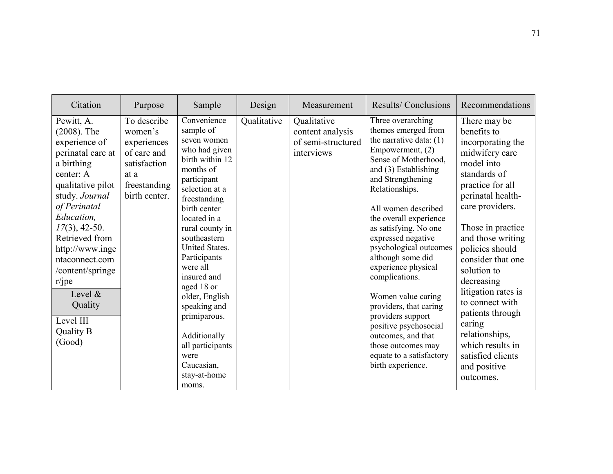| Citation                                                                                                                                                                                                                                                                                                                                          | Purpose                                                                                                       | Sample                                                                                                                                                                                                                                                                                                                                                                                                                              | Design      | Measurement                                                         | Results/Conclusions                                                                                                                                                                                                                                                                                                                                                                                                                                                                                                                                                 | Recommendations                                                                                                                                                                                                                                                                                                                                                                                                                             |
|---------------------------------------------------------------------------------------------------------------------------------------------------------------------------------------------------------------------------------------------------------------------------------------------------------------------------------------------------|---------------------------------------------------------------------------------------------------------------|-------------------------------------------------------------------------------------------------------------------------------------------------------------------------------------------------------------------------------------------------------------------------------------------------------------------------------------------------------------------------------------------------------------------------------------|-------------|---------------------------------------------------------------------|---------------------------------------------------------------------------------------------------------------------------------------------------------------------------------------------------------------------------------------------------------------------------------------------------------------------------------------------------------------------------------------------------------------------------------------------------------------------------------------------------------------------------------------------------------------------|---------------------------------------------------------------------------------------------------------------------------------------------------------------------------------------------------------------------------------------------------------------------------------------------------------------------------------------------------------------------------------------------------------------------------------------------|
| Pewitt, A.<br>$(2008)$ . The<br>experience of<br>perinatal care at<br>a birthing<br>center: A<br>qualitative pilot<br>study. Journal<br>of Perinatal<br>Education.<br>$17(3)$ , 42-50.<br>Retrieved from<br>http://www.inge<br>ntaconnect.com<br>/content/springe<br>$r$ /jpe<br>Level $\&$<br>Quality<br>Level III<br><b>Quality B</b><br>(Good) | To describe<br>women's<br>experiences<br>of care and<br>satisfaction<br>at a<br>freestanding<br>birth center. | Convenience<br>sample of<br>seven women<br>who had given<br>birth within 12<br>months of<br>participant<br>selection at a<br>freestanding<br>birth center<br>located in a<br>rural county in<br>southeastern<br><b>United States.</b><br>Participants<br>were all<br>insured and<br>aged 18 or<br>older, English<br>speaking and<br>primiparous.<br>Additionally<br>all participants<br>were<br>Caucasian,<br>stay-at-home<br>moms. | Qualitative | Qualitative<br>content analysis<br>of semi-structured<br>interviews | Three overarching<br>themes emerged from<br>the narrative data: $(1)$<br>Empowerment, (2)<br>Sense of Motherhood,<br>and (3) Establishing<br>and Strengthening<br>Relationships.<br>All women described<br>the overall experience<br>as satisfying. No one<br>expressed negative<br>psychological outcomes<br>although some did<br>experience physical<br>complications.<br>Women value caring<br>providers, that caring<br>providers support<br>positive psychosocial<br>outcomes, and that<br>those outcomes may<br>equate to a satisfactory<br>birth experience. | There may be<br>benefits to<br>incorporating the<br>midwifery care<br>model into<br>standards of<br>practice for all<br>perinatal health-<br>care providers.<br>Those in practice<br>and those writing<br>policies should<br>consider that one<br>solution to<br>decreasing<br>litigation rates is<br>to connect with<br>patients through<br>caring<br>relationships,<br>which results in<br>satisfied clients<br>and positive<br>outcomes. |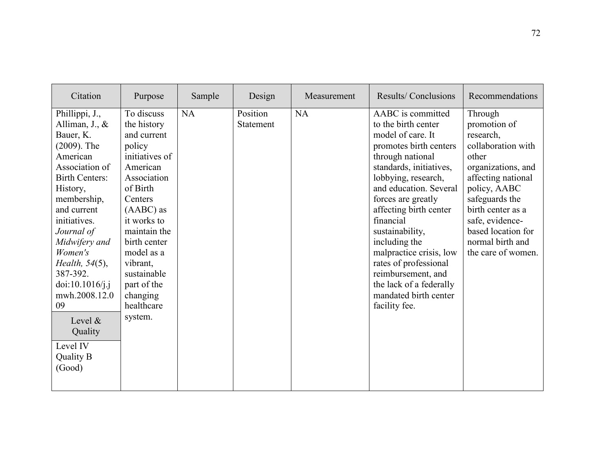| Citation                                                                                                                                                                                                                                                                                                                                                                           | Purpose                                                                                                                                                                                                                                                                           | Sample | Design                | Measurement | Results/Conclusions                                                                                                                                                                                                                                                                                                                                                                                                                     | Recommendations                                                                                                                                                                                                                                           |
|------------------------------------------------------------------------------------------------------------------------------------------------------------------------------------------------------------------------------------------------------------------------------------------------------------------------------------------------------------------------------------|-----------------------------------------------------------------------------------------------------------------------------------------------------------------------------------------------------------------------------------------------------------------------------------|--------|-----------------------|-------------|-----------------------------------------------------------------------------------------------------------------------------------------------------------------------------------------------------------------------------------------------------------------------------------------------------------------------------------------------------------------------------------------------------------------------------------------|-----------------------------------------------------------------------------------------------------------------------------------------------------------------------------------------------------------------------------------------------------------|
| Phillippi, J.,<br>Alliman, $J_{\cdot}$ , $\&$<br>Bauer, K.<br>$(2009)$ . The<br>American<br>Association of<br><b>Birth Centers:</b><br>History,<br>membership,<br>and current<br>initiatives.<br>Journal of<br>Midwifery and<br>Women's<br>Health, $54(5)$ ,<br>387-392.<br>doi:10.1016/j.j<br>mwh.2008.12.0<br>09<br>Level &<br>Quality<br>Level IV<br><b>Quality B</b><br>(Good) | To discuss<br>the history<br>and current<br>policy<br>initiatives of<br>American<br>Association<br>of Birth<br>Centers<br>$(AABC)$ as<br>it works to<br>maintain the<br>birth center<br>model as a<br>vibrant,<br>sustainable<br>part of the<br>changing<br>healthcare<br>system. | NA     | Position<br>Statement | <b>NA</b>   | AABC is committed<br>to the birth center<br>model of care. It<br>promotes birth centers<br>through national<br>standards, initiatives,<br>lobbying, research,<br>and education. Several<br>forces are greatly<br>affecting birth center<br>financial<br>sustainability,<br>including the<br>malpractice crisis, low<br>rates of professional<br>reimbursement, and<br>the lack of a federally<br>mandated birth center<br>facility fee. | Through<br>promotion of<br>research,<br>collaboration with<br>other<br>organizations, and<br>affecting national<br>policy, AABC<br>safeguards the<br>birth center as a<br>safe, evidence-<br>based location for<br>normal birth and<br>the care of women. |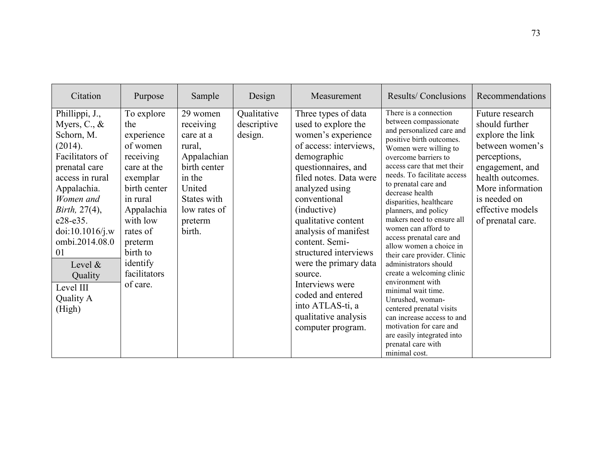| Citation                                                                                                                                                                                                                                                                                        | Purpose                                                                                                                                                                                                              | Sample                                                                                                                                              | Design                                | Measurement                                                                                                                                                                                                                                                                                                                                                                                                                                        | Results/Conclusions                                                                                                                                                                                                                                                                                                                                                                                                                                                                                                                                                                                                                                                                                                                         | Recommendations                                                                                                                                                                                              |
|-------------------------------------------------------------------------------------------------------------------------------------------------------------------------------------------------------------------------------------------------------------------------------------------------|----------------------------------------------------------------------------------------------------------------------------------------------------------------------------------------------------------------------|-----------------------------------------------------------------------------------------------------------------------------------------------------|---------------------------------------|----------------------------------------------------------------------------------------------------------------------------------------------------------------------------------------------------------------------------------------------------------------------------------------------------------------------------------------------------------------------------------------------------------------------------------------------------|---------------------------------------------------------------------------------------------------------------------------------------------------------------------------------------------------------------------------------------------------------------------------------------------------------------------------------------------------------------------------------------------------------------------------------------------------------------------------------------------------------------------------------------------------------------------------------------------------------------------------------------------------------------------------------------------------------------------------------------------|--------------------------------------------------------------------------------------------------------------------------------------------------------------------------------------------------------------|
| Phillippi, J.,<br>Myers, $C_{\cdot}$ , $\&$<br>Schorn, M.<br>(2014).<br>Facilitators of<br>prenatal care<br>access in rural<br>Appalachia.<br>Women and<br>Birth, $27(4)$ ,<br>e28-e35.<br>doi:10.1016/j.w<br>ombi.2014.08.0<br>01<br>Level $\&$<br>Quality<br>Level III<br>Quality A<br>(High) | To explore<br>the<br>experience<br>of women<br>receiving<br>care at the<br>exemplar<br>birth center<br>in rural<br>Appalachia<br>with low<br>rates of<br>preterm<br>birth to<br>identify<br>facilitators<br>of care. | 29 women<br>receiving<br>care at a<br>rural,<br>Appalachian<br>birth center<br>in the<br>United<br>States with<br>low rates of<br>preterm<br>birth. | Qualitative<br>descriptive<br>design. | Three types of data<br>used to explore the<br>women's experience<br>of access: interviews,<br>demographic<br>questionnaires, and<br>filed notes. Data were<br>analyzed using<br>conventional<br>(inductive)<br>qualitative content<br>analysis of manifest<br>content. Semi-<br>structured interviews<br>were the primary data<br>source.<br>Interviews were<br>coded and entered<br>into ATLAS-ti, a<br>qualitative analysis<br>computer program. | There is a connection<br>between compassionate<br>and personalized care and<br>positive birth outcomes.<br>Women were willing to<br>overcome barriers to<br>access care that met their<br>needs. To facilitate access<br>to prenatal care and<br>decrease health<br>disparities, healthcare<br>planners, and policy<br>makers need to ensure all<br>women can afford to<br>access prenatal care and<br>allow women a choice in<br>their care provider. Clinic<br>administrators should<br>create a welcoming clinic<br>environment with<br>minimal wait time.<br>Unrushed, woman-<br>centered prenatal visits<br>can increase access to and<br>motivation for care and<br>are easily integrated into<br>prenatal care with<br>minimal cost. | Future research<br>should further<br>explore the link<br>between women's<br>perceptions,<br>engagement, and<br>health outcomes.<br>More information<br>is needed on<br>effective models<br>of prenatal care. |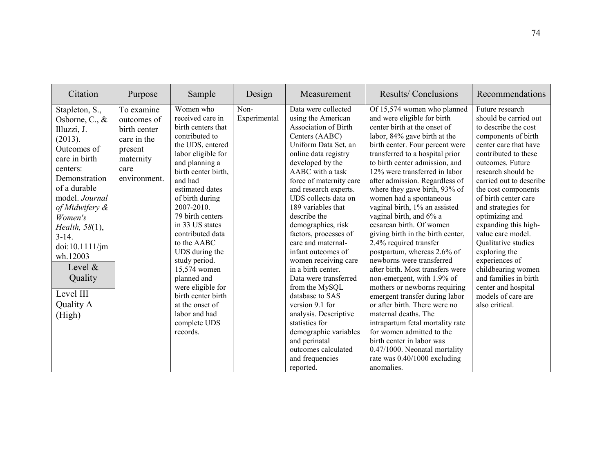| Citation                                                                                                                                                                                                                                                                                                       | Purpose                                                                                                  | Sample                                                                                                                                                                                                                                                                                                                                                                                                                                                                              | Design               | Measurement                                                                                                                                                                                                                                                                                                                                                                                                                                                                                                                                                                                                                                                                | Results/Conclusions                                                                                                                                                                                                                                                                                                                                                                                                                                                                                                                                                                                                                                                                                                                                                                                                                                                                                                                                             | Recommendations                                                                                                                                                                                                                                                                                                                                                                                                                                                                                                           |
|----------------------------------------------------------------------------------------------------------------------------------------------------------------------------------------------------------------------------------------------------------------------------------------------------------------|----------------------------------------------------------------------------------------------------------|-------------------------------------------------------------------------------------------------------------------------------------------------------------------------------------------------------------------------------------------------------------------------------------------------------------------------------------------------------------------------------------------------------------------------------------------------------------------------------------|----------------------|----------------------------------------------------------------------------------------------------------------------------------------------------------------------------------------------------------------------------------------------------------------------------------------------------------------------------------------------------------------------------------------------------------------------------------------------------------------------------------------------------------------------------------------------------------------------------------------------------------------------------------------------------------------------------|-----------------------------------------------------------------------------------------------------------------------------------------------------------------------------------------------------------------------------------------------------------------------------------------------------------------------------------------------------------------------------------------------------------------------------------------------------------------------------------------------------------------------------------------------------------------------------------------------------------------------------------------------------------------------------------------------------------------------------------------------------------------------------------------------------------------------------------------------------------------------------------------------------------------------------------------------------------------|---------------------------------------------------------------------------------------------------------------------------------------------------------------------------------------------------------------------------------------------------------------------------------------------------------------------------------------------------------------------------------------------------------------------------------------------------------------------------------------------------------------------------|
| Stapleton, S.,<br>Osborne, C., $\&$<br>Illuzzi, J.<br>(2013).<br>Outcomes of<br>care in birth<br>centers:<br>Demonstration<br>of a durable<br>model. Journal<br>of Midwifery &<br>Women's<br>Health, 58(1),<br>$3-14.$<br>doi:10.1111/jm<br>wh.12003<br>Level &<br>Quality<br>Level III<br>Quality A<br>(High) | To examine<br>outcomes of<br>birth center<br>care in the<br>present<br>maternity<br>care<br>environment. | Women who<br>received care in<br>birth centers that<br>contributed to<br>the UDS, entered<br>labor eligible for<br>and planning a<br>birth center birth,<br>and had<br>estimated dates<br>of birth during<br>$2007 - 2010$ .<br>79 birth centers<br>in 33 US states<br>contributed data<br>to the AABC<br>UDS during the<br>study period.<br>15,574 women<br>planned and<br>were eligible for<br>birth center birth<br>at the onset of<br>labor and had<br>complete UDS<br>records. | Non-<br>Experimental | Data were collected<br>using the American<br><b>Association of Birth</b><br>Centers (AABC)<br>Uniform Data Set, an<br>online data registry<br>developed by the<br>AABC with a task<br>force of maternity care<br>and research experts.<br>UDS collects data on<br>189 variables that<br>describe the<br>demographics, risk<br>factors, processes of<br>care and maternal-<br>infant outcomes of<br>women receiving care<br>in a birth center.<br>Data were transferred<br>from the MySQL<br>database to SAS<br>version 9.1 for<br>analysis. Descriptive<br>statistics for<br>demographic variables<br>and perinatal<br>outcomes calculated<br>and frequencies<br>reported. | Of 15,574 women who planned<br>and were eligible for birth<br>center birth at the onset of<br>labor, 84% gave birth at the<br>birth center. Four percent were<br>transferred to a hospital prior<br>to birth center admission, and<br>12% were transferred in labor<br>after admission. Regardless of<br>where they gave birth, 93% of<br>women had a spontaneous<br>vaginal birth, 1% an assisted<br>vaginal birth, and 6% a<br>cesarean birth. Of women<br>giving birth in the birth center,<br>2.4% required transfer<br>postpartum, whereas 2.6% of<br>newborns were transferred<br>after birth. Most transfers were<br>non-emergent, with 1.9% of<br>mothers or newborns requiring<br>emergent transfer during labor<br>or after birth. There were no<br>maternal deaths. The<br>intrapartum fetal mortality rate<br>for women admitted to the<br>birth center in labor was<br>0.47/1000. Neonatal mortality<br>rate was 0.40/1000 excluding<br>anomalies. | Future research<br>should be carried out<br>to describe the cost<br>components of birth<br>center care that have<br>contributed to these<br>outcomes. Future<br>research should be<br>carried out to describe<br>the cost components<br>of birth center care<br>and strategies for<br>optimizing and<br>expanding this high-<br>value care model.<br>Qualitative studies<br>exploring the<br>experiences of<br>childbearing women<br>and families in birth<br>center and hospital<br>models of care are<br>also critical. |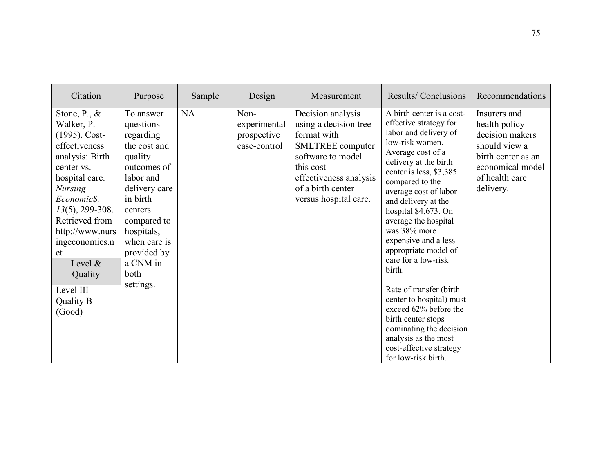| Citation                                                                                                                                                                                                                                                                                                         | Purpose                                                                                                                                                                                                                         | Sample    | Design                                              | Measurement                                                                                                                                                                                     | Results/Conclusions                                                                                                                                                                                                                                                                                                                                                                                                                                                                                                                                                                                      | Recommendations                                                                                                                            |
|------------------------------------------------------------------------------------------------------------------------------------------------------------------------------------------------------------------------------------------------------------------------------------------------------------------|---------------------------------------------------------------------------------------------------------------------------------------------------------------------------------------------------------------------------------|-----------|-----------------------------------------------------|-------------------------------------------------------------------------------------------------------------------------------------------------------------------------------------------------|----------------------------------------------------------------------------------------------------------------------------------------------------------------------------------------------------------------------------------------------------------------------------------------------------------------------------------------------------------------------------------------------------------------------------------------------------------------------------------------------------------------------------------------------------------------------------------------------------------|--------------------------------------------------------------------------------------------------------------------------------------------|
| Stone, $P_{\cdot}$ , $\&$<br>Walker, P.<br>$(1995)$ . Cost-<br>effectiveness<br>analysis: Birth<br>center vs.<br>hospital care.<br><b>Nursing</b><br>Economic\$,<br>$13(5)$ , 299-308.<br>Retrieved from<br>http://www.nurs<br>ingeconomics.n<br>et<br>Level $\&$<br>Quality<br>Level III<br>Quality B<br>(Good) | To answer<br>questions<br>regarding<br>the cost and<br>quality<br>outcomes of<br>labor and<br>delivery care<br>in birth<br>centers<br>compared to<br>hospitals,<br>when care is<br>provided by<br>a CNM in<br>both<br>settings. | <b>NA</b> | Non-<br>experimental<br>prospective<br>case-control | Decision analysis<br>using a decision tree<br>format with<br><b>SMLTREE</b> computer<br>software to model<br>this cost-<br>effectiveness analysis<br>of a birth center<br>versus hospital care. | A birth center is a cost-<br>effective strategy for<br>labor and delivery of<br>low-risk women.<br>Average cost of a<br>delivery at the birth<br>center is less, \$3,385<br>compared to the<br>average cost of labor<br>and delivery at the<br>hospital \$4,673. On<br>average the hospital<br>was 38% more<br>expensive and a less<br>appropriate model of<br>care for a low-risk<br>birth.<br>Rate of transfer (birth)<br>center to hospital) must<br>exceed 62% before the<br>birth center stops<br>dominating the decision<br>analysis as the most<br>cost-effective strategy<br>for low-risk birth. | Insurers and<br>health policy<br>decision makers<br>should view a<br>birth center as an<br>economical model<br>of health care<br>delivery. |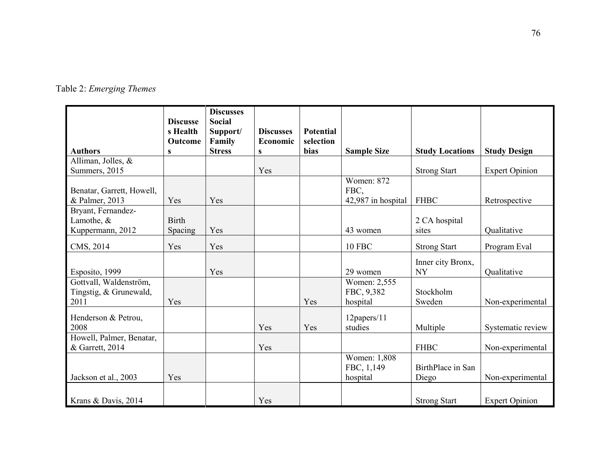|  | Table 2: Emerging Themes |  |
|--|--------------------------|--|
|--|--------------------------|--|

| <b>Authors</b>                                           | <b>Discusse</b><br>s Health<br>Outcome<br>S | <b>Discusses</b><br><b>Social</b><br>Support/<br>Family<br><b>Stress</b> | <b>Discusses</b><br>Economic<br>S | <b>Potential</b><br>selection<br>bias | <b>Sample Size</b>                              | <b>Study Locations</b>         | <b>Study Design</b>   |
|----------------------------------------------------------|---------------------------------------------|--------------------------------------------------------------------------|-----------------------------------|---------------------------------------|-------------------------------------------------|--------------------------------|-----------------------|
| Alliman, Jolles, &                                       |                                             |                                                                          |                                   |                                       |                                                 |                                |                       |
| Summers, 2015                                            |                                             |                                                                          | Yes                               |                                       |                                                 | <b>Strong Start</b>            | <b>Expert Opinion</b> |
| Benatar, Garrett, Howell,<br>& Palmer, 2013              | Yes                                         | Yes                                                                      |                                   |                                       | <b>Women: 872</b><br>FBC,<br>42,987 in hospital | <b>FHBC</b>                    | Retrospective         |
| Bryant, Fernandez-<br>Lamothe, &<br>Kuppermann, 2012     | <b>Birth</b><br>Spacing                     | Yes                                                                      |                                   |                                       | 43 women                                        | 2 CA hospital<br>sites         | Qualitative           |
| CMS, 2014                                                | Yes                                         | Yes                                                                      |                                   |                                       | <b>10 FBC</b>                                   | <b>Strong Start</b>            | Program Eval          |
| Esposito, 1999                                           |                                             | Yes                                                                      |                                   |                                       | 29 women                                        | Inner city Bronx,<br><b>NY</b> | Qualitative           |
| Gottvall, Waldenström,<br>Tingstig, & Grunewald,<br>2011 | Yes                                         |                                                                          |                                   | Yes                                   | Women: 2,555<br>FBC, 9,382<br>hospital          | Stockholm<br>Sweden            | Non-experimental      |
| Henderson & Petrou,<br>2008                              |                                             |                                                                          | Yes                               | Yes                                   | 12papers/11<br>studies                          | Multiple                       | Systematic review     |
| Howell, Palmer, Benatar,<br>& Garrett, 2014              |                                             |                                                                          | Yes                               |                                       |                                                 | <b>FHBC</b>                    | Non-experimental      |
| Jackson et al., 2003                                     | Yes                                         |                                                                          |                                   |                                       | Women: 1,808<br>FBC, 1,149<br>hospital          | BirthPlace in San<br>Diego     | Non-experimental      |
| Krans & Davis, 2014                                      |                                             |                                                                          | Yes                               |                                       |                                                 | <b>Strong Start</b>            | <b>Expert Opinion</b> |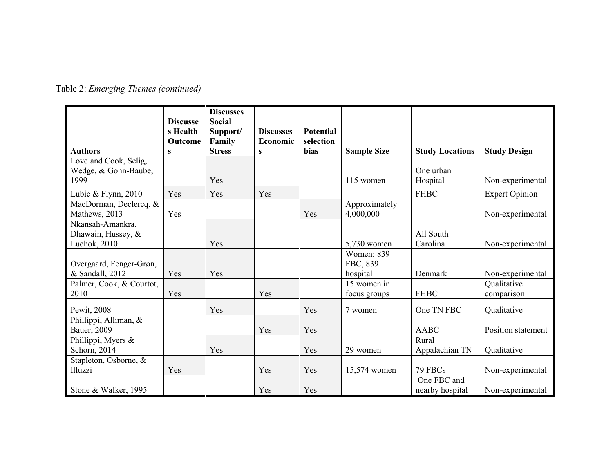|                                                        | <b>Discusse</b><br>s Health<br>Outcome | <b>Discusses</b><br><b>Social</b><br>Support/<br>Family | <b>Discusses</b><br>Economic | <b>Potential</b><br>selection |                                    |                                |                           |
|--------------------------------------------------------|----------------------------------------|---------------------------------------------------------|------------------------------|-------------------------------|------------------------------------|--------------------------------|---------------------------|
| <b>Authors</b>                                         | S                                      | <b>Stress</b>                                           | S                            | bias                          | <b>Sample Size</b>                 | <b>Study Locations</b>         | <b>Study Design</b>       |
| Loveland Cook, Selig,<br>Wedge, & Gohn-Baube,<br>1999  |                                        | Yes                                                     |                              |                               | 115 women                          | One urban<br>Hospital          | Non-experimental          |
| Lubic & Flynn, $2010$                                  | Yes                                    | Yes                                                     | Yes                          |                               |                                    | <b>FHBC</b>                    | <b>Expert Opinion</b>     |
| MacDorman, Declercq, &<br>Mathews, 2013                | Yes                                    |                                                         |                              | Yes                           | Approximately<br>4,000,000         |                                | Non-experimental          |
| Nkansah-Amankra,<br>Dhawain, Hussey, &<br>Luchok, 2010 |                                        | Yes                                                     |                              |                               | 5,730 women                        | All South<br>Carolina          | Non-experimental          |
| Overgaard, Fenger-Grøn,<br>& Sandall, 2012             | Yes                                    | Yes                                                     |                              |                               | Women: 839<br>FBC, 839<br>hospital | Denmark                        | Non-experimental          |
| Palmer, Cook, & Courtot,<br>2010                       | Yes                                    |                                                         | Yes                          |                               | 15 women in<br>focus groups        | <b>FHBC</b>                    | Qualitative<br>comparison |
| Pewit, 2008                                            |                                        | Yes                                                     |                              | Yes                           | 7 women                            | One TN FBC                     | Qualitative               |
| Phillippi, Alliman, &<br>Bauer, 2009                   |                                        |                                                         | Yes                          | Yes                           |                                    | <b>AABC</b>                    | Position statement        |
| Phillippi, Myers &<br>Schorn, 2014                     |                                        | Yes                                                     |                              | Yes                           | 29 women                           | Rural<br>Appalachian TN        | Qualitative               |
| Stapleton, Osborne, &<br>Illuzzi                       | Yes                                    |                                                         | Yes                          | Yes                           | 15,574 women                       | 79 FBCs                        | Non-experimental          |
| Stone & Walker, 1995                                   |                                        |                                                         | Yes                          | Yes                           |                                    | One FBC and<br>nearby hospital | Non-experimental          |

Table 2: *Emerging Themes (continued)*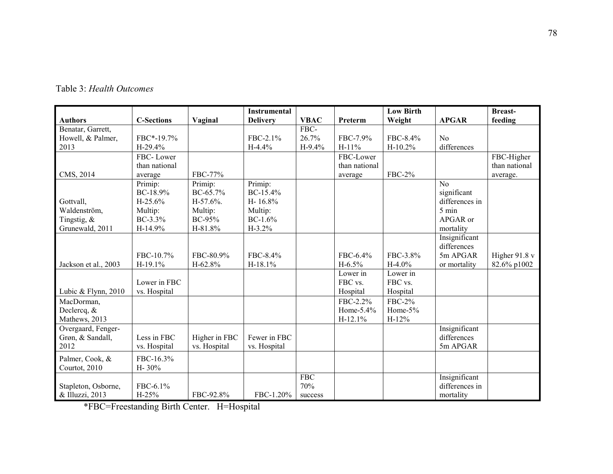| <b>Authors</b>       |                   |               | <b>Instrumental</b> | <b>VBAC</b> |               | <b>Low Birth</b> |                | <b>Breast-</b>  |
|----------------------|-------------------|---------------|---------------------|-------------|---------------|------------------|----------------|-----------------|
| Benatar, Garrett,    | <b>C-Sections</b> | Vaginal       | <b>Delivery</b>     | FBC-        | Preterm       | Weight           | <b>APGAR</b>   | feeding         |
| Howell, & Palmer,    | FBC*-19.7%        |               | FBC-2.1%            | 26.7%       | FBC-7.9%      | FBC-8.4%         | N <sub>0</sub> |                 |
| 2013                 | H-29.4%           |               | $H-4.4%$            |             | $H-11%$       |                  |                |                 |
|                      |                   |               |                     | $H-9.4%$    |               | $H-10.2%$        | differences    |                 |
|                      | FBC-Lower         |               |                     |             | FBC-Lower     |                  |                | FBC-Higher      |
|                      | than national     |               |                     |             | than national |                  |                | than national   |
| CMS, 2014            | average           | FBC-77%       |                     |             | average       | <b>FBC-2%</b>    |                | average.        |
|                      | Primip:           | Primip:       | Primip:             |             |               |                  | No             |                 |
|                      | $BC-18.9%$        | $BC-65.7%$    | BC-15.4%            |             |               |                  | significant    |                 |
| Gottvall,            | $H-25.6%$         | $H-57.6%$     | H-16.8%             |             |               |                  | differences in |                 |
| Waldenström,         | Multip:           | Multip:       | Multip:             |             |               |                  | 5 min          |                 |
| Tingstig, $\&$       | BC-3.3%           | BC-95%        | $BC-1.6%$           |             |               |                  | APGAR or       |                 |
| Grunewald, 2011      | H-14.9%           | H-81.8%       | $H-3.2%$            |             |               |                  | mortality      |                 |
|                      |                   |               |                     |             |               |                  | Insignificant  |                 |
|                      |                   |               |                     |             |               |                  | differences    |                 |
|                      | FBC-10.7%         | FBC-80.9%     | FBC-8.4%            |             | FBC-6.4%      | FBC-3.8%         | 5m APGAR       | Higher $91.8 v$ |
| Jackson et al., 2003 | H-19.1%           | H-62.8%       | H-18.1%             |             | $H-6.5%$      | $H-4.0%$         | or mortality   | 82.6% p1002     |
|                      |                   |               |                     |             | Lower in      | Lower in         |                |                 |
|                      | Lower in FBC      |               |                     |             | FBC vs.       | FBC vs.          |                |                 |
| Lubic & Flynn, 2010  | vs. Hospital      |               |                     |             | Hospital      | Hospital         |                |                 |
| MacDorman,           |                   |               |                     |             | FBC-2.2%      | <b>FBC-2%</b>    |                |                 |
| Declercq, &          |                   |               |                     |             | Home-5.4%     | Home- $5%$       |                |                 |
| Mathews, 2013        |                   |               |                     |             | $H-12.1%$     | $H-12%$          |                |                 |
| Overgaard, Fenger-   |                   |               |                     |             |               |                  | Insignificant  |                 |
| Grøn, & Sandall,     | Less in FBC       | Higher in FBC | Fewer in FBC        |             |               |                  | differences    |                 |
| 2012                 | vs. Hospital      | vs. Hospital  | vs. Hospital        |             |               |                  | 5m APGAR       |                 |
|                      |                   |               |                     |             |               |                  |                |                 |
| Palmer, Cook, &      | FBC-16.3%         |               |                     |             |               |                  |                |                 |
| Courtot, 2010        | H-30%             |               |                     |             |               |                  |                |                 |
|                      |                   |               |                     | <b>FBC</b>  |               |                  | Insignificant  |                 |
| Stapleton, Osborne,  | FBC-6.1%          |               |                     | 70%         |               |                  | differences in |                 |
| & Illuzzi, 2013      | $H-25%$           | FBC-92.8%     | FBC-1.20%           | success     |               |                  | mortality      |                 |

Table 3: *Health Outcomes* 

\*FBC=Freestanding Birth Center. H=Hospital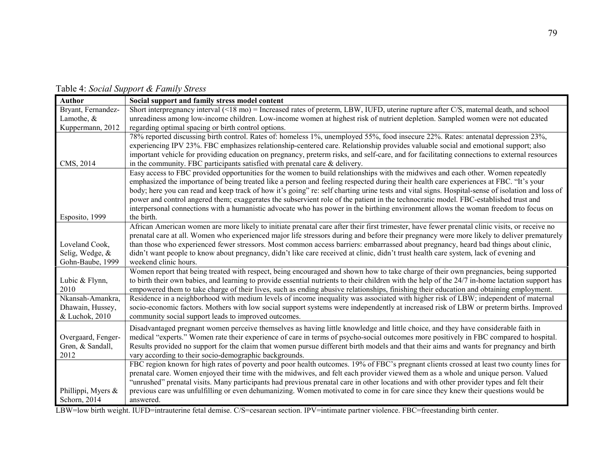Table 4: *Social Support & Family Stress* 

| <b>Author</b>      | Social support and family stress model content                                                                                                                                                                                                                              |
|--------------------|-----------------------------------------------------------------------------------------------------------------------------------------------------------------------------------------------------------------------------------------------------------------------------|
| Bryant, Fernandez- | Short interpregnancy interval (<18 mo) = Increased rates of preterm, LBW, IUFD, uterine rupture after C/S, maternal death, and school                                                                                                                                       |
| Lamothe, &         | unreadiness among low-income children. Low-income women at highest risk of nutrient depletion. Sampled women were not educated                                                                                                                                              |
| Kuppermann, 2012   | regarding optimal spacing or birth control options.                                                                                                                                                                                                                         |
|                    | 78% reported discussing birth control. Rates of: homeless 1%, unemployed 55%, food insecure 22%. Rates: antenatal depression 23%,<br>experiencing IPV 23%. FBC emphasizes relationship-centered care. Relationship provides valuable social and emotional support; also     |
|                    | important vehicle for providing education on pregnancy, preterm risks, and self-care, and for facilitating connections to external resources                                                                                                                                |
| CMS, 2014          | in the community. FBC participants satisfied with prenatal care $\&$ delivery.                                                                                                                                                                                              |
|                    | Easy access to FBC provided opportunities for the women to build relationships with the midwives and each other. Women repeatedly                                                                                                                                           |
|                    | emphasized the importance of being treated like a person and feeling respected during their health care experiences at FBC. "It's your                                                                                                                                      |
|                    | body; here you can read and keep track of how it's going" re: self charting urine tests and vital signs. Hospital-sense of isolation and loss of                                                                                                                            |
|                    | power and control angered them; exaggerates the subservient role of the patient in the technocratic model. FBC-established trust and<br>interpersonal connections with a humanistic advocate who has power in the birthing environment allows the woman freedom to focus on |
| Esposito, 1999     | the birth.                                                                                                                                                                                                                                                                  |
|                    | African American women are more likely to initiate prenatal care after their first trimester, have fewer prenatal clinic visits, or receive no                                                                                                                              |
|                    | prenatal care at all. Women who experienced major life stressors during and before their pregnancy were more likely to deliver prematurely                                                                                                                                  |
| Loveland Cook,     | than those who experienced fewer stressors. Most common access barriers: embarrassed about pregnancy, heard bad things about clinic,                                                                                                                                        |
| Selig, Wedge, &    | didn't want people to know about pregnancy, didn't like care received at clinic, didn't trust health care system, lack of evening and                                                                                                                                       |
| Gohn-Baube, 1999   | weekend clinic hours.                                                                                                                                                                                                                                                       |
|                    | Women report that being treated with respect, being encouraged and shown how to take charge of their own pregnancies, being supported                                                                                                                                       |
| Lubic & Flynn,     | to birth their own babies, and learning to provide essential nutrients to their children with the help of the 24/7 in-home lactation support has                                                                                                                            |
| 2010               | empowered them to take charge of their lives, such as ending abusive relationships, finishing their education and obtaining employment.                                                                                                                                     |
| Nkansah-Amankra,   | Residence in a neighborhood with medium levels of income inequality was associated with higher risk of LBW; independent of maternal                                                                                                                                         |
| Dhawain, Hussey,   | socio-economic factors. Mothers with low social support systems were independently at increased risk of LBW or preterm births. Improved                                                                                                                                     |
| & Luchok, 2010     | community social support leads to improved outcomes.                                                                                                                                                                                                                        |
|                    | Disadvantaged pregnant women perceive themselves as having little knowledge and little choice, and they have considerable faith in                                                                                                                                          |
| Overgaard, Fenger- | medical "experts." Women rate their experience of care in terms of psycho-social outcomes more positively in FBC compared to hospital.                                                                                                                                      |
| Grøn, & Sandall,   | Results provided no support for the claim that women pursue different birth models and that their aims and wants for pregnancy and birth                                                                                                                                    |
| 2012               | vary according to their socio-demographic backgrounds.                                                                                                                                                                                                                      |
|                    | FBC region known for high rates of poverty and poor health outcomes. 19% of FBC's pregnant clients crossed at least two county lines for                                                                                                                                    |
|                    | prenatal care. Women enjoyed their time with the midwives, and felt each provider viewed them as a whole and unique person. Valued                                                                                                                                          |
|                    | "unrushed" prenatal visits. Many participants had previous prenatal care in other locations and with other provider types and felt their                                                                                                                                    |
| Phillippi, Myers & | previous care was unfulfilling or even dehumanizing. Women motivated to come in for care since they knew their questions would be                                                                                                                                           |
| Schorn, 2014       | answered.                                                                                                                                                                                                                                                                   |

LBW=low birth weight. IUFD=intrauterine fetal demise. C/S=cesarean section. IPV=intimate partner violence. FBC=freestanding birth center.